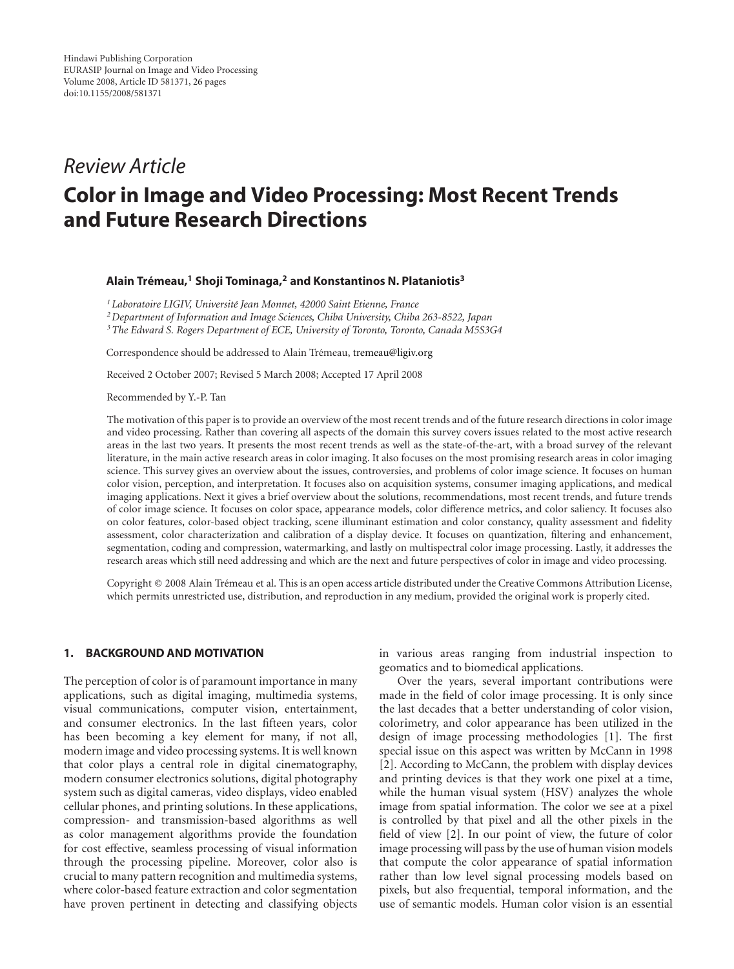### *Review Article*

### **Color in Image and Video Processing: Most Recent Trends and Future Research Directions**

#### **Alain Tremeau, ´ <sup>1</sup> Shoji Tominaga,2 and Konstantinos N. Plataniotis3**

<sup>1</sup> Laboratoire LIGIV, Université Jean Monnet, 42000 Saint Etienne, France

*2Department of Information and Image Sciences, Chiba University, Chiba 263-8522, Japan 3The Edward S. Rogers Department of ECE, University of Toronto, Toronto, Canada M5S3G4*

Correspondence should be addressed to Alain Trémeau, [tremeau@ligiv.org](mailto:tremeau@ligiv.org)

Received 2 October 2007; Revised 5 March 2008; Accepted 17 April 2008

Recommended by Y.-P. Tan

The motivation of this paper is to provide an overview of the most recent trends and of the future research directions in color image and video processing. Rather than covering all aspects of the domain this survey covers issues related to the most active research areas in the last two years. It presents the most recent trends as well as the state-of-the-art, with a broad survey of the relevant literature, in the main active research areas in color imaging. It also focuses on the most promising research areas in color imaging science. This survey gives an overview about the issues, controversies, and problems of color image science. It focuses on human color vision, perception, and interpretation. It focuses also on acquisition systems, consumer imaging applications, and medical imaging applications. Next it gives a brief overview about the solutions, recommendations, most recent trends, and future trends of color image science. It focuses on color space, appearance models, color difference metrics, and color saliency. It focuses also on color features, color-based object tracking, scene illuminant estimation and color constancy, quality assessment and fidelity assessment, color characterization and calibration of a display device. It focuses on quantization, filtering and enhancement, segmentation, coding and compression, watermarking, and lastly on multispectral color image processing. Lastly, it addresses the research areas which still need addressing and which are the next and future perspectives of color in image and video processing.

Copyright © 2008 Alain Trémeau et al. This is an open access article distributed under the Creative Commons Attribution License, which permits unrestricted use, distribution, and reproduction in any medium, provided the original work is properly cited.

#### **1. BACKGROUND AND MOTIVATION**

The perception of color is of paramount importance in many applications, such as digital imaging, multimedia systems, visual communications, computer vision, entertainment, and consumer electronics. In the last fifteen years, color has been becoming a key element for many, if not all, modern image and video processing systems. It is well known that color plays a central role in digital cinematography, modern consumer electronics solutions, digital photography system such as digital cameras, video displays, video enabled cellular phones, and printing solutions. In these applications, compression- and transmission-based algorithms as well as color management algorithms provide the foundation for cost effective, seamless processing of visual information through the processing pipeline. Moreover, color also is crucial to many pattern recognition and multimedia systems, where color-based feature extraction and color segmentation have proven pertinent in detecting and classifying objects

in various areas ranging from industrial inspection to geomatics and to biomedical applications.

Over the years, several important contributions were made in the field of color image processing. It is only since the last decades that a better understanding of color vision, colorimetry, and color appearance has been utilized in the design of image processing methodologies [\[1\]](#page-19-1). The first special issue on this aspect was written by McCann in 1998 [\[2\]](#page-19-2). According to McCann, the problem with display devices and printing devices is that they work one pixel at a time, while the human visual system (HSV) analyzes the whole image from spatial information. The color we see at a pixel is controlled by that pixel and all the other pixels in the field of view [\[2](#page-19-2)]. In our point of view, the future of color image processing will pass by the use of human vision models that compute the color appearance of spatial information rather than low level signal processing models based on pixels, but also frequential, temporal information, and the use of semantic models. Human color vision is an essential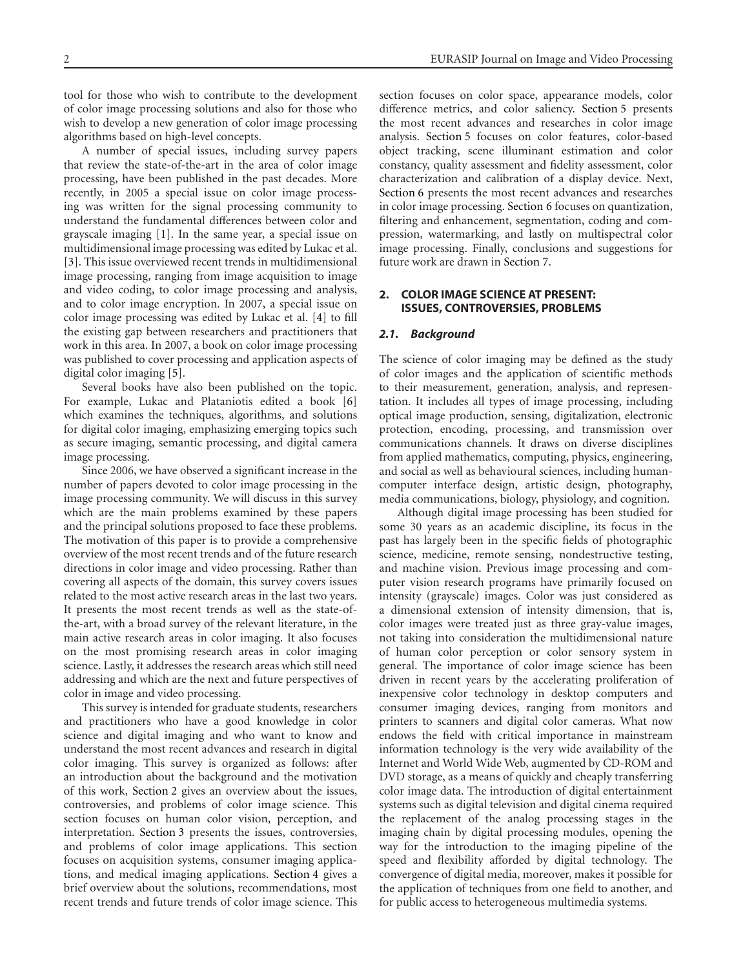tool for those who wish to contribute to the development of color image processing solutions and also for those who wish to develop a new generation of color image processing algorithms based on high-level concepts.

A number of special issues, including survey papers that review the state-of-the-art in the area of color image processing, have been published in the past decades. More recently, in 2005 a special issue on color image processing was written for the signal processing community to understand the fundamental differences between color and grayscale imaging [\[1](#page-19-1)]. In the same year, a special issue on multidimensional image processing was edited by Lukac et al. [\[3\]](#page-19-3). This issue overviewed recent trends in multidimensional image processing, ranging from image acquisition to image and video coding, to color image processing and analysis, and to color image encryption. In 2007, a special issue on color image processing was edited by Lukac et al. [\[4\]](#page-19-4) to fill the existing gap between researchers and practitioners that work in this area. In 2007, a book on color image processing was published to cover processing and application aspects of digital color imaging [\[5\]](#page-19-5).

Several books have also been published on the topic. For example, Lukac and Plataniotis edited a book [\[6](#page-19-6)] which examines the techniques, algorithms, and solutions for digital color imaging, emphasizing emerging topics such as secure imaging, semantic processing, and digital camera image processing.

Since 2006, we have observed a significant increase in the number of papers devoted to color image processing in the image processing community. We will discuss in this survey which are the main problems examined by these papers and the principal solutions proposed to face these problems. The motivation of this paper is to provide a comprehensive overview of the most recent trends and of the future research directions in color image and video processing. Rather than covering all aspects of the domain, this survey covers issues related to the most active research areas in the last two years. It presents the most recent trends as well as the state-ofthe-art, with a broad survey of the relevant literature, in the main active research areas in color imaging. It also focuses on the most promising research areas in color imaging science. Lastly, it addresses the research areas which still need addressing and which are the next and future perspectives of color in image and video processing.

This survey is intended for graduate students, researchers and practitioners who have a good knowledge in color science and digital imaging and who want to know and understand the most recent advances and research in digital color imaging. This survey is organized as follows: after an introduction about the background and the motivation of this work, [Section 2](#page-1-0) gives an overview about the issues, controversies, and problems of color image science. This section focuses on human color vision, perception, and interpretation. [Section 3](#page-3-0) presents the issues, controversies, and problems of color image applications. This section focuses on acquisition systems, consumer imaging applications, and medical imaging applications. [Section 4](#page-6-0) gives a brief overview about the solutions, recommendations, most recent trends and future trends of color image science. This

section focuses on color space, appearance models, color difference metrics, and color saliency. [Section 5](#page-8-0) presents the most recent advances and researches in color image analysis. [Section 5](#page-8-0) focuses on color features, color-based object tracking, scene illuminant estimation and color constancy, quality assessment and fidelity assessment, color characterization and calibration of a display device. Next, [Section 6](#page-13-0) presents the most recent advances and researches in color image processing. [Section 6](#page-13-0) focuses on quantization, filtering and enhancement, segmentation, coding and compression, watermarking, and lastly on multispectral color image processing. Finally, conclusions and suggestions for future work are drawn in [Section 7.](#page-18-0)

#### <span id="page-1-0"></span>**2. COLOR IMAGE SCIENCE AT PRESENT: ISSUES, CONTROVERSIES, PROBLEMS**

#### *2.1. Background*

The science of color imaging may be defined as the study of color images and the application of scientific methods to their measurement, generation, analysis, and representation. It includes all types of image processing, including optical image production, sensing, digitalization, electronic protection, encoding, processing, and transmission over communications channels. It draws on diverse disciplines from applied mathematics, computing, physics, engineering, and social as well as behavioural sciences, including humancomputer interface design, artistic design, photography, media communications, biology, physiology, and cognition.

Although digital image processing has been studied for some 30 years as an academic discipline, its focus in the past has largely been in the specific fields of photographic science, medicine, remote sensing, nondestructive testing, and machine vision. Previous image processing and computer vision research programs have primarily focused on intensity (grayscale) images. Color was just considered as a dimensional extension of intensity dimension, that is, color images were treated just as three gray-value images, not taking into consideration the multidimensional nature of human color perception or color sensory system in general. The importance of color image science has been driven in recent years by the accelerating proliferation of inexpensive color technology in desktop computers and consumer imaging devices, ranging from monitors and printers to scanners and digital color cameras. What now endows the field with critical importance in mainstream information technology is the very wide availability of the Internet and World Wide Web, augmented by CD-ROM and DVD storage, as a means of quickly and cheaply transferring color image data. The introduction of digital entertainment systems such as digital television and digital cinema required the replacement of the analog processing stages in the imaging chain by digital processing modules, opening the way for the introduction to the imaging pipeline of the speed and flexibility afforded by digital technology. The convergence of digital media, moreover, makes it possible for the application of techniques from one field to another, and for public access to heterogeneous multimedia systems.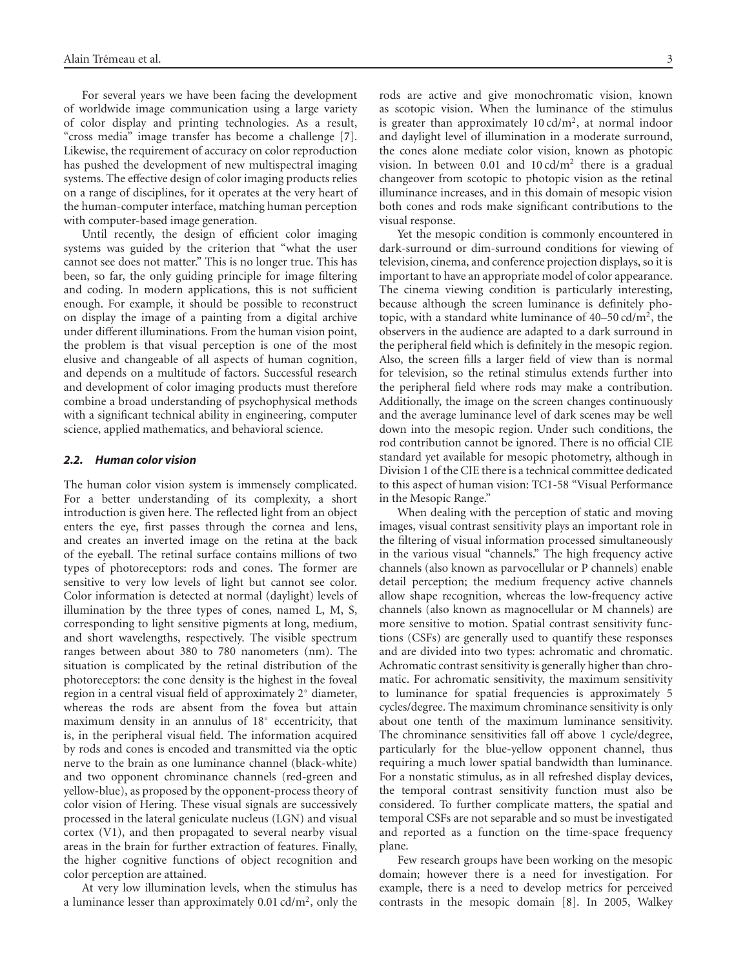For several years we have been facing the development of worldwide image communication using a large variety of color display and printing technologies. As a result, "cross media" image transfer has become a challenge [\[7](#page-19-7)]. Likewise, the requirement of accuracy on color reproduction has pushed the development of new multispectral imaging systems. The effective design of color imaging products relies on a range of disciplines, for it operates at the very heart of the human-computer interface, matching human perception with computer-based image generation.

Until recently, the design of efficient color imaging systems was guided by the criterion that "what the user cannot see does not matter." This is no longer true. This has been, so far, the only guiding principle for image filtering and coding. In modern applications, this is not sufficient enough. For example, it should be possible to reconstruct on display the image of a painting from a digital archive under different illuminations. From the human vision point, the problem is that visual perception is one of the most elusive and changeable of all aspects of human cognition, and depends on a multitude of factors. Successful research and development of color imaging products must therefore combine a broad understanding of psychophysical methods with a significant technical ability in engineering, computer science, applied mathematics, and behavioral science.

#### *2.2. Human color vision*

The human color vision system is immensely complicated. For a better understanding of its complexity, a short introduction is given here. The reflected light from an object enters the eye, first passes through the cornea and lens, and creates an inverted image on the retina at the back of the eyeball. The retinal surface contains millions of two types of photoreceptors: rods and cones. The former are sensitive to very low levels of light but cannot see color. Color information is detected at normal (daylight) levels of illumination by the three types of cones, named L, M, S, corresponding to light sensitive pigments at long, medium, and short wavelengths, respectively. The visible spectrum ranges between about 380 to 780 nanometers (nm). The situation is complicated by the retinal distribution of the photoreceptors: the cone density is the highest in the foveal region in a central visual field of approximately 2◦ diameter, whereas the rods are absent from the fovea but attain maximum density in an annulus of 18◦ eccentricity, that is, in the peripheral visual field. The information acquired by rods and cones is encoded and transmitted via the optic nerve to the brain as one luminance channel (black-white) and two opponent chrominance channels (red-green and yellow-blue), as proposed by the opponent-process theory of color vision of Hering. These visual signals are successively processed in the lateral geniculate nucleus (LGN) and visual cortex (V1), and then propagated to several nearby visual areas in the brain for further extraction of features. Finally, the higher cognitive functions of object recognition and color perception are attained.

At very low illumination levels, when the stimulus has a luminance lesser than approximately  $0.01$  cd/m<sup>2</sup>, only the rods are active and give monochromatic vision, known as scotopic vision. When the luminance of the stimulus is greater than approximately  $10 \text{ cd/m}^2$ , at normal indoor and daylight level of illumination in a moderate surround, the cones alone mediate color vision, known as photopic vision. In between 0.01 and  $10 \text{ cd/m}^2$  there is a gradual changeover from scotopic to photopic vision as the retinal illuminance increases, and in this domain of mesopic vision both cones and rods make significant contributions to the visual response.

Yet the mesopic condition is commonly encountered in dark-surround or dim-surround conditions for viewing of television, cinema, and conference projection displays, so it is important to have an appropriate model of color appearance. The cinema viewing condition is particularly interesting, because although the screen luminance is definitely photopic, with a standard white luminance of  $40-50$  cd/m<sup>2</sup>, the observers in the audience are adapted to a dark surround in the peripheral field which is definitely in the mesopic region. Also, the screen fills a larger field of view than is normal for television, so the retinal stimulus extends further into the peripheral field where rods may make a contribution. Additionally, the image on the screen changes continuously and the average luminance level of dark scenes may be well down into the mesopic region. Under such conditions, the rod contribution cannot be ignored. There is no official CIE standard yet available for mesopic photometry, although in Division 1 of the CIE there is a technical committee dedicated to this aspect of human vision: TC1-58 "Visual Performance in the Mesopic Range."

When dealing with the perception of static and moving images, visual contrast sensitivity plays an important role in the filtering of visual information processed simultaneously in the various visual "channels." The high frequency active channels (also known as parvocellular or P channels) enable detail perception; the medium frequency active channels allow shape recognition, whereas the low-frequency active channels (also known as magnocellular or M channels) are more sensitive to motion. Spatial contrast sensitivity functions (CSFs) are generally used to quantify these responses and are divided into two types: achromatic and chromatic. Achromatic contrast sensitivity is generally higher than chromatic. For achromatic sensitivity, the maximum sensitivity to luminance for spatial frequencies is approximately 5 cycles/degree. The maximum chrominance sensitivity is only about one tenth of the maximum luminance sensitivity. The chrominance sensitivities fall off above 1 cycle/degree, particularly for the blue-yellow opponent channel, thus requiring a much lower spatial bandwidth than luminance. For a nonstatic stimulus, as in all refreshed display devices, the temporal contrast sensitivity function must also be considered. To further complicate matters, the spatial and temporal CSFs are not separable and so must be investigated and reported as a function on the time-space frequency plane.

Few research groups have been working on the mesopic domain; however there is a need for investigation. For example, there is a need to develop metrics for perceived contrasts in the mesopic domain [\[8\]](#page-19-8). In 2005, Walkey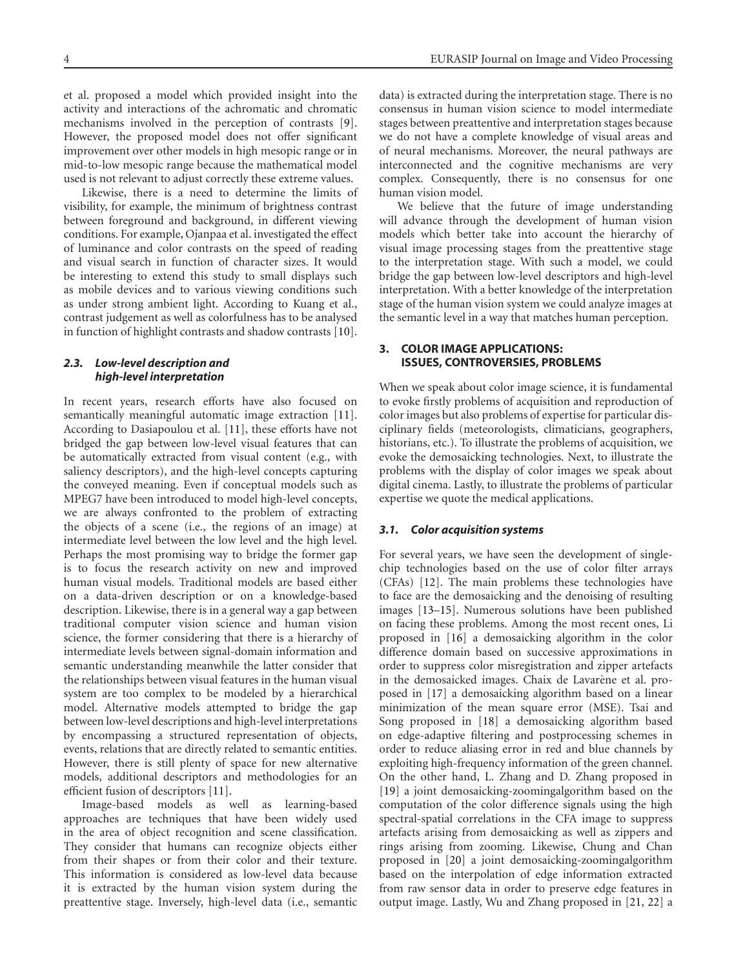et al. proposed a model which provided insight into the activity and interactions of the achromatic and chromatic mechanisms involved in the perception of contrasts [\[9](#page-19-9)]. However, the proposed model does not offer significant improvement over other models in high mesopic range or in mid-to-low mesopic range because the mathematical model used is not relevant to adjust correctly these extreme values.

Likewise, there is a need to determine the limits of visibility, for example, the minimum of brightness contrast between foreground and background, in different viewing conditions. For example, Ojanpaa et al. investigated the effect of luminance and color contrasts on the speed of reading and visual search in function of character sizes. It would be interesting to extend this study to small displays such as mobile devices and to various viewing conditions such as under strong ambient light. According to Kuang et al., contrast judgement as well as colorfulness has to be analysed in function of highlight contrasts and shadow contrasts [\[10](#page-19-10)].

#### *2.3. Low-level description and high-level interpretation*

In recent years, research efforts have also focused on semantically meaningful automatic image extraction [\[11](#page-19-11)]. According to Dasiapoulou et al. [\[11\]](#page-19-11), these efforts have not bridged the gap between low-level visual features that can be automatically extracted from visual content (e.g., with saliency descriptors), and the high-level concepts capturing the conveyed meaning. Even if conceptual models such as MPEG7 have been introduced to model high-level concepts, we are always confronted to the problem of extracting the objects of a scene (i.e., the regions of an image) at intermediate level between the low level and the high level. Perhaps the most promising way to bridge the former gap is to focus the research activity on new and improved human visual models. Traditional models are based either on a data-driven description or on a knowledge-based description. Likewise, there is in a general way a gap between traditional computer vision science and human vision science, the former considering that there is a hierarchy of intermediate levels between signal-domain information and semantic understanding meanwhile the latter consider that the relationships between visual features in the human visual system are too complex to be modeled by a hierarchical model. Alternative models attempted to bridge the gap between low-level descriptions and high-level interpretations by encompassing a structured representation of objects, events, relations that are directly related to semantic entities. However, there is still plenty of space for new alternative models, additional descriptors and methodologies for an efficient fusion of descriptors [\[11\]](#page-19-11).

Image-based models as well as learning-based approaches are techniques that have been widely used in the area of object recognition and scene classification. They consider that humans can recognize objects either from their shapes or from their color and their texture. This information is considered as low-level data because it is extracted by the human vision system during the preattentive stage. Inversely, high-level data (i.e., semantic

data) is extracted during the interpretation stage. There is no consensus in human vision science to model intermediate stages between preattentive and interpretation stages because we do not have a complete knowledge of visual areas and of neural mechanisms. Moreover, the neural pathways are interconnected and the cognitive mechanisms are very complex. Consequently, there is no consensus for one human vision model.

We believe that the future of image understanding will advance through the development of human vision models which better take into account the hierarchy of visual image processing stages from the preattentive stage to the interpretation stage. With such a model, we could bridge the gap between low-level descriptors and high-level interpretation. With a better knowledge of the interpretation stage of the human vision system we could analyze images at the semantic level in a way that matches human perception.

#### <span id="page-3-0"></span>**3. COLOR IMAGE APPLICATIONS: ISSUES, CONTROVERSIES, PROBLEMS**

When we speak about color image science, it is fundamental to evoke firstly problems of acquisition and reproduction of color images but also problems of expertise for particular disciplinary fields (meteorologists, climaticians, geographers, historians, etc.). To illustrate the problems of acquisition, we evoke the demosaicking technologies. Next, to illustrate the problems with the display of color images we speak about digital cinema. Lastly, to illustrate the problems of particular expertise we quote the medical applications.

#### *3.1. Color acquisition systems*

For several years, we have seen the development of singlechip technologies based on the use of color filter arrays (CFAs) [\[12](#page-19-12)]. The main problems these technologies have to face are the demosaicking and the denoising of resulting images [\[13](#page-19-13)[–15](#page-19-14)]. Numerous solutions have been published on facing these problems. Among the most recent ones, Li proposed in [\[16](#page-19-15)] a demosaicking algorithm in the color difference domain based on successive approximations in order to suppress color misregistration and zipper artefacts in the demosaicked images. Chaix de Lavarène et al. proposed in [\[17](#page-19-16)] a demosaicking algorithm based on a linear minimization of the mean square error (MSE). Tsai and Song proposed in [\[18](#page-19-17)] a demosaicking algorithm based on edge-adaptive filtering and postprocessing schemes in order to reduce aliasing error in red and blue channels by exploiting high-frequency information of the green channel. On the other hand, L. Zhang and D. Zhang proposed in [\[19](#page-19-18)] a joint demosaicking-zoomingalgorithm based on the computation of the color difference signals using the high spectral-spatial correlations in the CFA image to suppress artefacts arising from demosaicking as well as zippers and rings arising from zooming. Likewise, Chung and Chan proposed in [\[20](#page-20-0)] a joint demosaicking-zoomingalgorithm based on the interpolation of edge information extracted from raw sensor data in order to preserve edge features in output image. Lastly, Wu and Zhang proposed in [\[21,](#page-20-1) [22](#page-20-2)] a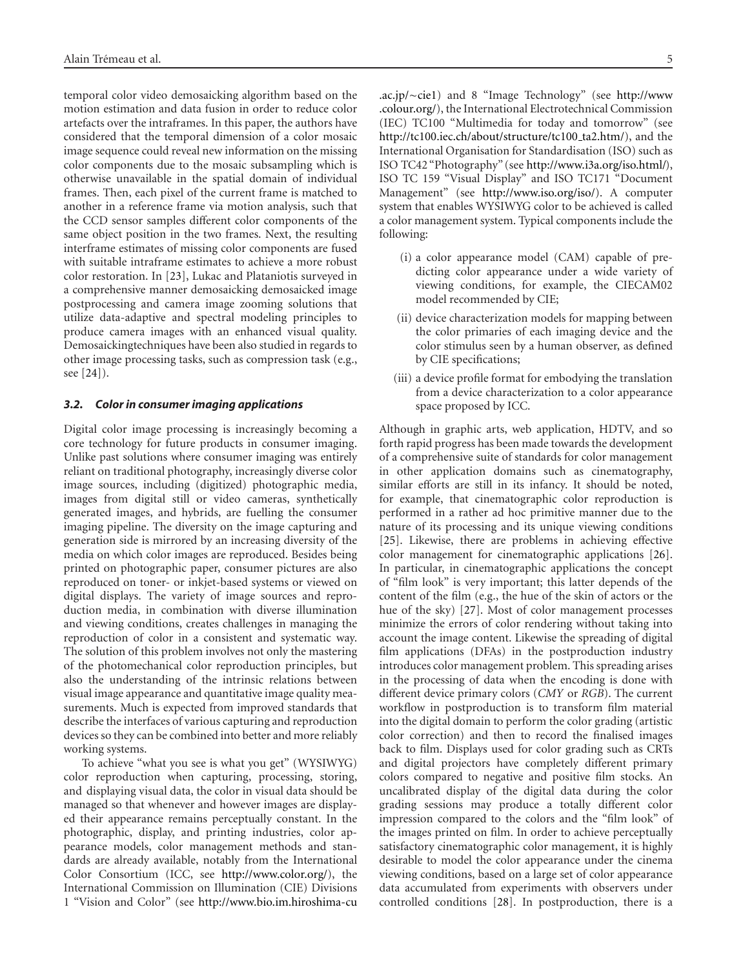temporal color video demosaicking algorithm based on the motion estimation and data fusion in order to reduce color artefacts over the intraframes. In this paper, the authors have considered that the temporal dimension of a color mosaic image sequence could reveal new information on the missing color components due to the mosaic subsampling which is otherwise unavailable in the spatial domain of individual frames. Then, each pixel of the current frame is matched to another in a reference frame via motion analysis, such that the CCD sensor samples different color components of the same object position in the two frames. Next, the resulting interframe estimates of missing color components are fused with suitable intraframe estimates to achieve a more robust color restoration. In [\[23](#page-20-3)], Lukac and Plataniotis surveyed in a comprehensive manner demosaicking demosaicked image postprocessing and camera image zooming solutions that utilize data-adaptive and spectral modeling principles to produce camera images with an enhanced visual quality. Demosaickingtechniques have been also studied in regards to other image processing tasks, such as compression task (e.g., see [\[24\]](#page-20-4)).

#### *3.2. Color in consumer imaging applications*

Digital color image processing is increasingly becoming a core technology for future products in consumer imaging. Unlike past solutions where consumer imaging was entirely reliant on traditional photography, increasingly diverse color image sources, including (digitized) photographic media, images from digital still or video cameras, synthetically generated images, and hybrids, are fuelling the consumer imaging pipeline. The diversity on the image capturing and generation side is mirrored by an increasing diversity of the media on which color images are reproduced. Besides being printed on photographic paper, consumer pictures are also reproduced on toner- or inkjet-based systems or viewed on digital displays. The variety of image sources and reproduction media, in combination with diverse illumination and viewing conditions, creates challenges in managing the reproduction of color in a consistent and systematic way. The solution of this problem involves not only the mastering of the photomechanical color reproduction principles, but also the understanding of the intrinsic relations between visual image appearance and quantitative image quality measurements. Much is expected from improved standards that describe the interfaces of various capturing and reproduction devices so they can be combined into better and more reliably working systems.

To achieve "what you see is what you get" (WYSIWYG) color reproduction when capturing, processing, storing, and displaying visual data, the color in visual data should be managed so that whenever and however images are displayed their appearance remains perceptually constant. In the photographic, display, and printing industries, color appearance models, color management methods and standards are already available, notably from the International Color Consortium (ICC, see [http://www.color.org/\)](http://www.color.org/), the International Commission on Illumination (CIE) Divisions 1 "Vision and Color" (see [http://www.bio.im.hiroshima-cu](http://www.bio.im.hiroshima-cu.ac.jp/~cie1)

[.ac.jp/](http://www.bio.im.hiroshima-cu.ac.jp/~cie1)∼cie1) and 8 "Image Technology" (see [http://www](http://www.colour.org/) [.colour.org/\)](http://www.colour.org/), the International Electrotechnical Commission (IEC) TC100 "Multimedia for today and tomorrow" (see [http://tc100.iec.ch/about/structure/tc100](http://tc100.iec.ch/about/structure/tc100$_$ta2.htm/)\_ta2.htm/), and the International Organisation for Standardisation (ISO) such as ISO TC42 "Photography" (see [http://www.i3a.org/iso.html/\)](http://www.i3a.org/iso.html/), ISO TC 159 "Visual Display" and ISO TC171 "Document Management" (see [http://www.iso.org/iso/\)](http://www.iso.org/iso/). A computer system that enables WYSIWYG color to be achieved is called a color management system. Typical components include the following:

- (i) a color appearance model (CAM) capable of predicting color appearance under a wide variety of viewing conditions, for example, the CIECAM02 model recommended by CIE;
- (ii) device characterization models for mapping between the color primaries of each imaging device and the color stimulus seen by a human observer, as defined by CIE specifications;
- (iii) a device profile format for embodying the translation from a device characterization to a color appearance space proposed by ICC.

Although in graphic arts, web application, HDTV, and so forth rapid progress has been made towards the development of a comprehensive suite of standards for color management in other application domains such as cinematography, similar efforts are still in its infancy. It should be noted, for example, that cinematographic color reproduction is performed in a rather ad hoc primitive manner due to the nature of its processing and its unique viewing conditions [\[25](#page-20-5)]. Likewise, there are problems in achieving effective color management for cinematographic applications [\[26](#page-20-6)]. In particular, in cinematographic applications the concept of "film look" is very important; this latter depends of the content of the film (e.g., the hue of the skin of actors or the hue of the sky) [\[27](#page-20-7)]. Most of color management processes minimize the errors of color rendering without taking into account the image content. Likewise the spreading of digital film applications (DFAs) in the postproduction industry introduces color management problem. This spreading arises in the processing of data when the encoding is done with different device primary colors (*CMY* or *RGB*). The current workflow in postproduction is to transform film material into the digital domain to perform the color grading (artistic color correction) and then to record the finalised images back to film. Displays used for color grading such as CRTs and digital projectors have completely different primary colors compared to negative and positive film stocks. An uncalibrated display of the digital data during the color grading sessions may produce a totally different color impression compared to the colors and the "film look" of the images printed on film. In order to achieve perceptually satisfactory cinematographic color management, it is highly desirable to model the color appearance under the cinema viewing conditions, based on a large set of color appearance data accumulated from experiments with observers under controlled conditions [\[28](#page-20-8)]. In postproduction, there is a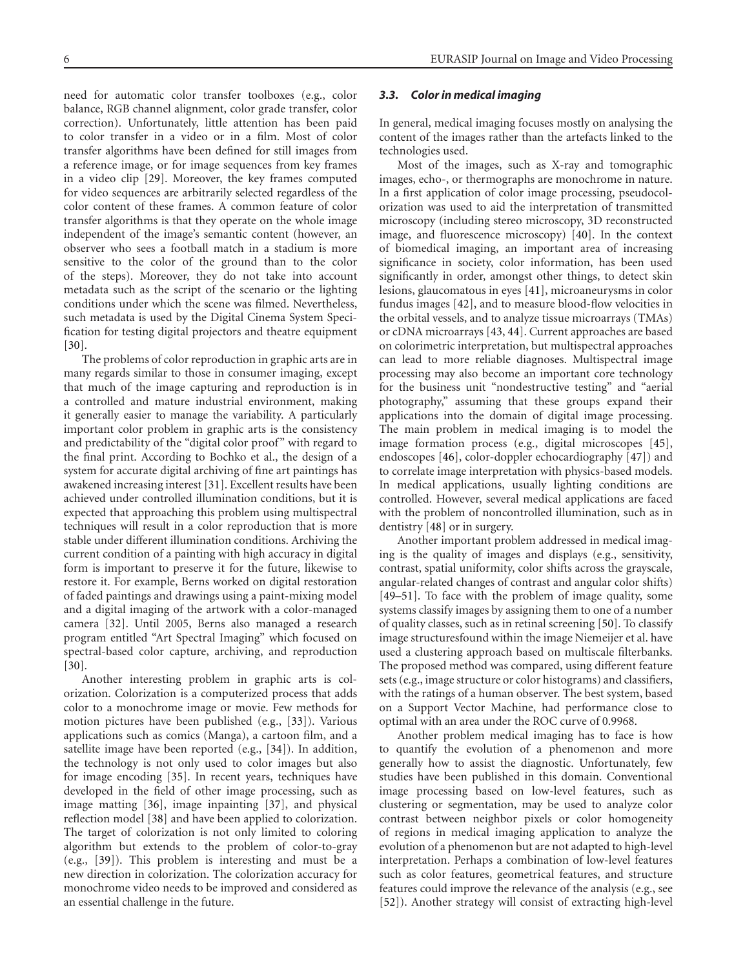need for automatic color transfer toolboxes (e.g., color balance, RGB channel alignment, color grade transfer, color correction). Unfortunately, little attention has been paid to color transfer in a video or in a film. Most of color transfer algorithms have been defined for still images from a reference image, or for image sequences from key frames in a video clip [\[29](#page-20-9)]. Moreover, the key frames computed for video sequences are arbitrarily selected regardless of the color content of these frames. A common feature of color transfer algorithms is that they operate on the whole image independent of the image's semantic content (however, an observer who sees a football match in a stadium is more sensitive to the color of the ground than to the color of the steps). Moreover, they do not take into account metadata such as the script of the scenario or the lighting conditions under which the scene was filmed. Nevertheless, such metadata is used by the Digital Cinema System Specification for testing digital projectors and theatre equipment [\[30](#page-20-10)].

The problems of color reproduction in graphic arts are in many regards similar to those in consumer imaging, except that much of the image capturing and reproduction is in a controlled and mature industrial environment, making it generally easier to manage the variability. A particularly important color problem in graphic arts is the consistency and predictability of the "digital color proof" with regard to the final print. According to Bochko et al., the design of a system for accurate digital archiving of fine art paintings has awakened increasing interest [\[31\]](#page-20-11). Excellent results have been achieved under controlled illumination conditions, but it is expected that approaching this problem using multispectral techniques will result in a color reproduction that is more stable under different illumination conditions. Archiving the current condition of a painting with high accuracy in digital form is important to preserve it for the future, likewise to restore it. For example, Berns worked on digital restoration of faded paintings and drawings using a paint-mixing model and a digital imaging of the artwork with a color-managed camera [\[32](#page-20-12)]. Until 2005, Berns also managed a research program entitled "Art Spectral Imaging" which focused on spectral-based color capture, archiving, and reproduction [\[30](#page-20-10)].

Another interesting problem in graphic arts is colorization. Colorization is a computerized process that adds color to a monochrome image or movie. Few methods for motion pictures have been published (e.g., [\[33\]](#page-20-13)). Various applications such as comics (Manga), a cartoon film, and a satellite image have been reported (e.g., [\[34\]](#page-20-14)). In addition, the technology is not only used to color images but also for image encoding [\[35\]](#page-20-15). In recent years, techniques have developed in the field of other image processing, such as image matting [\[36](#page-20-16)], image inpainting [\[37](#page-20-17)], and physical reflection model [\[38\]](#page-20-18) and have been applied to colorization. The target of colorization is not only limited to coloring algorithm but extends to the problem of color-to-gray (e.g., [\[39](#page-20-19)]). This problem is interesting and must be a new direction in colorization. The colorization accuracy for monochrome video needs to be improved and considered as an essential challenge in the future.

#### *3.3. Color in medical imaging*

In general, medical imaging focuses mostly on analysing the content of the images rather than the artefacts linked to the technologies used.

Most of the images, such as X-ray and tomographic images, echo-, or thermographs are monochrome in nature. In a first application of color image processing, pseudocolorization was used to aid the interpretation of transmitted microscopy (including stereo microscopy, 3D reconstructed image, and fluorescence microscopy) [\[40\]](#page-20-20). In the context of biomedical imaging, an important area of increasing significance in society, color information, has been used significantly in order, amongst other things, to detect skin lesions, glaucomatous in eyes [\[41](#page-20-21)], microaneurysms in color fundus images [\[42\]](#page-20-22), and to measure blood-flow velocities in the orbital vessels, and to analyze tissue microarrays (TMAs) or cDNA microarrays [\[43,](#page-20-23) [44\]](#page-20-24). Current approaches are based on colorimetric interpretation, but multispectral approaches can lead to more reliable diagnoses. Multispectral image processing may also become an important core technology for the business unit "nondestructive testing" and "aerial photography," assuming that these groups expand their applications into the domain of digital image processing. The main problem in medical imaging is to model the image formation process (e.g., digital microscopes [\[45](#page-20-25)], endoscopes [\[46\]](#page-20-26), color-doppler echocardiography [\[47](#page-20-27)]) and to correlate image interpretation with physics-based models. In medical applications, usually lighting conditions are controlled. However, several medical applications are faced with the problem of noncontrolled illumination, such as in dentistry [\[48](#page-20-28)] or in surgery.

Another important problem addressed in medical imaging is the quality of images and displays (e.g., sensitivity, contrast, spatial uniformity, color shifts across the grayscale, angular-related changes of contrast and angular color shifts) [\[49](#page-20-29)[–51\]](#page-20-30). To face with the problem of image quality, some systems classify images by assigning them to one of a number of quality classes, such as in retinal screening [\[50\]](#page-20-31). To classify image structuresfound within the image Niemeijer et al. have used a clustering approach based on multiscale filterbanks. The proposed method was compared, using different feature sets (e.g., image structure or color histograms) and classifiers, with the ratings of a human observer. The best system, based on a Support Vector Machine, had performance close to optimal with an area under the ROC curve of 0.9968.

Another problem medical imaging has to face is how to quantify the evolution of a phenomenon and more generally how to assist the diagnostic. Unfortunately, few studies have been published in this domain. Conventional image processing based on low-level features, such as clustering or segmentation, may be used to analyze color contrast between neighbor pixels or color homogeneity of regions in medical imaging application to analyze the evolution of a phenomenon but are not adapted to high-level interpretation. Perhaps a combination of low-level features such as color features, geometrical features, and structure features could improve the relevance of the analysis (e.g., see [\[52](#page-20-32)]). Another strategy will consist of extracting high-level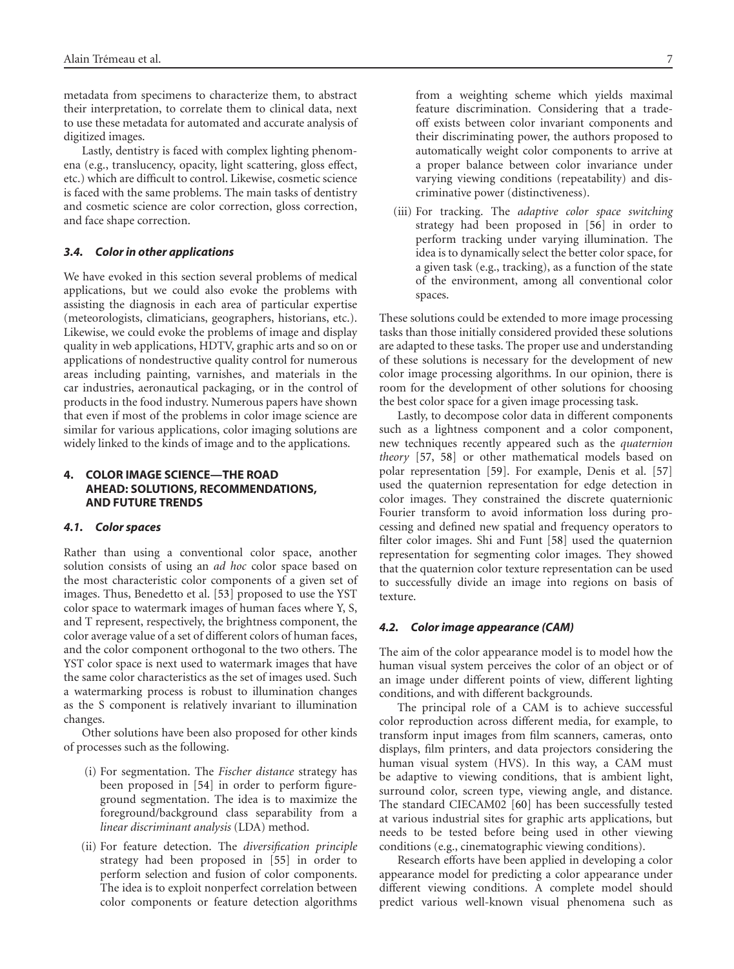metadata from specimens to characterize them, to abstract their interpretation, to correlate them to clinical data, next to use these metadata for automated and accurate analysis of digitized images.

Lastly, dentistry is faced with complex lighting phenomena (e.g., translucency, opacity, light scattering, gloss effect, etc.) which are difficult to control. Likewise, cosmetic science is faced with the same problems. The main tasks of dentistry and cosmetic science are color correction, gloss correction, and face shape correction.

#### *3.4. Color in other applications*

We have evoked in this section several problems of medical applications, but we could also evoke the problems with assisting the diagnosis in each area of particular expertise (meteorologists, climaticians, geographers, historians, etc.). Likewise, we could evoke the problems of image and display quality in web applications, HDTV, graphic arts and so on or applications of nondestructive quality control for numerous areas including painting, varnishes, and materials in the car industries, aeronautical packaging, or in the control of products in the food industry. Numerous papers have shown that even if most of the problems in color image science are similar for various applications, color imaging solutions are widely linked to the kinds of image and to the applications.

#### <span id="page-6-0"></span>**4. COLOR IMAGE SCIENCE—THE ROAD AHEAD: SOLUTIONS, RECOMMENDATIONS, AND FUTURE TRENDS**

#### *4.1. Color spaces*

Rather than using a conventional color space, another solution consists of using an *ad hoc* color space based on the most characteristic color components of a given set of images. Thus, Benedetto et al. [\[53\]](#page-20-33) proposed to use the YST color space to watermark images of human faces where Y, S, and T represent, respectively, the brightness component, the color average value of a set of different colors of human faces, and the color component orthogonal to the two others. The YST color space is next used to watermark images that have the same color characteristics as the set of images used. Such a watermarking process is robust to illumination changes as the S component is relatively invariant to illumination changes.

Other solutions have been also proposed for other kinds of processes such as the following.

- (i) For segmentation. The *Fischer distance* strategy has been proposed in [\[54](#page-20-34)] in order to perform figureground segmentation. The idea is to maximize the foreground/background class separability from a *linear discriminant analysis* (LDA) method.
- (ii) For feature detection. The *diversification principle* strategy had been proposed in [\[55\]](#page-21-0) in order to perform selection and fusion of color components. The idea is to exploit nonperfect correlation between color components or feature detection algorithms

from a weighting scheme which yields maximal feature discrimination. Considering that a tradeoff exists between color invariant components and their discriminating power, the authors proposed to automatically weight color components to arrive at a proper balance between color invariance under varying viewing conditions (repeatability) and discriminative power (distinctiveness).

(iii) For tracking. The *adaptive color space switching* strategy had been proposed in [\[56\]](#page-21-1) in order to perform tracking under varying illumination. The idea is to dynamically select the better color space, for a given task (e.g., tracking), as a function of the state of the environment, among all conventional color spaces.

These solutions could be extended to more image processing tasks than those initially considered provided these solutions are adapted to these tasks. The proper use and understanding of these solutions is necessary for the development of new color image processing algorithms. In our opinion, there is room for the development of other solutions for choosing the best color space for a given image processing task.

Lastly, to decompose color data in different components such as a lightness component and a color component, new techniques recently appeared such as the *quaternion theory* [\[57,](#page-21-2) [58\]](#page-21-3) or other mathematical models based on polar representation [\[59\]](#page-21-4). For example, Denis et al. [\[57\]](#page-21-2) used the quaternion representation for edge detection in color images. They constrained the discrete quaternionic Fourier transform to avoid information loss during processing and defined new spatial and frequency operators to filter color images. Shi and Funt [\[58\]](#page-21-3) used the quaternion representation for segmenting color images. They showed that the quaternion color texture representation can be used to successfully divide an image into regions on basis of texture.

#### *4.2. Color image appearance (CAM)*

The aim of the color appearance model is to model how the human visual system perceives the color of an object or of an image under different points of view, different lighting conditions, and with different backgrounds.

The principal role of a CAM is to achieve successful color reproduction across different media, for example, to transform input images from film scanners, cameras, onto displays, film printers, and data projectors considering the human visual system (HVS). In this way, a CAM must be adaptive to viewing conditions, that is ambient light, surround color, screen type, viewing angle, and distance. The standard CIECAM02 [\[60](#page-21-5)] has been successfully tested at various industrial sites for graphic arts applications, but needs to be tested before being used in other viewing conditions (e.g., cinematographic viewing conditions).

Research efforts have been applied in developing a color appearance model for predicting a color appearance under different viewing conditions. A complete model should predict various well-known visual phenomena such as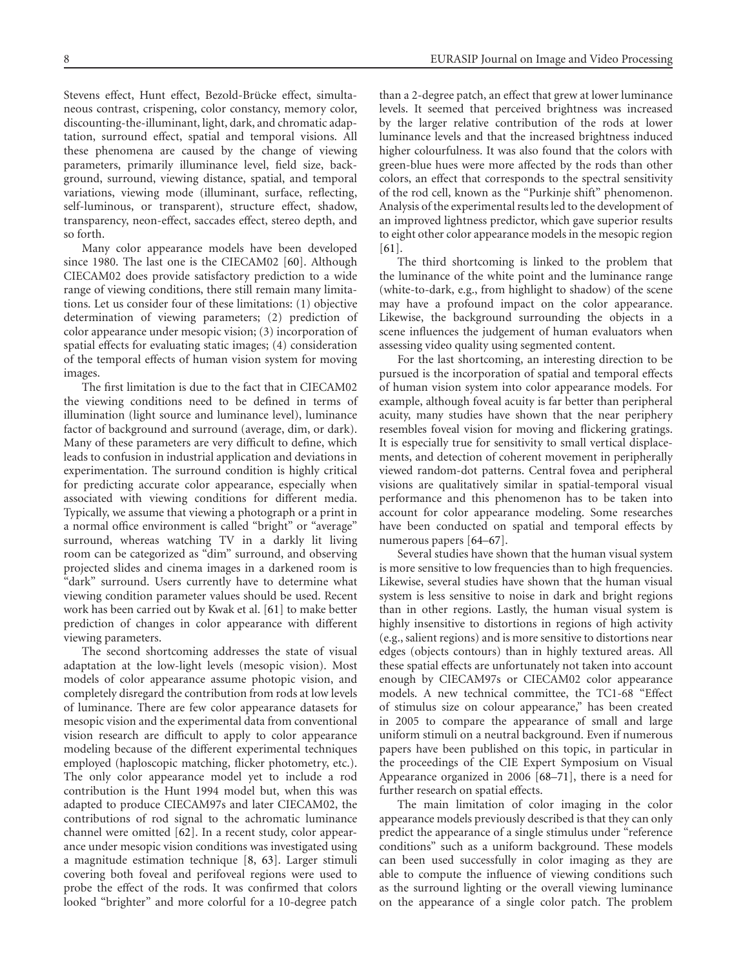Stevens effect, Hunt effect, Bezold-Brücke effect, simultaneous contrast, crispening, color constancy, memory color, discounting-the-illuminant, light, dark, and chromatic adaptation, surround effect, spatial and temporal visions. All these phenomena are caused by the change of viewing parameters, primarily illuminance level, field size, background, surround, viewing distance, spatial, and temporal variations, viewing mode (illuminant, surface, reflecting, self-luminous, or transparent), structure effect, shadow, transparency, neon-effect, saccades effect, stereo depth, and so forth.

Many color appearance models have been developed since 1980. The last one is the CIECAM02 [\[60\]](#page-21-5). Although CIECAM02 does provide satisfactory prediction to a wide range of viewing conditions, there still remain many limitations. Let us consider four of these limitations: (1) objective determination of viewing parameters; (2) prediction of color appearance under mesopic vision; (3) incorporation of spatial effects for evaluating static images; (4) consideration of the temporal effects of human vision system for moving images.

The first limitation is due to the fact that in CIECAM02 the viewing conditions need to be defined in terms of illumination (light source and luminance level), luminance factor of background and surround (average, dim, or dark). Many of these parameters are very difficult to define, which leads to confusion in industrial application and deviations in experimentation. The surround condition is highly critical for predicting accurate color appearance, especially when associated with viewing conditions for different media. Typically, we assume that viewing a photograph or a print in a normal office environment is called "bright" or "average" surround, whereas watching TV in a darkly lit living room can be categorized as "dim" surround, and observing projected slides and cinema images in a darkened room is "dark" surround. Users currently have to determine what viewing condition parameter values should be used. Recent work has been carried out by Kwak et al. [\[61\]](#page-21-6) to make better prediction of changes in color appearance with different viewing parameters.

The second shortcoming addresses the state of visual adaptation at the low-light levels (mesopic vision). Most models of color appearance assume photopic vision, and completely disregard the contribution from rods at low levels of luminance. There are few color appearance datasets for mesopic vision and the experimental data from conventional vision research are difficult to apply to color appearance modeling because of the different experimental techniques employed (haploscopic matching, flicker photometry, etc.). The only color appearance model yet to include a rod contribution is the Hunt 1994 model but, when this was adapted to produce CIECAM97s and later CIECAM02, the contributions of rod signal to the achromatic luminance channel were omitted [\[62\]](#page-21-7). In a recent study, color appearance under mesopic vision conditions was investigated using a magnitude estimation technique [\[8](#page-19-8), [63\]](#page-21-8). Larger stimuli covering both foveal and perifoveal regions were used to probe the effect of the rods. It was confirmed that colors looked "brighter" and more colorful for a 10-degree patch

than a 2-degree patch, an effect that grew at lower luminance levels. It seemed that perceived brightness was increased by the larger relative contribution of the rods at lower luminance levels and that the increased brightness induced higher colourfulness. It was also found that the colors with green-blue hues were more affected by the rods than other colors, an effect that corresponds to the spectral sensitivity of the rod cell, known as the "Purkinje shift" phenomenon. Analysis of the experimental results led to the development of an improved lightness predictor, which gave superior results to eight other color appearance models in the mesopic region [\[61](#page-21-6)].

The third shortcoming is linked to the problem that the luminance of the white point and the luminance range (white-to-dark, e.g., from highlight to shadow) of the scene may have a profound impact on the color appearance. Likewise, the background surrounding the objects in a scene influences the judgement of human evaluators when assessing video quality using segmented content.

For the last shortcoming, an interesting direction to be pursued is the incorporation of spatial and temporal effects of human vision system into color appearance models. For example, although foveal acuity is far better than peripheral acuity, many studies have shown that the near periphery resembles foveal vision for moving and flickering gratings. It is especially true for sensitivity to small vertical displacements, and detection of coherent movement in peripherally viewed random-dot patterns. Central fovea and peripheral visions are qualitatively similar in spatial-temporal visual performance and this phenomenon has to be taken into account for color appearance modeling. Some researches have been conducted on spatial and temporal effects by numerous papers [\[64](#page-21-9)[–67](#page-21-10)].

Several studies have shown that the human visual system is more sensitive to low frequencies than to high frequencies. Likewise, several studies have shown that the human visual system is less sensitive to noise in dark and bright regions than in other regions. Lastly, the human visual system is highly insensitive to distortions in regions of high activity (e.g., salient regions) and is more sensitive to distortions near edges (objects contours) than in highly textured areas. All these spatial effects are unfortunately not taken into account enough by CIECAM97s or CIECAM02 color appearance models. A new technical committee, the TC1-68 "Effect of stimulus size on colour appearance," has been created in 2005 to compare the appearance of small and large uniform stimuli on a neutral background. Even if numerous papers have been published on this topic, in particular in the proceedings of the CIE Expert Symposium on Visual Appearance organized in 2006 [\[68](#page-21-11)[–71](#page-21-12)], there is a need for further research on spatial effects.

The main limitation of color imaging in the color appearance models previously described is that they can only predict the appearance of a single stimulus under "reference conditions" such as a uniform background. These models can been used successfully in color imaging as they are able to compute the influence of viewing conditions such as the surround lighting or the overall viewing luminance on the appearance of a single color patch. The problem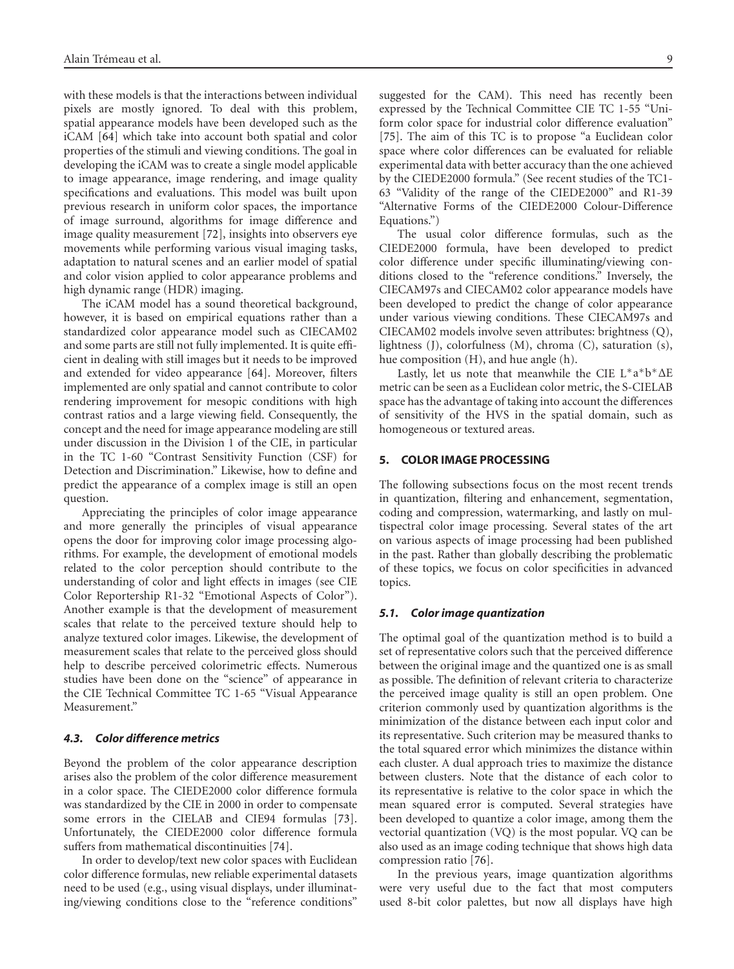with these models is that the interactions between individual pixels are mostly ignored. To deal with this problem, spatial appearance models have been developed such as the iCAM [\[64](#page-21-9)] which take into account both spatial and color properties of the stimuli and viewing conditions. The goal in developing the iCAM was to create a single model applicable to image appearance, image rendering, and image quality specifications and evaluations. This model was built upon previous research in uniform color spaces, the importance of image surround, algorithms for image difference and image quality measurement [\[72\]](#page-21-13), insights into observers eye movements while performing various visual imaging tasks, adaptation to natural scenes and an earlier model of spatial and color vision applied to color appearance problems and high dynamic range (HDR) imaging.

The iCAM model has a sound theoretical background, however, it is based on empirical equations rather than a standardized color appearance model such as CIECAM02 and some parts are still not fully implemented. It is quite efficient in dealing with still images but it needs to be improved and extended for video appearance [\[64](#page-21-9)]. Moreover, filters implemented are only spatial and cannot contribute to color rendering improvement for mesopic conditions with high contrast ratios and a large viewing field. Consequently, the concept and the need for image appearance modeling are still under discussion in the Division 1 of the CIE, in particular in the TC 1-60 "Contrast Sensitivity Function (CSF) for Detection and Discrimination." Likewise, how to define and predict the appearance of a complex image is still an open question.

Appreciating the principles of color image appearance and more generally the principles of visual appearance opens the door for improving color image processing algorithms. For example, the development of emotional models related to the color perception should contribute to the understanding of color and light effects in images (see CIE Color Reportership R1-32 "Emotional Aspects of Color"). Another example is that the development of measurement scales that relate to the perceived texture should help to analyze textured color images. Likewise, the development of measurement scales that relate to the perceived gloss should help to describe perceived colorimetric effects. Numerous studies have been done on the "science" of appearance in the CIE Technical Committee TC 1-65 "Visual Appearance Measurement."

#### *4.3. Color difference metrics*

Beyond the problem of the color appearance description arises also the problem of the color difference measurement in a color space. The CIEDE2000 color difference formula was standardized by the CIE in 2000 in order to compensate some errors in the CIELAB and CIE94 formulas [\[73](#page-21-14)]. Unfortunately, the CIEDE2000 color difference formula suffers from mathematical discontinuities [\[74](#page-21-15)].

In order to develop/text new color spaces with Euclidean color difference formulas, new reliable experimental datasets need to be used (e.g., using visual displays, under illuminating/viewing conditions close to the "reference conditions"

suggested for the CAM). This need has recently been expressed by the Technical Committee CIE TC 1-55 "Uniform color space for industrial color difference evaluation" [\[75](#page-21-16)]. The aim of this TC is to propose "a Euclidean color space where color differences can be evaluated for reliable experimental data with better accuracy than the one achieved by the CIEDE2000 formula." (See recent studies of the TC1- 63 "Validity of the range of the CIEDE2000" and R1-39 "Alternative Forms of the CIEDE2000 Colour-Difference Equations.")

The usual color difference formulas, such as the CIEDE2000 formula, have been developed to predict color difference under specific illuminating/viewing conditions closed to the "reference conditions." Inversely, the CIECAM97s and CIECAM02 color appearance models have been developed to predict the change of color appearance under various viewing conditions. These CIECAM97s and CIECAM02 models involve seven attributes: brightness (Q), lightness (J), colorfulness (M), chroma (C), saturation (s), hue composition (H), and hue angle (h).

Lastly, let us note that meanwhile the CIE  $L^*a^*b^*\Delta E$ metric can be seen as a Euclidean color metric, the S-CIELAB space has the advantage of taking into account the differences of sensitivity of the HVS in the spatial domain, such as homogeneous or textured areas.

#### <span id="page-8-0"></span>**5. COLOR IMAGE PROCESSING**

The following subsections focus on the most recent trends in quantization, filtering and enhancement, segmentation, coding and compression, watermarking, and lastly on multispectral color image processing. Several states of the art on various aspects of image processing had been published in the past. Rather than globally describing the problematic of these topics, we focus on color specificities in advanced topics.

#### *5.1. Color image quantization*

The optimal goal of the quantization method is to build a set of representative colors such that the perceived difference between the original image and the quantized one is as small as possible. The definition of relevant criteria to characterize the perceived image quality is still an open problem. One criterion commonly used by quantization algorithms is the minimization of the distance between each input color and its representative. Such criterion may be measured thanks to the total squared error which minimizes the distance within each cluster. A dual approach tries to maximize the distance between clusters. Note that the distance of each color to its representative is relative to the color space in which the mean squared error is computed. Several strategies have been developed to quantize a color image, among them the vectorial quantization (VQ) is the most popular. VQ can be also used as an image coding technique that shows high data compression ratio [\[76\]](#page-21-17).

In the previous years, image quantization algorithms were very useful due to the fact that most computers used 8-bit color palettes, but now all displays have high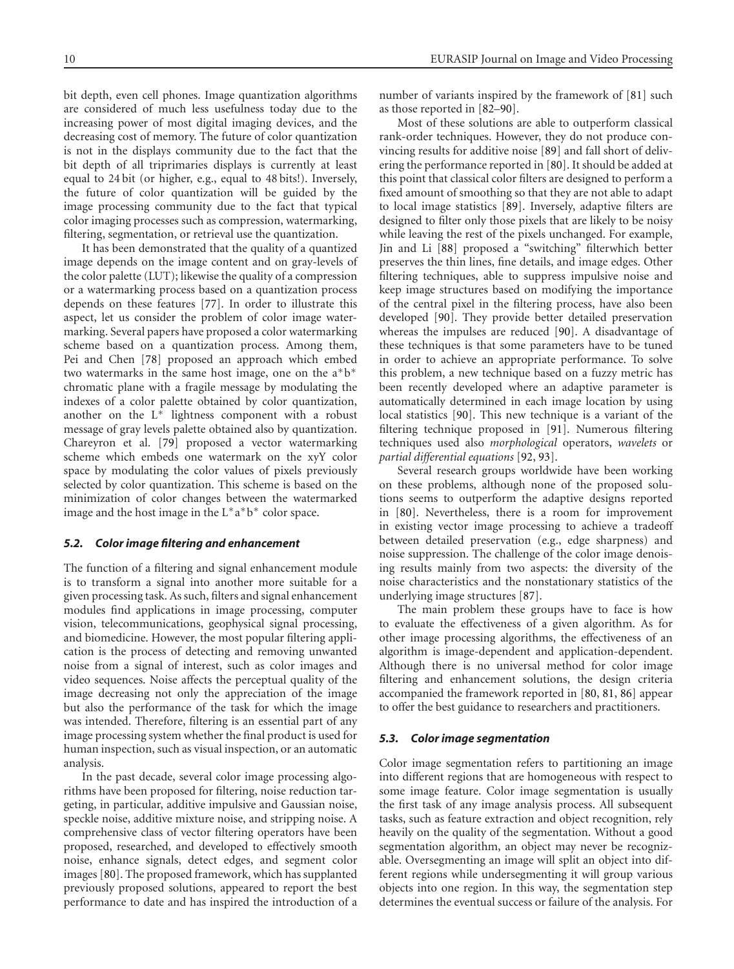bit depth, even cell phones. Image quantization algorithms are considered of much less usefulness today due to the increasing power of most digital imaging devices, and the decreasing cost of memory. The future of color quantization is not in the displays community due to the fact that the bit depth of all triprimaries displays is currently at least equal to 24 bit (or higher, e.g., equal to 48 bits!). Inversely, the future of color quantization will be guided by the image processing community due to the fact that typical color imaging processes such as compression, watermarking, filtering, segmentation, or retrieval use the quantization.

It has been demonstrated that the quality of a quantized image depends on the image content and on gray-levels of the color palette (LUT); likewise the quality of a compression or a watermarking process based on a quantization process depends on these features [\[77](#page-21-18)]. In order to illustrate this aspect, let us consider the problem of color image watermarking. Several papers have proposed a color watermarking scheme based on a quantization process. Among them, Pei and Chen [\[78](#page-21-19)] proposed an approach which embed two watermarks in the same host image, one on the a∗b<sup>∗</sup> chromatic plane with a fragile message by modulating the indexes of a color palette obtained by color quantization, another on the L<sup>∗</sup> lightness component with a robust message of gray levels palette obtained also by quantization. Chareyron et al. [\[79\]](#page-21-20) proposed a vector watermarking scheme which embeds one watermark on the xyY color space by modulating the color values of pixels previously selected by color quantization. This scheme is based on the minimization of color changes between the watermarked image and the host image in the L∗a∗b<sup>∗</sup> color space.

#### *5.2. Color image filtering and enhancement*

The function of a filtering and signal enhancement module is to transform a signal into another more suitable for a given processing task. As such, filters and signal enhancement modules find applications in image processing, computer vision, telecommunications, geophysical signal processing, and biomedicine. However, the most popular filtering application is the process of detecting and removing unwanted noise from a signal of interest, such as color images and video sequences. Noise affects the perceptual quality of the image decreasing not only the appreciation of the image but also the performance of the task for which the image was intended. Therefore, filtering is an essential part of any image processing system whether the final product is used for human inspection, such as visual inspection, or an automatic analysis.

In the past decade, several color image processing algorithms have been proposed for filtering, noise reduction targeting, in particular, additive impulsive and Gaussian noise, speckle noise, additive mixture noise, and stripping noise. A comprehensive class of vector filtering operators have been proposed, researched, and developed to effectively smooth noise, enhance signals, detect edges, and segment color images [\[80\]](#page-21-21). The proposed framework, which has supplanted previously proposed solutions, appeared to report the best performance to date and has inspired the introduction of a

number of variants inspired by the framework of [\[81](#page-21-22)] such as those reported in [\[82](#page-21-23)[–90\]](#page-22-0).

Most of these solutions are able to outperform classical rank-order techniques. However, they do not produce convincing results for additive noise [\[89](#page-22-1)] and fall short of delivering the performance reported in [\[80\]](#page-21-21). It should be added at this point that classical color filters are designed to perform a fixed amount of smoothing so that they are not able to adapt to local image statistics [\[89\]](#page-22-1). Inversely, adaptive filters are designed to filter only those pixels that are likely to be noisy while leaving the rest of the pixels unchanged. For example, Jin and Li [\[88\]](#page-22-2) proposed a "switching" filterwhich better preserves the thin lines, fine details, and image edges. Other filtering techniques, able to suppress impulsive noise and keep image structures based on modifying the importance of the central pixel in the filtering process, have also been developed [\[90](#page-22-0)]. They provide better detailed preservation whereas the impulses are reduced [\[90](#page-22-0)]. A disadvantage of these techniques is that some parameters have to be tuned in order to achieve an appropriate performance. To solve this problem, a new technique based on a fuzzy metric has been recently developed where an adaptive parameter is automatically determined in each image location by using local statistics [\[90\]](#page-22-0). This new technique is a variant of the filtering technique proposed in [\[91\]](#page-22-3). Numerous filtering techniques used also *morphological* operators, *wavelets* or *partial differential equations* [\[92,](#page-22-4) [93](#page-22-5)].

Several research groups worldwide have been working on these problems, although none of the proposed solutions seems to outperform the adaptive designs reported in [\[80\]](#page-21-21). Nevertheless, there is a room for improvement in existing vector image processing to achieve a tradeoff between detailed preservation (e.g., edge sharpness) and noise suppression. The challenge of the color image denoising results mainly from two aspects: the diversity of the noise characteristics and the nonstationary statistics of the underlying image structures [\[87](#page-22-6)].

The main problem these groups have to face is how to evaluate the effectiveness of a given algorithm. As for other image processing algorithms, the effectiveness of an algorithm is image-dependent and application-dependent. Although there is no universal method for color image filtering and enhancement solutions, the design criteria accompanied the framework reported in [\[80,](#page-21-21) [81](#page-21-22), [86\]](#page-21-24) appear to offer the best guidance to researchers and practitioners.

#### *5.3. Color image segmentation*

Color image segmentation refers to partitioning an image into different regions that are homogeneous with respect to some image feature. Color image segmentation is usually the first task of any image analysis process. All subsequent tasks, such as feature extraction and object recognition, rely heavily on the quality of the segmentation. Without a good segmentation algorithm, an object may never be recognizable. Oversegmenting an image will split an object into different regions while undersegmenting it will group various objects into one region. In this way, the segmentation step determines the eventual success or failure of the analysis. For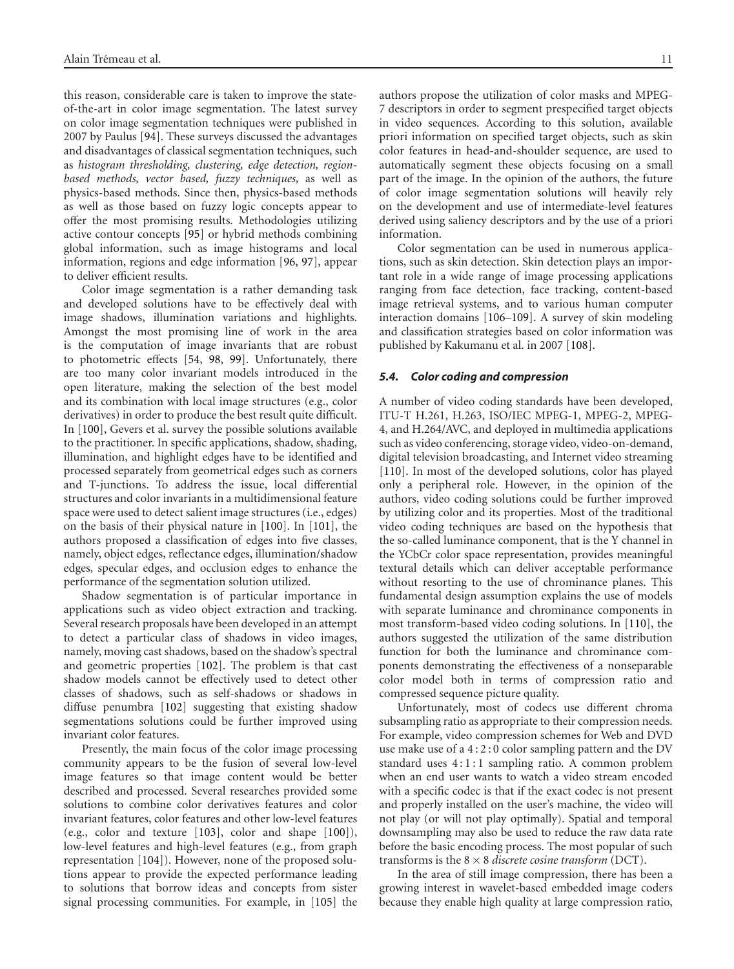this reason, considerable care is taken to improve the stateof-the-art in color image segmentation. The latest survey on color image segmentation techniques were published in 2007 by Paulus [\[94\]](#page-22-7). These surveys discussed the advantages and disadvantages of classical segmentation techniques, such as *histogram thresholding, clustering, edge detection, regionbased methods, vector based, fuzzy techniques,* as well as physics-based methods. Since then, physics-based methods as well as those based on fuzzy logic concepts appear to offer the most promising results. Methodologies utilizing active contour concepts [\[95\]](#page-22-8) or hybrid methods combining global information, such as image histograms and local information, regions and edge information [\[96](#page-22-9), [97](#page-22-10)], appear to deliver efficient results.

Color image segmentation is a rather demanding task and developed solutions have to be effectively deal with image shadows, illumination variations and highlights. Amongst the most promising line of work in the area is the computation of image invariants that are robust to photometric effects [\[54](#page-20-34), [98](#page-22-11), [99](#page-22-12)]. Unfortunately, there are too many color invariant models introduced in the open literature, making the selection of the best model and its combination with local image structures (e.g., color derivatives) in order to produce the best result quite difficult. In [\[100](#page-22-13)], Gevers et al. survey the possible solutions available to the practitioner. In specific applications, shadow, shading, illumination, and highlight edges have to be identified and processed separately from geometrical edges such as corners and T-junctions. To address the issue, local differential structures and color invariants in a multidimensional feature space were used to detect salient image structures (i.e., edges) on the basis of their physical nature in [\[100](#page-22-13)]. In [\[101](#page-22-14)], the authors proposed a classification of edges into five classes, namely, object edges, reflectance edges, illumination/shadow edges, specular edges, and occlusion edges to enhance the performance of the segmentation solution utilized.

Shadow segmentation is of particular importance in applications such as video object extraction and tracking. Several research proposals have been developed in an attempt to detect a particular class of shadows in video images, namely, moving cast shadows, based on the shadow's spectral and geometric properties [\[102](#page-22-15)]. The problem is that cast shadow models cannot be effectively used to detect other classes of shadows, such as self-shadows or shadows in diffuse penumbra [\[102](#page-22-15)] suggesting that existing shadow segmentations solutions could be further improved using invariant color features.

Presently, the main focus of the color image processing community appears to be the fusion of several low-level image features so that image content would be better described and processed. Several researches provided some solutions to combine color derivatives features and color invariant features, color features and other low-level features (e.g., color and texture [\[103\]](#page-22-16), color and shape [\[100](#page-22-13)]), low-level features and high-level features (e.g., from graph representation [\[104](#page-22-17)]). However, none of the proposed solutions appear to provide the expected performance leading to solutions that borrow ideas and concepts from sister signal processing communities. For example, in [\[105\]](#page-22-18) the

authors propose the utilization of color masks and MPEG-7 descriptors in order to segment prespecified target objects in video sequences. According to this solution, available priori information on specified target objects, such as skin color features in head-and-shoulder sequence, are used to automatically segment these objects focusing on a small part of the image. In the opinion of the authors, the future of color image segmentation solutions will heavily rely on the development and use of intermediate-level features derived using saliency descriptors and by the use of a priori information.

Color segmentation can be used in numerous applications, such as skin detection. Skin detection plays an important role in a wide range of image processing applications ranging from face detection, face tracking, content-based image retrieval systems, and to various human computer interaction domains [\[106](#page-22-19)[–109\]](#page-22-20). A survey of skin modeling and classification strategies based on color information was published by Kakumanu et al. in 2007 [\[108\]](#page-22-21).

#### *5.4. Color coding and compression*

A number of video coding standards have been developed, ITU-T H.261, H.263, ISO/IEC MPEG-1, MPEG-2, MPEG-4, and H.264/AVC, and deployed in multimedia applications such as video conferencing, storage video, video-on-demand, digital television broadcasting, and Internet video streaming [\[110](#page-22-22)]. In most of the developed solutions, color has played only a peripheral role. However, in the opinion of the authors, video coding solutions could be further improved by utilizing color and its properties. Most of the traditional video coding techniques are based on the hypothesis that the so-called luminance component, that is the Y channel in the YCbCr color space representation, provides meaningful textural details which can deliver acceptable performance without resorting to the use of chrominance planes. This fundamental design assumption explains the use of models with separate luminance and chrominance components in most transform-based video coding solutions. In [\[110\]](#page-22-22), the authors suggested the utilization of the same distribution function for both the luminance and chrominance components demonstrating the effectiveness of a nonseparable color model both in terms of compression ratio and compressed sequence picture quality.

Unfortunately, most of codecs use different chroma subsampling ratio as appropriate to their compression needs. For example, video compression schemes for Web and DVD use make use of a 4 : 2 : 0 color sampling pattern and the DV standard uses  $4:1:1$  sampling ratio. A common problem when an end user wants to watch a video stream encoded with a specific codec is that if the exact codec is not present and properly installed on the user's machine, the video will not play (or will not play optimally). Spatial and temporal downsampling may also be used to reduce the raw data rate before the basic encoding process. The most popular of such transforms is the 8 × 8 *discrete cosine transform* (DCT).

In the area of still image compression, there has been a growing interest in wavelet-based embedded image coders because they enable high quality at large compression ratio,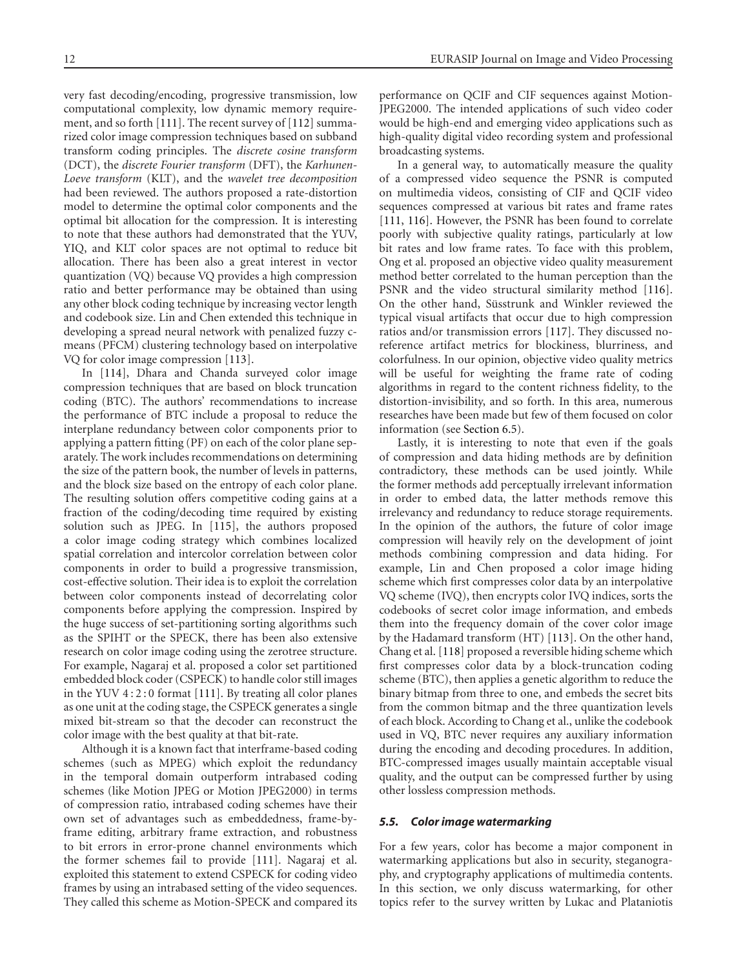very fast decoding/encoding, progressive transmission, low computational complexity, low dynamic memory requirement, and so forth [\[111](#page-22-23)]. The recent survey of [\[112](#page-22-24)] summarized color image compression techniques based on subband transform coding principles. The *discrete cosine transform* (DCT), the *discrete Fourier transform* (DFT), the *Karhunen-Loeve transform* (KLT), and the *wavelet tree decomposition* had been reviewed. The authors proposed a rate-distortion model to determine the optimal color components and the optimal bit allocation for the compression. It is interesting to note that these authors had demonstrated that the YUV, YIQ, and KLT color spaces are not optimal to reduce bit allocation. There has been also a great interest in vector quantization (VQ) because VQ provides a high compression ratio and better performance may be obtained than using any other block coding technique by increasing vector length and codebook size. Lin and Chen extended this technique in developing a spread neural network with penalized fuzzy cmeans (PFCM) clustering technology based on interpolative VQ for color image compression [\[113\]](#page-22-25).

In [\[114\]](#page-22-26), Dhara and Chanda surveyed color image compression techniques that are based on block truncation coding (BTC). The authors' recommendations to increase the performance of BTC include a proposal to reduce the interplane redundancy between color components prior to applying a pattern fitting (PF) on each of the color plane separately. The work includes recommendations on determining the size of the pattern book, the number of levels in patterns, and the block size based on the entropy of each color plane. The resulting solution offers competitive coding gains at a fraction of the coding/decoding time required by existing solution such as JPEG. In [\[115](#page-22-27)], the authors proposed a color image coding strategy which combines localized spatial correlation and intercolor correlation between color components in order to build a progressive transmission, cost-effective solution. Their idea is to exploit the correlation between color components instead of decorrelating color components before applying the compression. Inspired by the huge success of set-partitioning sorting algorithms such as the SPIHT or the SPECK, there has been also extensive research on color image coding using the zerotree structure. For example, Nagaraj et al. proposed a color set partitioned embedded block coder (CSPECK) to handle color still images in the YUV 4 : 2 : 0 format [\[111\]](#page-22-23). By treating all color planes as one unit at the coding stage, the CSPECK generates a single mixed bit-stream so that the decoder can reconstruct the color image with the best quality at that bit-rate.

Although it is a known fact that interframe-based coding schemes (such as MPEG) which exploit the redundancy in the temporal domain outperform intrabased coding schemes (like Motion JPEG or Motion JPEG2000) in terms of compression ratio, intrabased coding schemes have their own set of advantages such as embeddedness, frame-byframe editing, arbitrary frame extraction, and robustness to bit errors in error-prone channel environments which the former schemes fail to provide [\[111\]](#page-22-23). Nagaraj et al. exploited this statement to extend CSPECK for coding video frames by using an intrabased setting of the video sequences. They called this scheme as Motion-SPECK and compared its

performance on QCIF and CIF sequences against Motion-JPEG2000. The intended applications of such video coder would be high-end and emerging video applications such as high-quality digital video recording system and professional broadcasting systems.

In a general way, to automatically measure the quality of a compressed video sequence the PSNR is computed on multimedia videos, consisting of CIF and QCIF video sequences compressed at various bit rates and frame rates [\[111](#page-22-23), [116\]](#page-22-28). However, the PSNR has been found to correlate poorly with subjective quality ratings, particularly at low bit rates and low frame rates. To face with this problem, Ong et al. proposed an objective video quality measurement method better correlated to the human perception than the PSNR and the video structural similarity method [\[116](#page-22-28)]. On the other hand, Süsstrunk and Winkler reviewed the typical visual artifacts that occur due to high compression ratios and/or transmission errors [\[117\]](#page-22-29). They discussed noreference artifact metrics for blockiness, blurriness, and colorfulness. In our opinion, objective video quality metrics will be useful for weighting the frame rate of coding algorithms in regard to the content richness fidelity, to the distortion-invisibility, and so forth. In this area, numerous researches have been made but few of them focused on color information (see [Section 6.5\)](#page-16-0).

Lastly, it is interesting to note that even if the goals of compression and data hiding methods are by definition contradictory, these methods can be used jointly. While the former methods add perceptually irrelevant information in order to embed data, the latter methods remove this irrelevancy and redundancy to reduce storage requirements. In the opinion of the authors, the future of color image compression will heavily rely on the development of joint methods combining compression and data hiding. For example, Lin and Chen proposed a color image hiding scheme which first compresses color data by an interpolative VQ scheme (IVQ), then encrypts color IVQ indices, sorts the codebooks of secret color image information, and embeds them into the frequency domain of the cover color image by the Hadamard transform (HT) [\[113\]](#page-22-25). On the other hand, Chang et al. [\[118](#page-22-30)] proposed a reversible hiding scheme which first compresses color data by a block-truncation coding scheme (BTC), then applies a genetic algorithm to reduce the binary bitmap from three to one, and embeds the secret bits from the common bitmap and the three quantization levels of each block. According to Chang et al., unlike the codebook used in VQ, BTC never requires any auxiliary information during the encoding and decoding procedures. In addition, BTC-compressed images usually maintain acceptable visual quality, and the output can be compressed further by using other lossless compression methods.

#### *5.5. Color image watermarking*

For a few years, color has become a major component in watermarking applications but also in security, steganography, and cryptography applications of multimedia contents. In this section, we only discuss watermarking, for other topics refer to the survey written by Lukac and Plataniotis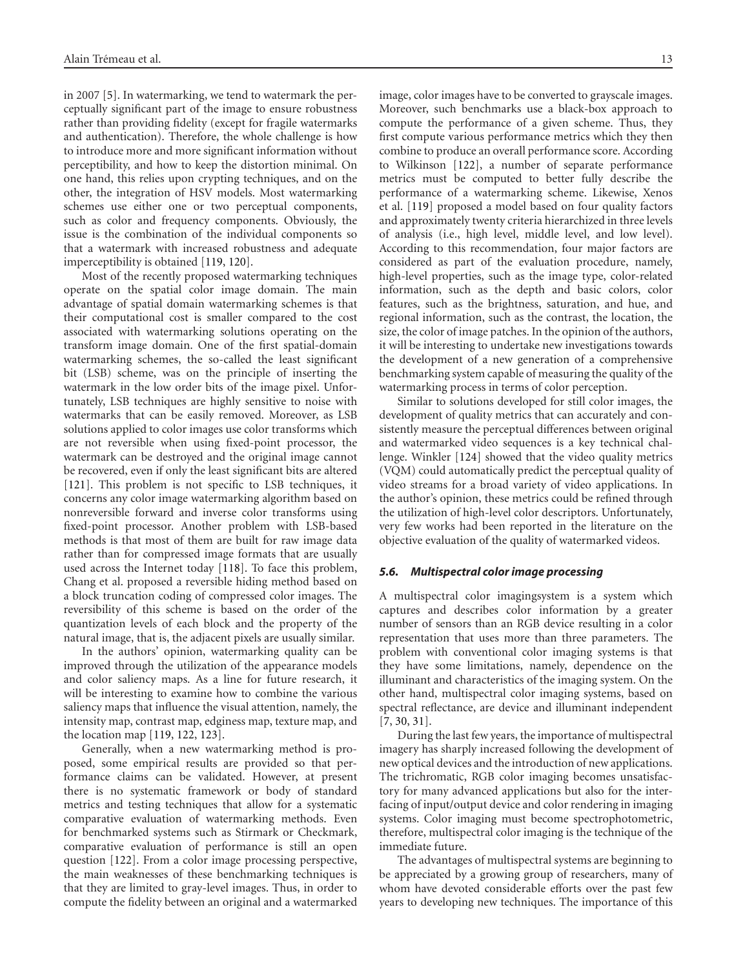in 2007 [\[5](#page-19-5)]. In watermarking, we tend to watermark the perceptually significant part of the image to ensure robustness rather than providing fidelity (except for fragile watermarks and authentication). Therefore, the whole challenge is how to introduce more and more significant information without perceptibility, and how to keep the distortion minimal. On one hand, this relies upon crypting techniques, and on the other, the integration of HSV models. Most watermarking schemes use either one or two perceptual components, such as color and frequency components. Obviously, the issue is the combination of the individual components so that a watermark with increased robustness and adequate imperceptibility is obtained [\[119](#page-22-31), [120](#page-22-32)].

Most of the recently proposed watermarking techniques operate on the spatial color image domain. The main advantage of spatial domain watermarking schemes is that their computational cost is smaller compared to the cost associated with watermarking solutions operating on the transform image domain. One of the first spatial-domain watermarking schemes, the so-called the least significant bit (LSB) scheme, was on the principle of inserting the watermark in the low order bits of the image pixel. Unfortunately, LSB techniques are highly sensitive to noise with watermarks that can be easily removed. Moreover, as LSB solutions applied to color images use color transforms which are not reversible when using fixed-point processor, the watermark can be destroyed and the original image cannot be recovered, even if only the least significant bits are altered [\[121](#page-22-33)]. This problem is not specific to LSB techniques, it concerns any color image watermarking algorithm based on nonreversible forward and inverse color transforms using fixed-point processor. Another problem with LSB-based methods is that most of them are built for raw image data rather than for compressed image formats that are usually used across the Internet today [\[118](#page-22-30)]. To face this problem, Chang et al. proposed a reversible hiding method based on a block truncation coding of compressed color images. The reversibility of this scheme is based on the order of the quantization levels of each block and the property of the natural image, that is, the adjacent pixels are usually similar.

In the authors' opinion, watermarking quality can be improved through the utilization of the appearance models and color saliency maps. As a line for future research, it will be interesting to examine how to combine the various saliency maps that influence the visual attention, namely, the intensity map, contrast map, edginess map, texture map, and the location map [\[119,](#page-22-31) [122,](#page-22-34) [123\]](#page-23-0).

Generally, when a new watermarking method is proposed, some empirical results are provided so that performance claims can be validated. However, at present there is no systematic framework or body of standard metrics and testing techniques that allow for a systematic comparative evaluation of watermarking methods. Even for benchmarked systems such as Stirmark or Checkmark, comparative evaluation of performance is still an open question [\[122\]](#page-22-34). From a color image processing perspective, the main weaknesses of these benchmarking techniques is that they are limited to gray-level images. Thus, in order to compute the fidelity between an original and a watermarked

image, color images have to be converted to grayscale images. Moreover, such benchmarks use a black-box approach to compute the performance of a given scheme. Thus, they first compute various performance metrics which they then combine to produce an overall performance score. According to Wilkinson [\[122\]](#page-22-34), a number of separate performance metrics must be computed to better fully describe the performance of a watermarking scheme. Likewise, Xenos et al. [\[119\]](#page-22-31) proposed a model based on four quality factors and approximately twenty criteria hierarchized in three levels of analysis (i.e., high level, middle level, and low level). According to this recommendation, four major factors are considered as part of the evaluation procedure, namely, high-level properties, such as the image type, color-related information, such as the depth and basic colors, color features, such as the brightness, saturation, and hue, and regional information, such as the contrast, the location, the size, the color of image patches. In the opinion of the authors, it will be interesting to undertake new investigations towards the development of a new generation of a comprehensive benchmarking system capable of measuring the quality of the watermarking process in terms of color perception.

Similar to solutions developed for still color images, the development of quality metrics that can accurately and consistently measure the perceptual differences between original and watermarked video sequences is a key technical challenge. Winkler [\[124](#page-23-1)] showed that the video quality metrics (VQM) could automatically predict the perceptual quality of video streams for a broad variety of video applications. In the author's opinion, these metrics could be refined through the utilization of high-level color descriptors. Unfortunately, very few works had been reported in the literature on the objective evaluation of the quality of watermarked videos.

#### *5.6. Multispectral color image processing*

A multispectral color imagingsystem is a system which captures and describes color information by a greater number of sensors than an RGB device resulting in a color representation that uses more than three parameters. The problem with conventional color imaging systems is that they have some limitations, namely, dependence on the illuminant and characteristics of the imaging system. On the other hand, multispectral color imaging systems, based on spectral reflectance, are device and illuminant independent [\[7,](#page-19-7) [30,](#page-20-10) [31](#page-20-11)].

During the last few years, the importance of multispectral imagery has sharply increased following the development of new optical devices and the introduction of new applications. The trichromatic, RGB color imaging becomes unsatisfactory for many advanced applications but also for the interfacing of input/output device and color rendering in imaging systems. Color imaging must become spectrophotometric, therefore, multispectral color imaging is the technique of the immediate future.

The advantages of multispectral systems are beginning to be appreciated by a growing group of researchers, many of whom have devoted considerable efforts over the past few years to developing new techniques. The importance of this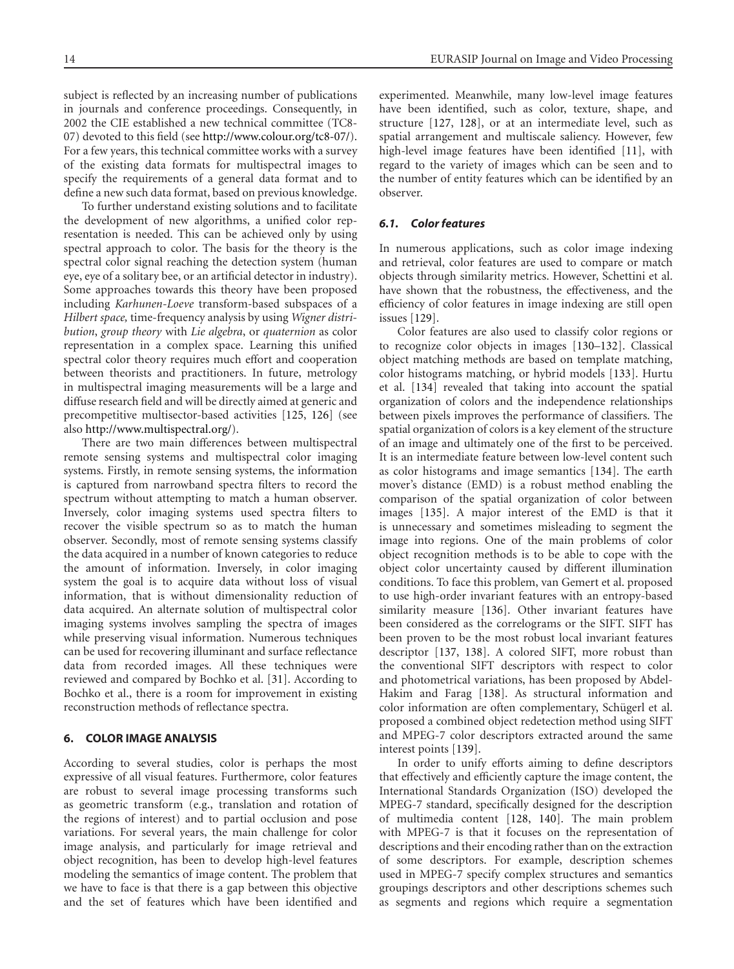subject is reflected by an increasing number of publications in journals and conference proceedings. Consequently, in 2002 the CIE established a new technical committee (TC8- 07) devoted to this field (see [http://www.colour.org/tc8-07/\)](http://www.colour.org/tc8-07/). For a few years, this technical committee works with a survey of the existing data formats for multispectral images to specify the requirements of a general data format and to define a new such data format, based on previous knowledge.

To further understand existing solutions and to facilitate the development of new algorithms, a unified color representation is needed. This can be achieved only by using spectral approach to color. The basis for the theory is the spectral color signal reaching the detection system (human eye, eye of a solitary bee, or an artificial detector in industry). Some approaches towards this theory have been proposed including *Karhunen-Loeve* transform-based subspaces of a *Hilbert space,* time-frequency analysis by using *Wigner distribution*, *group theory* with *Lie algebra*, or *quaternion* as color representation in a complex space. Learning this unified spectral color theory requires much effort and cooperation between theorists and practitioners. In future, metrology in multispectral imaging measurements will be a large and diffuse research field and will be directly aimed at generic and precompetitive multisector-based activities [\[125](#page-23-2), [126\]](#page-23-3) (see also [http://www.multispectral.org/\)](http://www.multispectral.org/).

There are two main differences between multispectral remote sensing systems and multispectral color imaging systems. Firstly, in remote sensing systems, the information is captured from narrowband spectra filters to record the spectrum without attempting to match a human observer. Inversely, color imaging systems used spectra filters to recover the visible spectrum so as to match the human observer. Secondly, most of remote sensing systems classify the data acquired in a number of known categories to reduce the amount of information. Inversely, in color imaging system the goal is to acquire data without loss of visual information, that is without dimensionality reduction of data acquired. An alternate solution of multispectral color imaging systems involves sampling the spectra of images while preserving visual information. Numerous techniques can be used for recovering illuminant and surface reflectance data from recorded images. All these techniques were reviewed and compared by Bochko et al. [\[31\]](#page-20-11). According to Bochko et al., there is a room for improvement in existing reconstruction methods of reflectance spectra.

#### <span id="page-13-0"></span>**6. COLOR IMAGE ANALYSIS**

According to several studies, color is perhaps the most expressive of all visual features. Furthermore, color features are robust to several image processing transforms such as geometric transform (e.g., translation and rotation of the regions of interest) and to partial occlusion and pose variations. For several years, the main challenge for color image analysis, and particularly for image retrieval and object recognition, has been to develop high-level features modeling the semantics of image content. The problem that we have to face is that there is a gap between this objective and the set of features which have been identified and

experimented. Meanwhile, many low-level image features have been identified, such as color, texture, shape, and structure [\[127,](#page-23-4) [128\]](#page-23-5), or at an intermediate level, such as spatial arrangement and multiscale saliency. However, few high-level image features have been identified [\[11](#page-19-11)], with regard to the variety of images which can be seen and to the number of entity features which can be identified by an observer.

#### *6.1. Color features*

In numerous applications, such as color image indexing and retrieval, color features are used to compare or match objects through similarity metrics. However, Schettini et al. have shown that the robustness, the effectiveness, and the efficiency of color features in image indexing are still open issues [\[129](#page-23-6)].

Color features are also used to classify color regions or to recognize color objects in images [\[130](#page-23-7)[–132](#page-23-8)]. Classical object matching methods are based on template matching, color histograms matching, or hybrid models [\[133\]](#page-23-9). Hurtu et al. [\[134](#page-23-10)] revealed that taking into account the spatial organization of colors and the independence relationships between pixels improves the performance of classifiers. The spatial organization of colors is a key element of the structure of an image and ultimately one of the first to be perceived. It is an intermediate feature between low-level content such as color histograms and image semantics [\[134\]](#page-23-10). The earth mover's distance (EMD) is a robust method enabling the comparison of the spatial organization of color between images [\[135](#page-23-11)]. A major interest of the EMD is that it is unnecessary and sometimes misleading to segment the image into regions. One of the main problems of color object recognition methods is to be able to cope with the object color uncertainty caused by different illumination conditions. To face this problem, van Gemert et al. proposed to use high-order invariant features with an entropy-based similarity measure [\[136](#page-23-12)]. Other invariant features have been considered as the correlograms or the SIFT. SIFT has been proven to be the most robust local invariant features descriptor [\[137](#page-23-13), [138\]](#page-23-14). A colored SIFT, more robust than the conventional SIFT descriptors with respect to color and photometrical variations, has been proposed by Abdel-Hakim and Farag [\[138](#page-23-14)]. As structural information and color information are often complementary, Schügerl et al. proposed a combined object redetection method using SIFT and MPEG-7 color descriptors extracted around the same interest points [\[139](#page-23-15)].

In order to unify efforts aiming to define descriptors that effectively and efficiently capture the image content, the International Standards Organization (ISO) developed the MPEG-7 standard, specifically designed for the description of multimedia content [\[128,](#page-23-5) [140](#page-23-16)]. The main problem with MPEG-7 is that it focuses on the representation of descriptions and their encoding rather than on the extraction of some descriptors. For example, description schemes used in MPEG-7 specify complex structures and semantics groupings descriptors and other descriptions schemes such as segments and regions which require a segmentation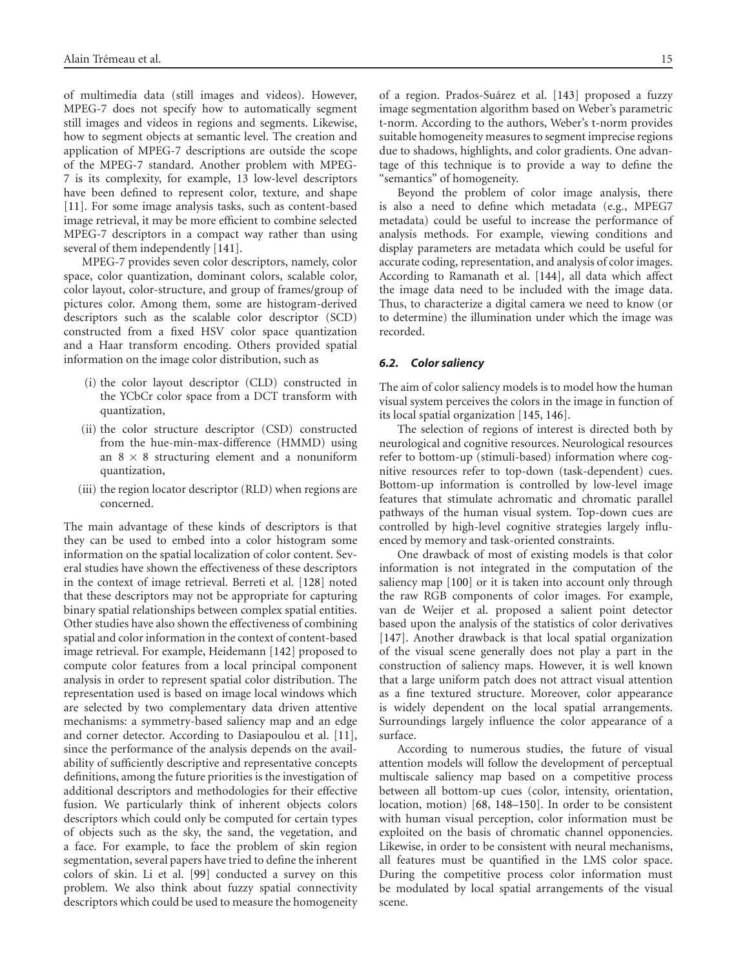of multimedia data (still images and videos). However, MPEG-7 does not specify how to automatically segment still images and videos in regions and segments. Likewise, how to segment objects at semantic level. The creation and application of MPEG-7 descriptions are outside the scope of the MPEG-7 standard. Another problem with MPEG-7 is its complexity, for example, 13 low-level descriptors have been defined to represent color, texture, and shape [\[11](#page-19-11)]. For some image analysis tasks, such as content-based image retrieval, it may be more efficient to combine selected MPEG-7 descriptors in a compact way rather than using several of them independently [\[141](#page-23-17)].

MPEG-7 provides seven color descriptors, namely, color space, color quantization, dominant colors, scalable color, color layout, color-structure, and group of frames/group of pictures color. Among them, some are histogram-derived descriptors such as the scalable color descriptor (SCD) constructed from a fixed HSV color space quantization and a Haar transform encoding. Others provided spatial information on the image color distribution, such as

- (i) the color layout descriptor (CLD) constructed in the YCbCr color space from a DCT transform with quantization,
- (ii) the color structure descriptor (CSD) constructed from the hue-min-max-difference (HMMD) using an  $8 \times 8$  structuring element and a nonuniform quantization,
- (iii) the region locator descriptor (RLD) when regions are concerned.

The main advantage of these kinds of descriptors is that they can be used to embed into a color histogram some information on the spatial localization of color content. Several studies have shown the effectiveness of these descriptors in the context of image retrieval. Berreti et al. [\[128](#page-23-5)] noted that these descriptors may not be appropriate for capturing binary spatial relationships between complex spatial entities. Other studies have also shown the effectiveness of combining spatial and color information in the context of content-based image retrieval. For example, Heidemann [\[142](#page-23-18)] proposed to compute color features from a local principal component analysis in order to represent spatial color distribution. The representation used is based on image local windows which are selected by two complementary data driven attentive mechanisms: a symmetry-based saliency map and an edge and corner detector. According to Dasiapoulou et al. [\[11](#page-19-11)], since the performance of the analysis depends on the availability of sufficiently descriptive and representative concepts definitions, among the future priorities is the investigation of additional descriptors and methodologies for their effective fusion. We particularly think of inherent objects colors descriptors which could only be computed for certain types of objects such as the sky, the sand, the vegetation, and a face. For example, to face the problem of skin region segmentation, several papers have tried to define the inherent colors of skin. Li et al. [\[99](#page-22-12)] conducted a survey on this problem. We also think about fuzzy spatial connectivity descriptors which could be used to measure the homogeneity of a region. Prados-Suárez et al. [[143](#page-23-19)] proposed a fuzzy image segmentation algorithm based on Weber's parametric t-norm. According to the authors, Weber's t-norm provides suitable homogeneity measures to segment imprecise regions

due to shadows, highlights, and color gradients. One advantage of this technique is to provide a way to define the "semantics" of homogeneity.

Beyond the problem of color image analysis, there is also a need to define which metadata (e.g., MPEG7 metadata) could be useful to increase the performance of analysis methods. For example, viewing conditions and display parameters are metadata which could be useful for accurate coding, representation, and analysis of color images. According to Ramanath et al. [\[144](#page-23-20)], all data which affect the image data need to be included with the image data. Thus, to characterize a digital camera we need to know (or to determine) the illumination under which the image was recorded.

#### *6.2. Color saliency*

The aim of color saliency models is to model how the human visual system perceives the colors in the image in function of its local spatial organization [\[145,](#page-23-21) [146\]](#page-23-22).

The selection of regions of interest is directed both by neurological and cognitive resources. Neurological resources refer to bottom-up (stimuli-based) information where cognitive resources refer to top-down (task-dependent) cues. Bottom-up information is controlled by low-level image features that stimulate achromatic and chromatic parallel pathways of the human visual system. Top-down cues are controlled by high-level cognitive strategies largely influenced by memory and task-oriented constraints.

One drawback of most of existing models is that color information is not integrated in the computation of the saliency map [\[100](#page-22-13)] or it is taken into account only through the raw RGB components of color images. For example, van de Weijer et al. proposed a salient point detector based upon the analysis of the statistics of color derivatives [\[147](#page-23-23)]. Another drawback is that local spatial organization of the visual scene generally does not play a part in the construction of saliency maps. However, it is well known that a large uniform patch does not attract visual attention as a fine textured structure. Moreover, color appearance is widely dependent on the local spatial arrangements. Surroundings largely influence the color appearance of a surface.

According to numerous studies, the future of visual attention models will follow the development of perceptual multiscale saliency map based on a competitive process between all bottom-up cues (color, intensity, orientation, location, motion) [\[68,](#page-21-11) [148](#page-23-24)[–150](#page-23-25)]. In order to be consistent with human visual perception, color information must be exploited on the basis of chromatic channel opponencies. Likewise, in order to be consistent with neural mechanisms, all features must be quantified in the LMS color space. During the competitive process color information must be modulated by local spatial arrangements of the visual scene.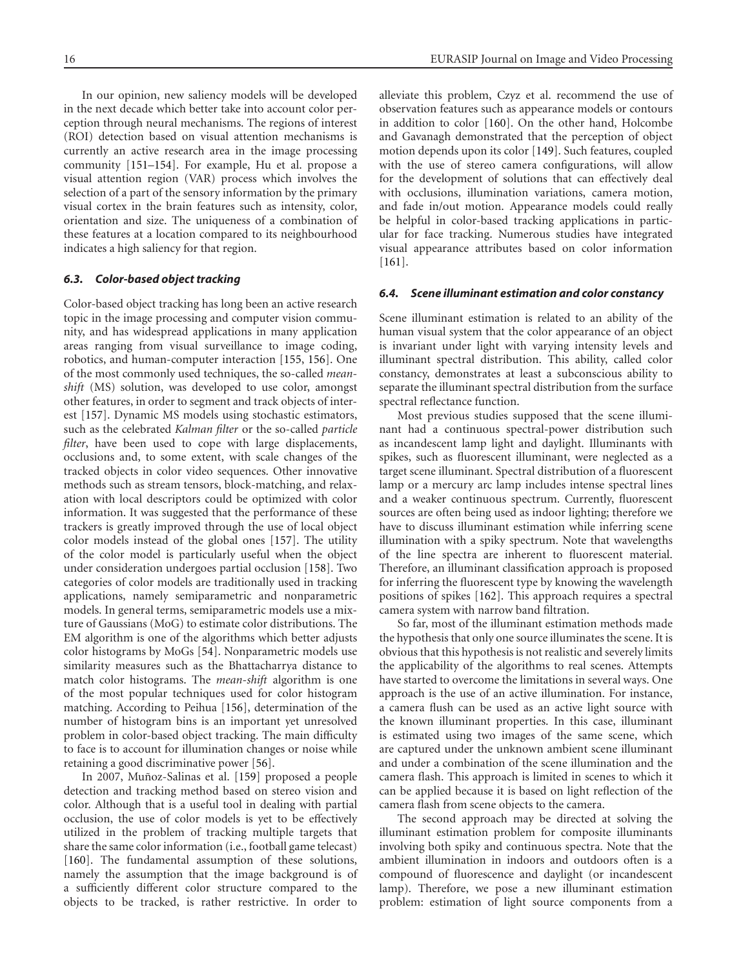In our opinion, new saliency models will be developed in the next decade which better take into account color perception through neural mechanisms. The regions of interest (ROI) detection based on visual attention mechanisms is currently an active research area in the image processing community [\[151](#page-23-26)[–154](#page-24-0)]. For example, Hu et al. propose a visual attention region (VAR) process which involves the selection of a part of the sensory information by the primary visual cortex in the brain features such as intensity, color, orientation and size. The uniqueness of a combination of these features at a location compared to its neighbourhood indicates a high saliency for that region.

#### *6.3. Color-based object tracking*

Color-based object tracking has long been an active research topic in the image processing and computer vision community, and has widespread applications in many application areas ranging from visual surveillance to image coding, robotics, and human-computer interaction [\[155](#page-24-1), [156](#page-24-2)]. One of the most commonly used techniques, the so-called *meanshift* (MS) solution, was developed to use color, amongst other features, in order to segment and track objects of interest [\[157](#page-24-3)]. Dynamic MS models using stochastic estimators, such as the celebrated *Kalman filter* or the so-called *particle filter*, have been used to cope with large displacements, occlusions and, to some extent, with scale changes of the tracked objects in color video sequences. Other innovative methods such as stream tensors, block-matching, and relaxation with local descriptors could be optimized with color information. It was suggested that the performance of these trackers is greatly improved through the use of local object color models instead of the global ones [\[157\]](#page-24-3). The utility of the color model is particularly useful when the object under consideration undergoes partial occlusion [\[158\]](#page-24-4). Two categories of color models are traditionally used in tracking applications, namely semiparametric and nonparametric models. In general terms, semiparametric models use a mixture of Gaussians (MoG) to estimate color distributions. The EM algorithm is one of the algorithms which better adjusts color histograms by MoGs [\[54\]](#page-20-34). Nonparametric models use similarity measures such as the Bhattacharrya distance to match color histograms. The *mean-shift* algorithm is one of the most popular techniques used for color histogram matching. According to Peihua [\[156\]](#page-24-2), determination of the number of histogram bins is an important yet unresolved problem in color-based object tracking. The main difficulty to face is to account for illumination changes or noise while retaining a good discriminative power [\[56\]](#page-21-1).

In 2007, Muñoz-Salinas et al. [[159](#page-24-5)] proposed a people detection and tracking method based on stereo vision and color. Although that is a useful tool in dealing with partial occlusion, the use of color models is yet to be effectively utilized in the problem of tracking multiple targets that share the same color information (i.e., football game telecast) [\[160](#page-24-6)]. The fundamental assumption of these solutions, namely the assumption that the image background is of a sufficiently different color structure compared to the objects to be tracked, is rather restrictive. In order to

alleviate this problem, Czyz et al. recommend the use of observation features such as appearance models or contours in addition to color [\[160\]](#page-24-6). On the other hand, Holcombe and Gavanagh demonstrated that the perception of object motion depends upon its color [\[149\]](#page-23-27). Such features, coupled with the use of stereo camera configurations, will allow for the development of solutions that can effectively deal with occlusions, illumination variations, camera motion, and fade in/out motion. Appearance models could really be helpful in color-based tracking applications in particular for face tracking. Numerous studies have integrated visual appearance attributes based on color information [\[161](#page-24-7)].

#### *6.4. Scene illuminant estimation and color constancy*

Scene illuminant estimation is related to an ability of the human visual system that the color appearance of an object is invariant under light with varying intensity levels and illuminant spectral distribution. This ability, called color constancy, demonstrates at least a subconscious ability to separate the illuminant spectral distribution from the surface spectral reflectance function.

Most previous studies supposed that the scene illuminant had a continuous spectral-power distribution such as incandescent lamp light and daylight. Illuminants with spikes, such as fluorescent illuminant, were neglected as a target scene illuminant. Spectral distribution of a fluorescent lamp or a mercury arc lamp includes intense spectral lines and a weaker continuous spectrum. Currently, fluorescent sources are often being used as indoor lighting; therefore we have to discuss illuminant estimation while inferring scene illumination with a spiky spectrum. Note that wavelengths of the line spectra are inherent to fluorescent material. Therefore, an illuminant classification approach is proposed for inferring the fluorescent type by knowing the wavelength positions of spikes [\[162](#page-24-8)]. This approach requires a spectral camera system with narrow band filtration.

So far, most of the illuminant estimation methods made the hypothesis that only one source illuminates the scene. It is obvious that this hypothesis is not realistic and severely limits the applicability of the algorithms to real scenes. Attempts have started to overcome the limitations in several ways. One approach is the use of an active illumination. For instance, a camera flush can be used as an active light source with the known illuminant properties. In this case, illuminant is estimated using two images of the same scene, which are captured under the unknown ambient scene illuminant and under a combination of the scene illumination and the camera flash. This approach is limited in scenes to which it can be applied because it is based on light reflection of the camera flash from scene objects to the camera.

The second approach may be directed at solving the illuminant estimation problem for composite illuminants involving both spiky and continuous spectra. Note that the ambient illumination in indoors and outdoors often is a compound of fluorescence and daylight (or incandescent lamp). Therefore, we pose a new illuminant estimation problem: estimation of light source components from a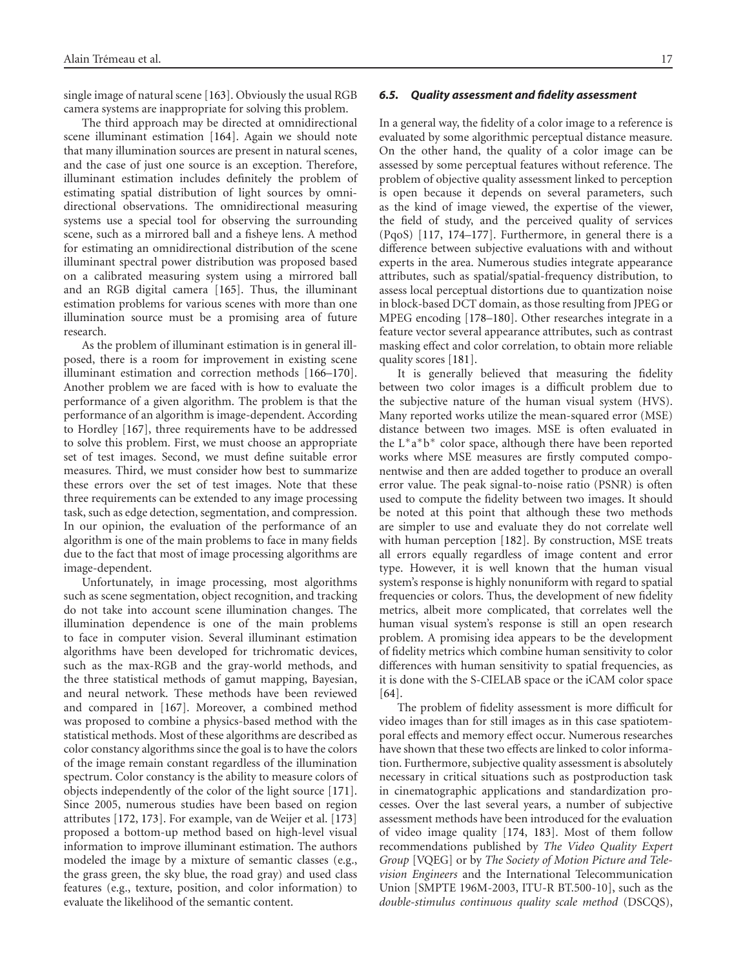single image of natural scene [\[163\]](#page-24-9). Obviously the usual RGB camera systems are inappropriate for solving this problem.

The third approach may be directed at omnidirectional scene illuminant estimation [\[164](#page-24-10)]. Again we should note that many illumination sources are present in natural scenes, and the case of just one source is an exception. Therefore, illuminant estimation includes definitely the problem of estimating spatial distribution of light sources by omnidirectional observations. The omnidirectional measuring systems use a special tool for observing the surrounding scene, such as a mirrored ball and a fisheye lens. A method for estimating an omnidirectional distribution of the scene illuminant spectral power distribution was proposed based on a calibrated measuring system using a mirrored ball and an RGB digital camera [\[165](#page-24-11)]. Thus, the illuminant estimation problems for various scenes with more than one illumination source must be a promising area of future research.

As the problem of illuminant estimation is in general illposed, there is a room for improvement in existing scene illuminant estimation and correction methods [\[166](#page-24-12)[–170](#page-24-13)]. Another problem we are faced with is how to evaluate the performance of a given algorithm. The problem is that the performance of an algorithm is image-dependent. According to Hordley [\[167\]](#page-24-14), three requirements have to be addressed to solve this problem. First, we must choose an appropriate set of test images. Second, we must define suitable error measures. Third, we must consider how best to summarize these errors over the set of test images. Note that these three requirements can be extended to any image processing task, such as edge detection, segmentation, and compression. In our opinion, the evaluation of the performance of an algorithm is one of the main problems to face in many fields due to the fact that most of image processing algorithms are image-dependent.

Unfortunately, in image processing, most algorithms such as scene segmentation, object recognition, and tracking do not take into account scene illumination changes. The illumination dependence is one of the main problems to face in computer vision. Several illuminant estimation algorithms have been developed for trichromatic devices, such as the max-RGB and the gray-world methods, and the three statistical methods of gamut mapping, Bayesian, and neural network. These methods have been reviewed and compared in [\[167\]](#page-24-14). Moreover, a combined method was proposed to combine a physics-based method with the statistical methods. Most of these algorithms are described as color constancy algorithms since the goal is to have the colors of the image remain constant regardless of the illumination spectrum. Color constancy is the ability to measure colors of objects independently of the color of the light source [\[171](#page-24-15)]. Since 2005, numerous studies have been based on region attributes [\[172,](#page-24-16) [173\]](#page-24-17). For example, van de Weijer et al. [\[173](#page-24-17)] proposed a bottom-up method based on high-level visual information to improve illuminant estimation. The authors modeled the image by a mixture of semantic classes (e.g., the grass green, the sky blue, the road gray) and used class features (e.g., texture, position, and color information) to evaluate the likelihood of the semantic content.

#### <span id="page-16-0"></span>*6.5. Quality assessment and fidelity assessment*

In a general way, the fidelity of a color image to a reference is evaluated by some algorithmic perceptual distance measure. On the other hand, the quality of a color image can be assessed by some perceptual features without reference. The problem of objective quality assessment linked to perception is open because it depends on several parameters, such as the kind of image viewed, the expertise of the viewer, the field of study, and the perceived quality of services (PqoS) [\[117,](#page-22-29) [174](#page-24-18)[–177\]](#page-24-19). Furthermore, in general there is a difference between subjective evaluations with and without experts in the area. Numerous studies integrate appearance attributes, such as spatial/spatial-frequency distribution, to assess local perceptual distortions due to quantization noise in block-based DCT domain, as those resulting from JPEG or MPEG encoding [\[178](#page-24-20)[–180](#page-24-21)]. Other researches integrate in a feature vector several appearance attributes, such as contrast masking effect and color correlation, to obtain more reliable quality scores [\[181](#page-24-22)].

It is generally believed that measuring the fidelity between two color images is a difficult problem due to the subjective nature of the human visual system (HVS). Many reported works utilize the mean-squared error (MSE) distance between two images. MSE is often evaluated in the L∗a∗b<sup>∗</sup> color space, although there have been reported works where MSE measures are firstly computed componentwise and then are added together to produce an overall error value. The peak signal-to-noise ratio (PSNR) is often used to compute the fidelity between two images. It should be noted at this point that although these two methods are simpler to use and evaluate they do not correlate well with human perception [\[182](#page-24-23)]. By construction, MSE treats all errors equally regardless of image content and error type. However, it is well known that the human visual system's response is highly nonuniform with regard to spatial frequencies or colors. Thus, the development of new fidelity metrics, albeit more complicated, that correlates well the human visual system's response is still an open research problem. A promising idea appears to be the development of fidelity metrics which combine human sensitivity to color differences with human sensitivity to spatial frequencies, as it is done with the S-CIELAB space or the iCAM color space [\[64](#page-21-9)].

The problem of fidelity assessment is more difficult for video images than for still images as in this case spatiotemporal effects and memory effect occur. Numerous researches have shown that these two effects are linked to color information. Furthermore, subjective quality assessment is absolutely necessary in critical situations such as postproduction task in cinematographic applications and standardization processes. Over the last several years, a number of subjective assessment methods have been introduced for the evaluation of video image quality [\[174](#page-24-18), [183\]](#page-24-24). Most of them follow recommendations published by *The Video Quality Expert Group* [VQEG] or by *The Society of Motion Picture and Television Engineers* and the International Telecommunication Union [SMPTE 196M-2003, ITU-R BT.500-10], such as the *double-stimulus continuous quality scale method* (DSCQS),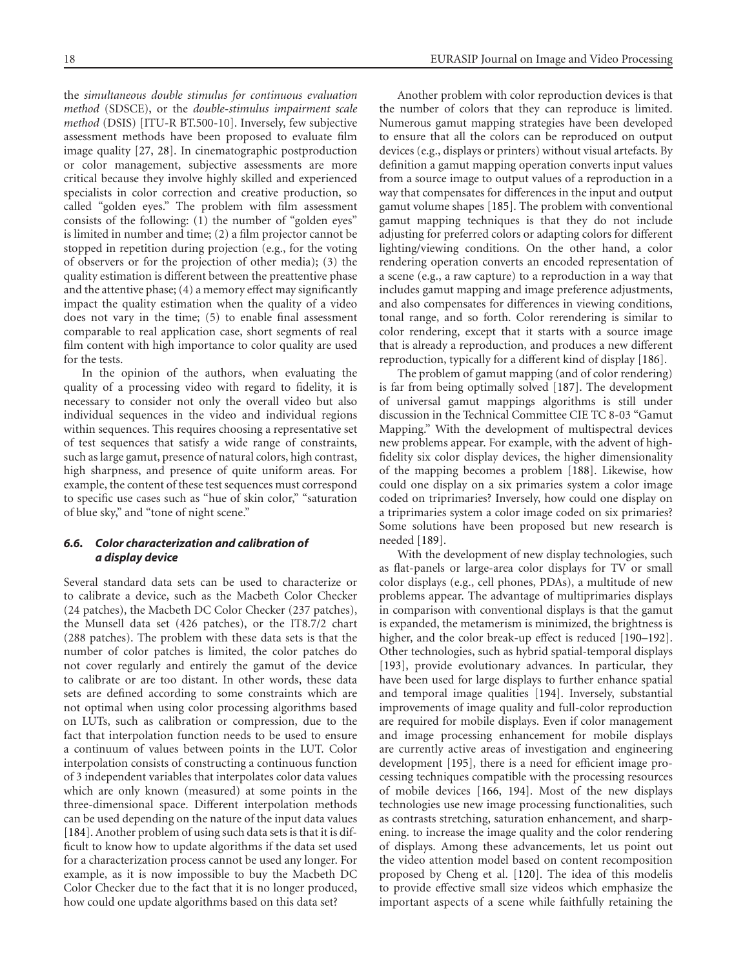the *simultaneous double stimulus for continuous evaluation method* (SDSCE), or the *double-stimulus impairment scale method* (DSIS) [ITU-R BT.500-10]. Inversely, few subjective assessment methods have been proposed to evaluate film image quality [\[27](#page-20-7), [28](#page-20-8)]. In cinematographic postproduction or color management, subjective assessments are more critical because they involve highly skilled and experienced specialists in color correction and creative production, so called "golden eyes." The problem with film assessment consists of the following: (1) the number of "golden eyes" is limited in number and time; (2) a film projector cannot be stopped in repetition during projection (e.g., for the voting of observers or for the projection of other media); (3) the quality estimation is different between the preattentive phase and the attentive phase; (4) a memory effect may significantly impact the quality estimation when the quality of a video does not vary in the time; (5) to enable final assessment comparable to real application case, short segments of real film content with high importance to color quality are used for the tests.

In the opinion of the authors, when evaluating the quality of a processing video with regard to fidelity, it is necessary to consider not only the overall video but also individual sequences in the video and individual regions within sequences. This requires choosing a representative set of test sequences that satisfy a wide range of constraints, such as large gamut, presence of natural colors, high contrast, high sharpness, and presence of quite uniform areas. For example, the content of these test sequences must correspond to specific use cases such as "hue of skin color," "saturation of blue sky," and "tone of night scene."

#### *6.6. Color characterization and calibration of a display device*

Several standard data sets can be used to characterize or to calibrate a device, such as the Macbeth Color Checker (24 patches), the Macbeth DC Color Checker (237 patches), the Munsell data set (426 patches), or the IT8.7/2 chart (288 patches). The problem with these data sets is that the number of color patches is limited, the color patches do not cover regularly and entirely the gamut of the device to calibrate or are too distant. In other words, these data sets are defined according to some constraints which are not optimal when using color processing algorithms based on LUTs, such as calibration or compression, due to the fact that interpolation function needs to be used to ensure a continuum of values between points in the LUT. Color interpolation consists of constructing a continuous function of 3 independent variables that interpolates color data values which are only known (measured) at some points in the three-dimensional space. Different interpolation methods can be used depending on the nature of the input data values [\[184](#page-24-25)]. Another problem of using such data sets is that it is difficult to know how to update algorithms if the data set used for a characterization process cannot be used any longer. For example, as it is now impossible to buy the Macbeth DC Color Checker due to the fact that it is no longer produced, how could one update algorithms based on this data set?

Another problem with color reproduction devices is that the number of colors that they can reproduce is limited. Numerous gamut mapping strategies have been developed to ensure that all the colors can be reproduced on output devices (e.g., displays or printers) without visual artefacts. By definition a gamut mapping operation converts input values from a source image to output values of a reproduction in a way that compensates for differences in the input and output gamut volume shapes [\[185](#page-24-26)]. The problem with conventional gamut mapping techniques is that they do not include adjusting for preferred colors or adapting colors for different lighting/viewing conditions. On the other hand, a color rendering operation converts an encoded representation of a scene (e.g., a raw capture) to a reproduction in a way that includes gamut mapping and image preference adjustments, and also compensates for differences in viewing conditions, tonal range, and so forth. Color rerendering is similar to color rendering, except that it starts with a source image that is already a reproduction, and produces a new different reproduction, typically for a different kind of display [\[186\]](#page-24-27).

The problem of gamut mapping (and of color rendering) is far from being optimally solved [\[187](#page-25-0)]. The development of universal gamut mappings algorithms is still under discussion in the Technical Committee CIE TC 8-03 "Gamut Mapping." With the development of multispectral devices new problems appear. For example, with the advent of highfidelity six color display devices, the higher dimensionality of the mapping becomes a problem [\[188](#page-25-1)]. Likewise, how could one display on a six primaries system a color image coded on triprimaries? Inversely, how could one display on a triprimaries system a color image coded on six primaries? Some solutions have been proposed but new research is needed [\[189\]](#page-25-2).

With the development of new display technologies, such as flat-panels or large-area color displays for TV or small color displays (e.g., cell phones, PDAs), a multitude of new problems appear. The advantage of multiprimaries displays in comparison with conventional displays is that the gamut is expanded, the metamerism is minimized, the brightness is higher, and the color break-up effect is reduced [\[190](#page-25-3)[–192](#page-25-4)]. Other technologies, such as hybrid spatial-temporal displays [\[193](#page-25-5)], provide evolutionary advances. In particular, they have been used for large displays to further enhance spatial and temporal image qualities [\[194\]](#page-25-6). Inversely, substantial improvements of image quality and full-color reproduction are required for mobile displays. Even if color management and image processing enhancement for mobile displays are currently active areas of investigation and engineering development [\[195](#page-25-7)], there is a need for efficient image processing techniques compatible with the processing resources of mobile devices [\[166,](#page-24-12) [194\]](#page-25-6). Most of the new displays technologies use new image processing functionalities, such as contrasts stretching, saturation enhancement, and sharpening. to increase the image quality and the color rendering of displays. Among these advancements, let us point out the video attention model based on content recomposition proposed by Cheng et al. [\[120\]](#page-22-32). The idea of this modelis to provide effective small size videos which emphasize the important aspects of a scene while faithfully retaining the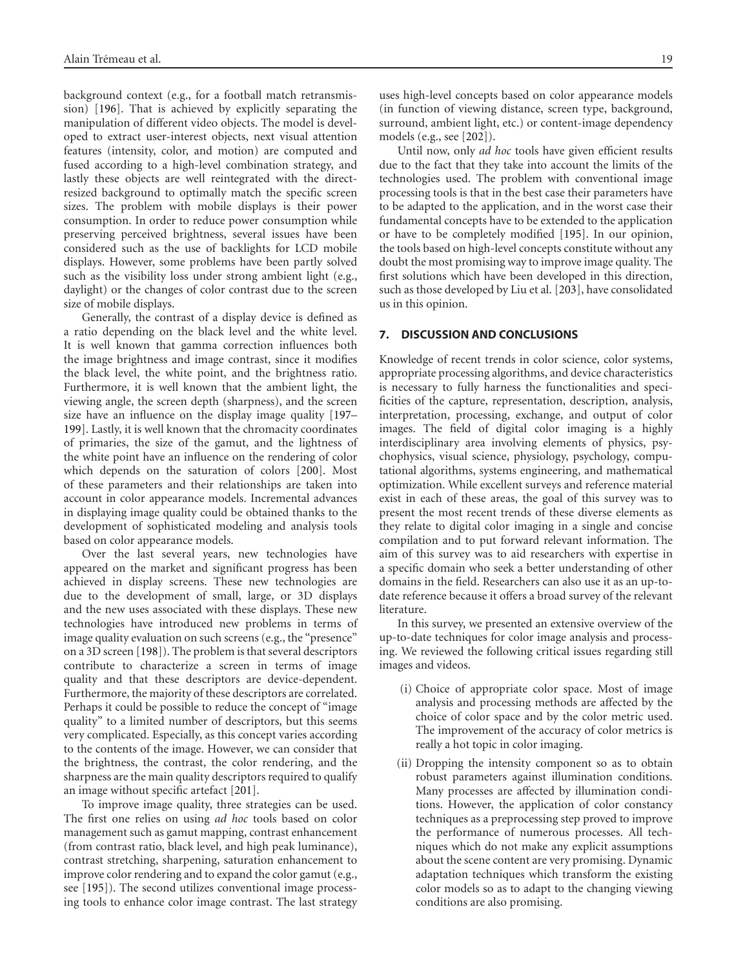background context (e.g., for a football match retransmission) [\[196](#page-25-8)]. That is achieved by explicitly separating the manipulation of different video objects. The model is developed to extract user-interest objects, next visual attention features (intensity, color, and motion) are computed and fused according to a high-level combination strategy, and lastly these objects are well reintegrated with the directresized background to optimally match the specific screen sizes. The problem with mobile displays is their power consumption. In order to reduce power consumption while preserving perceived brightness, several issues have been considered such as the use of backlights for LCD mobile displays. However, some problems have been partly solved such as the visibility loss under strong ambient light (e.g., daylight) or the changes of color contrast due to the screen size of mobile displays.

Generally, the contrast of a display device is defined as a ratio depending on the black level and the white level. It is well known that gamma correction influences both the image brightness and image contrast, since it modifies the black level, the white point, and the brightness ratio. Furthermore, it is well known that the ambient light, the viewing angle, the screen depth (sharpness), and the screen size have an influence on the display image quality [\[197](#page-25-9)– [199](#page-25-10)]. Lastly, it is well known that the chromacity coordinates of primaries, the size of the gamut, and the lightness of the white point have an influence on the rendering of color which depends on the saturation of colors [\[200](#page-25-11)]. Most of these parameters and their relationships are taken into account in color appearance models. Incremental advances in displaying image quality could be obtained thanks to the development of sophisticated modeling and analysis tools based on color appearance models.

Over the last several years, new technologies have appeared on the market and significant progress has been achieved in display screens. These new technologies are due to the development of small, large, or 3D displays and the new uses associated with these displays. These new technologies have introduced new problems in terms of image quality evaluation on such screens (e.g., the "presence" on a 3D screen [\[198](#page-25-12)]). The problem is that several descriptors contribute to characterize a screen in terms of image quality and that these descriptors are device-dependent. Furthermore, the majority of these descriptors are correlated. Perhaps it could be possible to reduce the concept of "image quality" to a limited number of descriptors, but this seems very complicated. Especially, as this concept varies according to the contents of the image. However, we can consider that the brightness, the contrast, the color rendering, and the sharpness are the main quality descriptors required to qualify an image without specific artefact [\[201](#page-25-13)].

To improve image quality, three strategies can be used. The first one relies on using *ad hoc* tools based on color management such as gamut mapping, contrast enhancement (from contrast ratio, black level, and high peak luminance), contrast stretching, sharpening, saturation enhancement to improve color rendering and to expand the color gamut (e.g., see [\[195](#page-25-7)]). The second utilizes conventional image processing tools to enhance color image contrast. The last strategy uses high-level concepts based on color appearance models (in function of viewing distance, screen type, background, surround, ambient light, etc.) or content-image dependency models (e.g., see [\[202\]](#page-25-14)).

Until now, only *ad hoc* tools have given efficient results due to the fact that they take into account the limits of the technologies used. The problem with conventional image processing tools is that in the best case their parameters have to be adapted to the application, and in the worst case their fundamental concepts have to be extended to the application or have to be completely modified [\[195\]](#page-25-7). In our opinion, the tools based on high-level concepts constitute without any doubt the most promising way to improve image quality. The first solutions which have been developed in this direction, such as those developed by Liu et al. [\[203\]](#page-25-15), have consolidated us in this opinion.

#### <span id="page-18-0"></span>**7. DISCUSSION AND CONCLUSIONS**

Knowledge of recent trends in color science, color systems, appropriate processing algorithms, and device characteristics is necessary to fully harness the functionalities and specificities of the capture, representation, description, analysis, interpretation, processing, exchange, and output of color images. The field of digital color imaging is a highly interdisciplinary area involving elements of physics, psychophysics, visual science, physiology, psychology, computational algorithms, systems engineering, and mathematical optimization. While excellent surveys and reference material exist in each of these areas, the goal of this survey was to present the most recent trends of these diverse elements as they relate to digital color imaging in a single and concise compilation and to put forward relevant information. The aim of this survey was to aid researchers with expertise in a specific domain who seek a better understanding of other domains in the field. Researchers can also use it as an up-todate reference because it offers a broad survey of the relevant literature.

In this survey, we presented an extensive overview of the up-to-date techniques for color image analysis and processing. We reviewed the following critical issues regarding still images and videos.

- (i) Choice of appropriate color space. Most of image analysis and processing methods are affected by the choice of color space and by the color metric used. The improvement of the accuracy of color metrics is really a hot topic in color imaging.
- (ii) Dropping the intensity component so as to obtain robust parameters against illumination conditions. Many processes are affected by illumination conditions. However, the application of color constancy techniques as a preprocessing step proved to improve the performance of numerous processes. All techniques which do not make any explicit assumptions about the scene content are very promising. Dynamic adaptation techniques which transform the existing color models so as to adapt to the changing viewing conditions are also promising.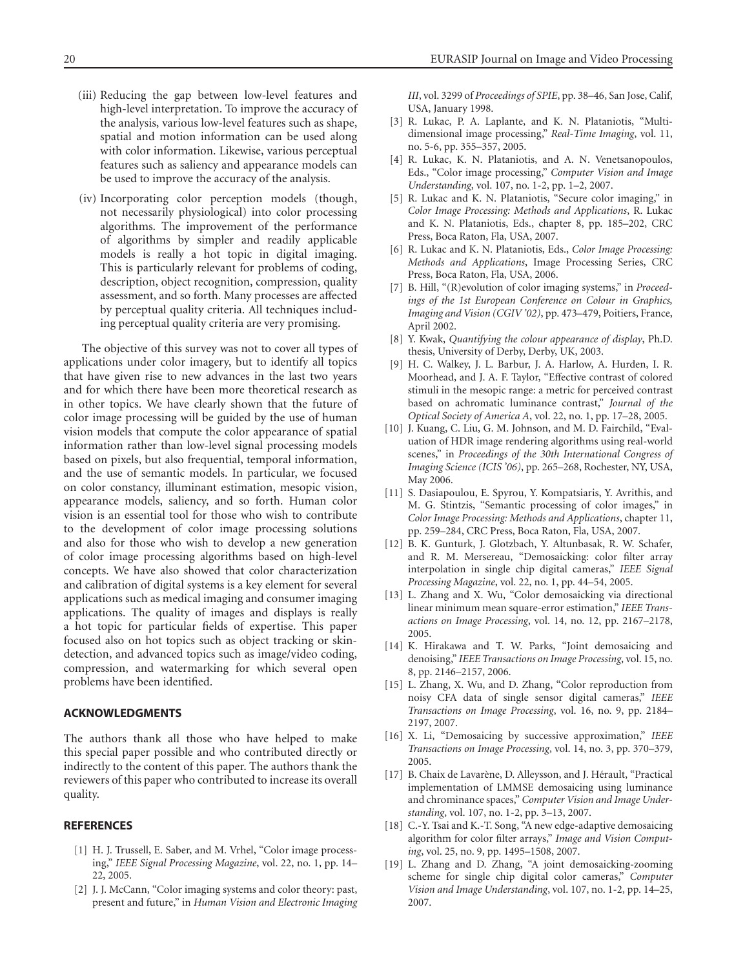- (iii) Reducing the gap between low-level features and high-level interpretation. To improve the accuracy of the analysis, various low-level features such as shape, spatial and motion information can be used along with color information. Likewise, various perceptual features such as saliency and appearance models can be used to improve the accuracy of the analysis.
- (iv) Incorporating color perception models (though, not necessarily physiological) into color processing algorithms. The improvement of the performance of algorithms by simpler and readily applicable models is really a hot topic in digital imaging. This is particularly relevant for problems of coding, description, object recognition, compression, quality assessment, and so forth. Many processes are affected by perceptual quality criteria. All techniques including perceptual quality criteria are very promising.

The objective of this survey was not to cover all types of applications under color imagery, but to identify all topics that have given rise to new advances in the last two years and for which there have been more theoretical research as in other topics. We have clearly shown that the future of color image processing will be guided by the use of human vision models that compute the color appearance of spatial information rather than low-level signal processing models based on pixels, but also frequential, temporal information, and the use of semantic models. In particular, we focused on color constancy, illuminant estimation, mesopic vision, appearance models, saliency, and so forth. Human color vision is an essential tool for those who wish to contribute to the development of color image processing solutions and also for those who wish to develop a new generation of color image processing algorithms based on high-level concepts. We have also showed that color characterization and calibration of digital systems is a key element for several applications such as medical imaging and consumer imaging applications. The quality of images and displays is really a hot topic for particular fields of expertise. This paper focused also on hot topics such as object tracking or skindetection, and advanced topics such as image/video coding, compression, and watermarking for which several open problems have been identified.

#### **ACKNOWLEDGMENTS**

The authors thank all those who have helped to make this special paper possible and who contributed directly or indirectly to the content of this paper. The authors thank the reviewers of this paper who contributed to increase its overall quality.

#### <span id="page-19-0"></span>**REFERENCES**

- <span id="page-19-1"></span>[1] H. J. Trussell, E. Saber, and M. Vrhel, "Color image processing," *IEEE Signal Processing Magazine*, vol. 22, no. 1, pp. 14– 22, 2005.
- <span id="page-19-2"></span>[2] J. J. McCann, "Color imaging systems and color theory: past, present and future," in *Human Vision and Electronic Imaging*

*III*, vol. 3299 of *Proceedings of SPIE*, pp. 38–46, San Jose, Calif, USA, January 1998.

- <span id="page-19-3"></span>[3] R. Lukac, P. A. Laplante, and K. N. Plataniotis, "Multidimensional image processing," *Real-Time Imaging*, vol. 11, no. 5-6, pp. 355–357, 2005.
- <span id="page-19-4"></span>[4] R. Lukac, K. N. Plataniotis, and A. N. Venetsanopoulos, Eds., "Color image processing," *Computer Vision and Image Understanding*, vol. 107, no. 1-2, pp. 1–2, 2007.
- <span id="page-19-5"></span>[5] R. Lukac and K. N. Plataniotis, "Secure color imaging," in *Color Image Processing: Methods and Applications*, R. Lukac and K. N. Plataniotis, Eds., chapter 8, pp. 185–202, CRC Press, Boca Raton, Fla, USA, 2007.
- <span id="page-19-6"></span>[6] R. Lukac and K. N. Plataniotis, Eds., *Color Image Processing: Methods and Applications*, Image Processing Series, CRC Press, Boca Raton, Fla, USA, 2006.
- <span id="page-19-7"></span>[7] B. Hill, "(R)evolution of color imaging systems," in *Proceedings of the 1st European Conference on Colour in Graphics, Imaging and Vision (CGIV '02)*, pp. 473–479, Poitiers, France, April 2002.
- <span id="page-19-8"></span>[8] Y. Kwak, *Quantifying the colour appearance of display*, Ph.D. thesis, University of Derby, Derby, UK, 2003.
- <span id="page-19-9"></span>[9] H. C. Walkey, J. L. Barbur, J. A. Harlow, A. Hurden, I. R. Moorhead, and J. A. F. Taylor, "Effective contrast of colored stimuli in the mesopic range: a metric for perceived contrast based on achromatic luminance contrast," *Journal of the Optical Society of America A*, vol. 22, no. 1, pp. 17–28, 2005.
- <span id="page-19-10"></span>[10] J. Kuang, C. Liu, G. M. Johnson, and M. D. Fairchild, "Evaluation of HDR image rendering algorithms using real-world scenes," in *Proceedings of the 30th International Congress of Imaging Science (ICIS '06)*, pp. 265–268, Rochester, NY, USA, May 2006.
- <span id="page-19-11"></span>[11] S. Dasiapoulou, E. Spyrou, Y. Kompatsiaris, Y. Avrithis, and M. G. Stintzis, "Semantic processing of color images," in *Color Image Processing: Methods and Applications*, chapter 11, pp. 259–284, CRC Press, Boca Raton, Fla, USA, 2007.
- <span id="page-19-12"></span>[12] B. K. Gunturk, J. Glotzbach, Y. Altunbasak, R. W. Schafer, and R. M. Mersereau, "Demosaicking: color filter array interpolation in single chip digital cameras," *IEEE Signal Processing Magazine*, vol. 22, no. 1, pp. 44–54, 2005.
- <span id="page-19-13"></span>[13] L. Zhang and X. Wu, "Color demosaicking via directional linear minimum mean square-error estimation," *IEEE Transactions on Image Processing*, vol. 14, no. 12, pp. 2167–2178, 2005.
- [14] K. Hirakawa and T. W. Parks, "Joint demosaicing and denoising," *IEEE Transactions on Image Processing*, vol. 15, no. 8, pp. 2146–2157, 2006.
- <span id="page-19-14"></span>[15] L. Zhang, X. Wu, and D. Zhang, "Color reproduction from noisy CFA data of single sensor digital cameras," *IEEE Transactions on Image Processing*, vol. 16, no. 9, pp. 2184– 2197, 2007.
- <span id="page-19-15"></span>[16] X. Li, "Demosaicing by successive approximation," *IEEE Transactions on Image Processing*, vol. 14, no. 3, pp. 370–379, 2005.
- <span id="page-19-16"></span>[17] B. Chaix de Lavarène, D. Alleysson, and J. Hérault, "Practical implementation of LMMSE demosaicing using luminance and chrominance spaces," *Computer Vision and Image Understanding*, vol. 107, no. 1-2, pp. 3–13, 2007.
- <span id="page-19-17"></span>[18] C.-Y. Tsai and K.-T. Song, "A new edge-adaptive demosaicing algorithm for color filter arrays," *Image and Vision Computing*, vol. 25, no. 9, pp. 1495–1508, 2007.
- <span id="page-19-18"></span>[19] L. Zhang and D. Zhang, "A joint demosaicking-zooming scheme for single chip digital color cameras," *Computer Vision and Image Understanding*, vol. 107, no. 1-2, pp. 14–25, 2007.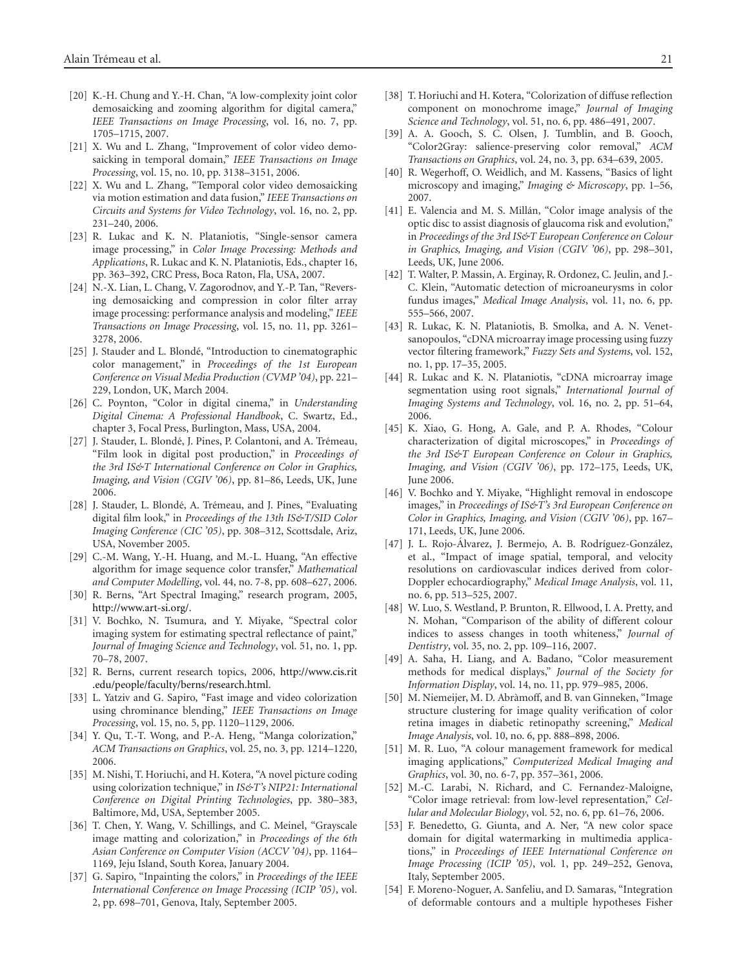- <span id="page-20-0"></span>[20] K.-H. Chung and Y.-H. Chan, "A low-complexity joint color demosaicking and zooming algorithm for digital camera," *IEEE Transactions on Image Processing*, vol. 16, no. 7, pp. 1705–1715, 2007.
- <span id="page-20-1"></span>[21] X. Wu and L. Zhang, "Improvement of color video demosaicking in temporal domain," *IEEE Transactions on Image Processing*, vol. 15, no. 10, pp. 3138–3151, 2006.
- <span id="page-20-2"></span>[22] X. Wu and L. Zhang, "Temporal color video demosaicking via motion estimation and data fusion," *IEEE Transactions on Circuits and Systems for Video Technology*, vol. 16, no. 2, pp. 231–240, 2006.
- <span id="page-20-3"></span>[23] R. Lukac and K. N. Plataniotis, "Single-sensor camera image processing," in *Color Image Processing: Methods and Applications*, R. Lukac and K. N. Plataniotis, Eds., chapter 16, pp. 363–392, CRC Press, Boca Raton, Fla, USA, 2007.
- <span id="page-20-4"></span>[24] N.-X. Lian, L. Chang, V. Zagorodnov, and Y.-P. Tan, "Reversing demosaicking and compression in color filter array image processing: performance analysis and modeling," *IEEE Transactions on Image Processing*, vol. 15, no. 11, pp. 3261– 3278, 2006.
- <span id="page-20-5"></span>[25] J. Stauder and L. Blondé, "Introduction to cinematographic color management," in *Proceedings of the 1st European Conference on Visual Media Production (CVMP '04)*, pp. 221– 229, London, UK, March 2004.
- <span id="page-20-6"></span>[26] C. Poynton, "Color in digital cinema," in *Understanding Digital Cinema: A Professional Handbook*, C. Swartz, Ed., chapter 3, Focal Press, Burlington, Mass, USA, 2004.
- <span id="page-20-7"></span>[27] J. Stauder, L. Blondé, J. Pines, P. Colantoni, and A. Trémeau, "Film look in digital post production," in *Proceedings of the 3rd IS&T International Conference on Color in Graphics, Imaging, and Vision (CGIV '06)*, pp. 81–86, Leeds, UK, June 2006.
- <span id="page-20-8"></span>[28] J. Stauder, L. Blondé, A. Trémeau, and J. Pines, "Evaluating digital film look," in *Proceedings of the 13th IS&T/SID Color Imaging Conference (CIC '05)*, pp. 308–312, Scottsdale, Ariz, USA, November 2005.
- <span id="page-20-9"></span>[29] C.-M. Wang, Y.-H. Huang, and M.-L. Huang, "An effective algorithm for image sequence color transfer," *Mathematical and Computer Modelling*, vol. 44, no. 7-8, pp. 608–627, 2006.
- <span id="page-20-10"></span>[30] R. Berns, "Art Spectral Imaging," research program, 2005, [http://www.art-si.org/.](http://www.art-si.org/)
- <span id="page-20-11"></span>[31] V. Bochko, N. Tsumura, and Y. Miyake, "Spectral color imaging system for estimating spectral reflectance of paint," *Journal of Imaging Science and Technology*, vol. 51, no. 1, pp. 70–78, 2007.
- <span id="page-20-12"></span>[32] R. Berns, current research topics, 2006, [http://www.cis.rit](http://www.cis.rit.edu/people/faculty/berns/research.html) [.edu/people/faculty/berns/research.html.](http://www.cis.rit.edu/people/faculty/berns/research.html)
- <span id="page-20-13"></span>[33] L. Yatziv and G. Sapiro, "Fast image and video colorization using chrominance blending," *IEEE Transactions on Image Processing*, vol. 15, no. 5, pp. 1120–1129, 2006.
- <span id="page-20-14"></span>[34] Y. Qu, T.-T. Wong, and P.-A. Heng, "Manga colorization," *ACM Transactions on Graphics*, vol. 25, no. 3, pp. 1214–1220, 2006.
- <span id="page-20-15"></span>[35] M. Nishi, T. Horiuchi, and H. Kotera, "A novel picture coding using colorization technique," in *IS&T's NIP21: International Conference on Digital Printing Technologies*, pp. 380–383, Baltimore, Md, USA, September 2005.
- <span id="page-20-16"></span>[36] T. Chen, Y. Wang, V. Schillings, and C. Meinel, "Grayscale image matting and colorization," in *Proceedings of the 6th Asian Conference on Computer Vision (ACCV '04)*, pp. 1164– 1169, Jeju Island, South Korea, January 2004.
- <span id="page-20-17"></span>[37] G. Sapiro, "Inpainting the colors," in *Proceedings of the IEEE International Conference on Image Processing (ICIP '05)*, vol. 2, pp. 698–701, Genova, Italy, September 2005.
- <span id="page-20-18"></span>[38] T. Horiuchi and H. Kotera, "Colorization of diffuse reflection component on monochrome image," *Journal of Imaging Science and Technology*, vol. 51, no. 6, pp. 486–491, 2007.
- <span id="page-20-19"></span>[39] A. A. Gooch, S. C. Olsen, J. Tumblin, and B. Gooch, "Color2Gray: salience-preserving color removal," *ACM Transactions on Graphics*, vol. 24, no. 3, pp. 634–639, 2005.
- <span id="page-20-20"></span>[40] R. Wegerhoff, O. Weidlich, and M. Kassens, "Basics of light microscopy and imaging," *Imaging & Microscopy*, pp. 1–56, 2007.
- <span id="page-20-21"></span>[41] E. Valencia and M. S. Millán, "Color image analysis of the optic disc to assist diagnosis of glaucoma risk and evolution," in *Proceedings of the 3rd IS&T European Conference on Colour in Graphics, Imaging, and Vision (CGIV '06)*, pp. 298–301, Leeds, UK, June 2006.
- <span id="page-20-22"></span>[42] T. Walter, P. Massin, A. Erginay, R. Ordonez, C. Jeulin, and J.- C. Klein, "Automatic detection of microaneurysms in color fundus images," *Medical Image Analysis*, vol. 11, no. 6, pp. 555–566, 2007.
- <span id="page-20-23"></span>[43] R. Lukac, K. N. Plataniotis, B. Smolka, and A. N. Venetsanopoulos, "cDNA microarray image processing using fuzzy vector filtering framework," *Fuzzy Sets and Systems*, vol. 152, no. 1, pp. 17–35, 2005.
- <span id="page-20-24"></span>[44] R. Lukac and K. N. Plataniotis, "cDNA microarray image segmentation using root signals," *International Journal of Imaging Systems and Technology*, vol. 16, no. 2, pp. 51–64, 2006.
- <span id="page-20-25"></span>[45] K. Xiao, G. Hong, A. Gale, and P. A. Rhodes, "Colour characterization of digital microscopes," in *Proceedings of the 3rd IS&T European Conference on Colour in Graphics, Imaging, and Vision (CGIV '06)*, pp. 172–175, Leeds, UK, June 2006.
- <span id="page-20-26"></span>[46] V. Bochko and Y. Miyake, "Highlight removal in endoscope images," in *Proceedings of IS&T's 3rd European Conference on Color in Graphics, Imaging, and Vision (CGIV '06)*, pp. 167– 171, Leeds, UK, June 2006.
- <span id="page-20-27"></span>[47] J. L. Rojo-Álvarez, J. Bermejo, A. B. Rodríguez-González, et al., "Impact of image spatial, temporal, and velocity resolutions on cardiovascular indices derived from color-Doppler echocardiography," *Medical Image Analysis*, vol. 11, no. 6, pp. 513–525, 2007.
- <span id="page-20-28"></span>[48] W. Luo, S. Westland, P. Brunton, R. Ellwood, I. A. Pretty, and N. Mohan, "Comparison of the ability of different colour indices to assess changes in tooth whiteness," *Journal of Dentistry*, vol. 35, no. 2, pp. 109–116, 2007.
- <span id="page-20-29"></span>[49] A. Saha, H. Liang, and A. Badano, "Color measurement methods for medical displays," *Journal of the Society for Information Display*, vol. 14, no. 11, pp. 979–985, 2006.
- <span id="page-20-31"></span>[50] M. Niemeijer, M. D. Abràmoff, and B. van Ginneken, "Image structure clustering for image quality verification of color retina images in diabetic retinopathy screening," *Medical Image Analysis*, vol. 10, no. 6, pp. 888–898, 2006.
- <span id="page-20-30"></span>[51] M. R. Luo, "A colour management framework for medical imaging applications," *Computerized Medical Imaging and Graphics*, vol. 30, no. 6-7, pp. 357–361, 2006.
- <span id="page-20-32"></span>[52] M.-C. Larabi, N. Richard, and C. Fernandez-Maloigne, "Color image retrieval: from low-level representation," *Cellular and Molecular Biology*, vol. 52, no. 6, pp. 61–76, 2006.
- <span id="page-20-33"></span>[53] F. Benedetto, G. Giunta, and A. Ner, "A new color space domain for digital watermarking in multimedia applications," in *Proceedings of IEEE International Conference on Image Processing (ICIP '05)*, vol. 1, pp. 249–252, Genova, Italy, September 2005.
- <span id="page-20-34"></span>[54] F. Moreno-Noguer, A. Sanfeliu, and D. Samaras, "Integration of deformable contours and a multiple hypotheses Fisher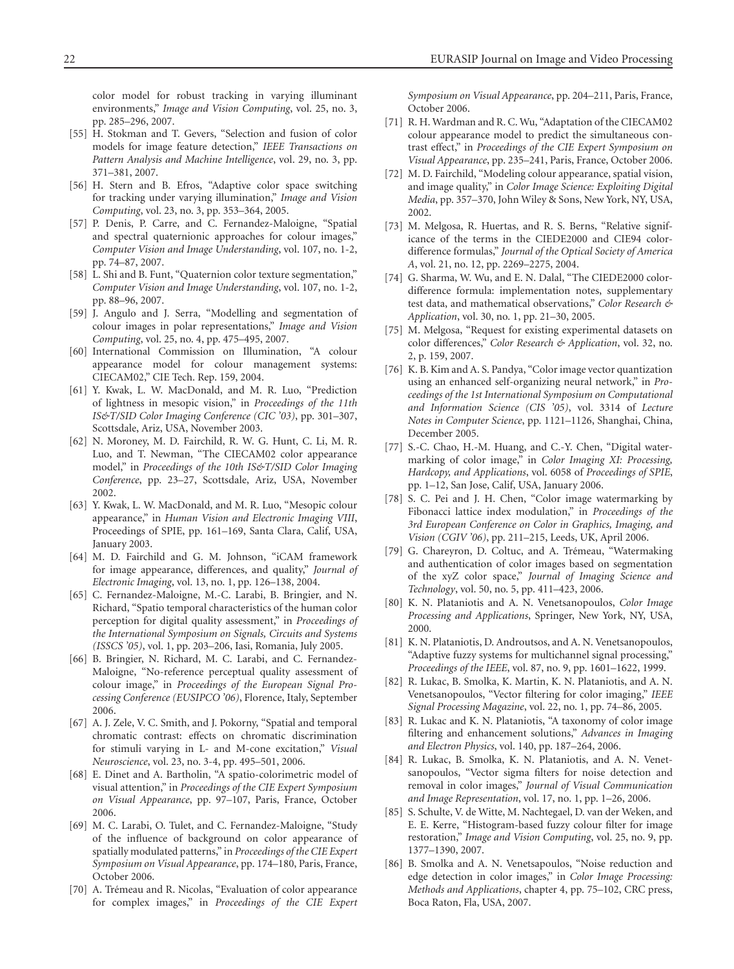color model for robust tracking in varying illuminant environments," *Image and Vision Computing*, vol. 25, no. 3, pp. 285–296, 2007.

- <span id="page-21-0"></span>[55] H. Stokman and T. Gevers, "Selection and fusion of color models for image feature detection," *IEEE Transactions on Pattern Analysis and Machine Intelligence*, vol. 29, no. 3, pp. 371–381, 2007.
- <span id="page-21-1"></span>[56] H. Stern and B. Efros, "Adaptive color space switching for tracking under varying illumination," *Image and Vision Computing*, vol. 23, no. 3, pp. 353–364, 2005.
- <span id="page-21-2"></span>[57] P. Denis, P. Carre, and C. Fernandez-Maloigne, "Spatial and spectral quaternionic approaches for colour images," *Computer Vision and Image Understanding*, vol. 107, no. 1-2, pp. 74–87, 2007.
- <span id="page-21-3"></span>[58] L. Shi and B. Funt, "Quaternion color texture segmentation," *Computer Vision and Image Understanding*, vol. 107, no. 1-2, pp. 88–96, 2007.
- <span id="page-21-4"></span>[59] J. Angulo and J. Serra, "Modelling and segmentation of colour images in polar representations," *Image and Vision Computing*, vol. 25, no. 4, pp. 475–495, 2007.
- <span id="page-21-5"></span>[60] International Commission on Illumination, "A colour appearance model for colour management systems: CIECAM02," CIE Tech. Rep. 159, 2004.
- <span id="page-21-6"></span>[61] Y. Kwak, L. W. MacDonald, and M. R. Luo, "Prediction of lightness in mesopic vision," in *Proceedings of the 11th IS&T/SID Color Imaging Conference (CIC '03)*, pp. 301–307, Scottsdale, Ariz, USA, November 2003.
- <span id="page-21-7"></span>[62] N. Moroney, M. D. Fairchild, R. W. G. Hunt, C. Li, M. R. Luo, and T. Newman, "The CIECAM02 color appearance model," in *Proceedings of the 10th IS&T/SID Color Imaging Conference*, pp. 23–27, Scottsdale, Ariz, USA, November 2002.
- <span id="page-21-8"></span>[63] Y. Kwak, L. W. MacDonald, and M. R. Luo, "Mesopic colour appearance," in *Human Vision and Electronic Imaging VIII*, Proceedings of SPIE, pp. 161–169, Santa Clara, Calif, USA, January 2003.
- <span id="page-21-9"></span>[64] M. D. Fairchild and G. M. Johnson, "iCAM framework for image appearance, differences, and quality," *Journal of Electronic Imaging*, vol. 13, no. 1, pp. 126–138, 2004.
- [65] C. Fernandez-Maloigne, M.-C. Larabi, B. Bringier, and N. Richard, "Spatio temporal characteristics of the human color perception for digital quality assessment," in *Proceedings of the International Symposium on Signals, Circuits and Systems (ISSCS '05)*, vol. 1, pp. 203–206, Iasi, Romania, July 2005.
- [66] B. Bringier, N. Richard, M. C. Larabi, and C. Fernandez-Maloigne, "No-reference perceptual quality assessment of colour image," in *Proceedings of the European Signal Processing Conference (EUSIPCO '06)*, Florence, Italy, September 2006.
- <span id="page-21-10"></span>[67] A. J. Zele, V. C. Smith, and J. Pokorny, "Spatial and temporal chromatic contrast: effects on chromatic discrimination for stimuli varying in L- and M-cone excitation," *Visual Neuroscience*, vol. 23, no. 3-4, pp. 495–501, 2006.
- <span id="page-21-11"></span>[68] E. Dinet and A. Bartholin, "A spatio-colorimetric model of visual attention," in *Proceedings of the CIE Expert Symposium on Visual Appearance*, pp. 97–107, Paris, France, October 2006.
- [69] M. C. Larabi, O. Tulet, and C. Fernandez-Maloigne, "Study of the influence of background on color appearance of spatially modulated patterns," in *Proceedings of the CIE Expert Symposium on Visual Appearance*, pp. 174–180, Paris, France, October 2006.
- [70] A. Trémeau and R. Nicolas, "Evaluation of color appearance for complex images," in *Proceedings of the CIE Expert*

*Symposium on Visual Appearance*, pp. 204–211, Paris, France, October 2006.

- <span id="page-21-12"></span>[71] R. H. Wardman and R. C. Wu, "Adaptation of the CIECAM02 colour appearance model to predict the simultaneous contrast effect," in *Proceedings of the CIE Expert Symposium on Visual Appearance*, pp. 235–241, Paris, France, October 2006.
- <span id="page-21-13"></span>[72] M. D. Fairchild, "Modeling colour appearance, spatial vision, and image quality," in *Color Image Science: Exploiting Digital Media*, pp. 357–370, John Wiley & Sons, New York, NY, USA, 2002.
- <span id="page-21-14"></span>[73] M. Melgosa, R. Huertas, and R. S. Berns, "Relative significance of the terms in the CIEDE2000 and CIE94 colordifference formulas," *Journal of the Optical Society of America A*, vol. 21, no. 12, pp. 2269–2275, 2004.
- <span id="page-21-15"></span>[74] G. Sharma, W. Wu, and E. N. Dalal, "The CIEDE2000 colordifference formula: implementation notes, supplementary test data, and mathematical observations," *Color Research & Application*, vol. 30, no. 1, pp. 21–30, 2005.
- <span id="page-21-16"></span>[75] M. Melgosa, "Request for existing experimental datasets on color differences," *Color Research & Application*, vol. 32, no. 2, p. 159, 2007.
- <span id="page-21-17"></span>[76] K. B. Kim and A. S. Pandya, "Color image vector quantization using an enhanced self-organizing neural network," in *Proceedings of the 1st International Symposium on Computational and Information Science (CIS '05)*, vol. 3314 of *Lecture Notes in Computer Science*, pp. 1121–1126, Shanghai, China, December 2005.
- <span id="page-21-18"></span>[77] S.-C. Chao, H.-M. Huang, and C.-Y. Chen, "Digital watermarking of color image," in *Color Imaging XI: Processing, Hardcopy, and Applications*, vol. 6058 of *Proceedings of SPIE*, pp. 1–12, San Jose, Calif, USA, January 2006.
- <span id="page-21-19"></span>[78] S. C. Pei and J. H. Chen, "Color image watermarking by Fibonacci lattice index modulation," in *Proceedings of the 3rd European Conference on Color in Graphics, Imaging, and Vision (CGIV '06)*, pp. 211–215, Leeds, UK, April 2006.
- <span id="page-21-20"></span>[79] G. Chareyron, D. Coltuc, and A. Trémeau, "Watermaking and authentication of color images based on segmentation of the xyZ color space," *Journal of Imaging Science and Technology*, vol. 50, no. 5, pp. 411–423, 2006.
- <span id="page-21-21"></span>[80] K. N. Plataniotis and A. N. Venetsanopoulos, *Color Image Processing and Applications*, Springer, New York, NY, USA, 2000.
- <span id="page-21-22"></span>[81] K. N. Plataniotis, D. Androutsos, and A. N. Venetsanopoulos, "Adaptive fuzzy systems for multichannel signal processing," *Proceedings of the IEEE*, vol. 87, no. 9, pp. 1601–1622, 1999.
- <span id="page-21-23"></span>[82] R. Lukac, B. Smolka, K. Martin, K. N. Plataniotis, and A. N. Venetsanopoulos, "Vector filtering for color imaging," *IEEE Signal Processing Magazine*, vol. 22, no. 1, pp. 74–86, 2005.
- [83] R. Lukac and K. N. Plataniotis, "A taxonomy of color image filtering and enhancement solutions," *Advances in Imaging and Electron Physics*, vol. 140, pp. 187–264, 2006.
- [84] R. Lukac, B. Smolka, K. N. Plataniotis, and A. N. Venetsanopoulos, "Vector sigma filters for noise detection and removal in color images," *Journal of Visual Communication and Image Representation*, vol. 17, no. 1, pp. 1–26, 2006.
- [85] S. Schulte, V. de Witte, M. Nachtegael, D. van der Weken, and E. E. Kerre, "Histogram-based fuzzy colour filter for image restoration," *Image and Vision Computing*, vol. 25, no. 9, pp. 1377–1390, 2007.
- <span id="page-21-24"></span>[86] B. Smolka and A. N. Venetsapoulos, "Noise reduction and edge detection in color images," in *Color Image Processing: Methods and Applications*, chapter 4, pp. 75–102, CRC press, Boca Raton, Fla, USA, 2007.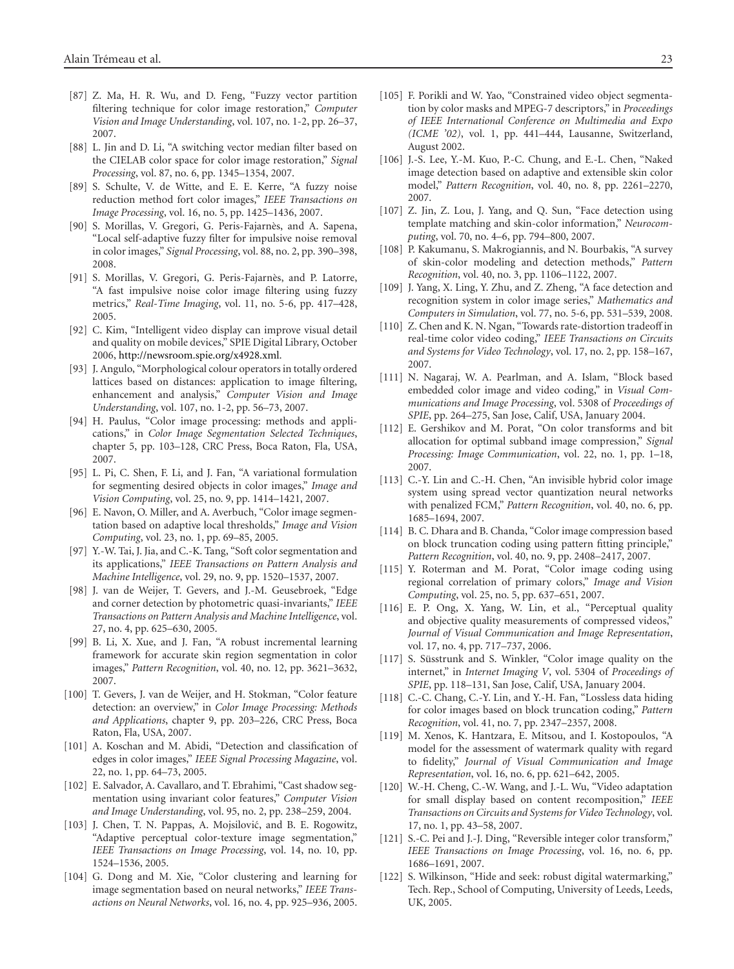- <span id="page-22-6"></span>[87] Z. Ma, H. R. Wu, and D. Feng, "Fuzzy vector partition filtering technique for color image restoration," *Computer Vision and Image Understanding*, vol. 107, no. 1-2, pp. 26–37, 2007.
- <span id="page-22-2"></span>[88] L. Jin and D. Li, "A switching vector median filter based on the CIELAB color space for color image restoration," *Signal Processing*, vol. 87, no. 6, pp. 1345–1354, 2007.
- <span id="page-22-1"></span>[89] S. Schulte, V. de Witte, and E. E. Kerre, "A fuzzy noise reduction method fort color images," *IEEE Transactions on Image Processing*, vol. 16, no. 5, pp. 1425–1436, 2007.
- <span id="page-22-0"></span>[90] S. Morillas, V. Gregori, G. Peris-Fajarnès, and A. Sapena, "Local self-adaptive fuzzy filter for impulsive noise removal in color images," *Signal Processing*, vol. 88, no. 2, pp. 390–398, 2008.
- <span id="page-22-3"></span>[91] S. Morillas, V. Gregori, G. Peris-Fajarnès, and P. Latorre, "A fast impulsive noise color image filtering using fuzzy metrics," *Real-Time Imaging*, vol. 11, no. 5-6, pp. 417–428, 2005.
- <span id="page-22-4"></span>[92] C. Kim, "Intelligent video display can improve visual detail and quality on mobile devices," SPIE Digital Library, October 2006, [http://newsroom.spie.org/x4928.xml.](http://newsroom.spie.org/x4928.xml)
- <span id="page-22-5"></span>[93] J. Angulo, "Morphological colour operators in totally ordered lattices based on distances: application to image filtering, enhancement and analysis," *Computer Vision and Image Understanding*, vol. 107, no. 1-2, pp. 56–73, 2007.
- <span id="page-22-7"></span>[94] H. Paulus, "Color image processing: methods and applications," in *Color Image Segmentation Selected Techniques*, chapter 5, pp. 103–128, CRC Press, Boca Raton, Fla, USA, 2007.
- <span id="page-22-8"></span>[95] L. Pi, C. Shen, F. Li, and J. Fan, "A variational formulation for segmenting desired objects in color images," *Image and Vision Computing*, vol. 25, no. 9, pp. 1414–1421, 2007.
- <span id="page-22-9"></span>[96] E. Navon, O. Miller, and A. Averbuch, "Color image segmentation based on adaptive local thresholds," *Image and Vision Computing*, vol. 23, no. 1, pp. 69–85, 2005.
- <span id="page-22-10"></span>[97] Y.-W. Tai, J. Jia, and C.-K. Tang, "Soft color segmentation and its applications," *IEEE Transactions on Pattern Analysis and Machine Intelligence*, vol. 29, no. 9, pp. 1520–1537, 2007.
- <span id="page-22-11"></span>[98] J. van de Weijer, T. Gevers, and J.-M. Geusebroek, "Edge and corner detection by photometric quasi-invariants," *IEEE Transactions on Pattern Analysis and Machine Intelligence*, vol. 27, no. 4, pp. 625–630, 2005.
- <span id="page-22-12"></span>[99] B. Li, X. Xue, and J. Fan, "A robust incremental learning framework for accurate skin region segmentation in color images," *Pattern Recognition*, vol. 40, no. 12, pp. 3621–3632, 2007.
- <span id="page-22-13"></span>[100] T. Gevers, J. van de Weijer, and H. Stokman, "Color feature detection: an overview," in *Color Image Processing: Methods and Applications*, chapter 9, pp. 203–226, CRC Press, Boca Raton, Fla, USA, 2007.
- <span id="page-22-14"></span>[101] A. Koschan and M. Abidi, "Detection and classification of edges in color images," *IEEE Signal Processing Magazine*, vol. 22, no. 1, pp. 64–73, 2005.
- <span id="page-22-15"></span>[102] E. Salvador, A. Cavallaro, and T. Ebrahimi, "Cast shadow segmentation using invariant color features," *Computer Vision and Image Understanding*, vol. 95, no. 2, pp. 238–259, 2004.
- <span id="page-22-16"></span>[103] J. Chen, T. N. Pappas, A. Mojsilović, and B. E. Rogowitz, "Adaptive perceptual color-texture image segmentation," *IEEE Transactions on Image Processing*, vol. 14, no. 10, pp. 1524–1536, 2005.
- <span id="page-22-17"></span>[104] G. Dong and M. Xie, "Color clustering and learning for image segmentation based on neural networks," *IEEE Transactions on Neural Networks*, vol. 16, no. 4, pp. 925–936, 2005.
- <span id="page-22-18"></span>[105] F. Porikli and W. Yao, "Constrained video object segmentation by color masks and MPEG-7 descriptors," in *Proceedings of IEEE International Conference on Multimedia and Expo (ICME '02)*, vol. 1, pp. 441–444, Lausanne, Switzerland, August 2002.
- <span id="page-22-19"></span>[106] J.-S. Lee, Y.-M. Kuo, P.-C. Chung, and E.-L. Chen, "Naked image detection based on adaptive and extensible skin color model," *Pattern Recognition*, vol. 40, no. 8, pp. 2261–2270, 2007.
- [107] Z. Jin, Z. Lou, J. Yang, and Q. Sun, "Face detection using template matching and skin-color information," *Neurocomputing*, vol. 70, no. 4–6, pp. 794–800, 2007.
- <span id="page-22-21"></span>[108] P. Kakumanu, S. Makrogiannis, and N. Bourbakis, "A survey of skin-color modeling and detection methods," *Pattern Recognition*, vol. 40, no. 3, pp. 1106–1122, 2007.
- <span id="page-22-20"></span>[109] J. Yang, X. Ling, Y. Zhu, and Z. Zheng, "A face detection and recognition system in color image series," *Mathematics and Computers in Simulation*, vol. 77, no. 5-6, pp. 531–539, 2008.
- <span id="page-22-22"></span>[110] Z. Chen and K. N. Ngan, "Towards rate-distortion tradeoff in real-time color video coding," *IEEE Transactions on Circuits and Systems for Video Technology*, vol. 17, no. 2, pp. 158–167, 2007.
- <span id="page-22-23"></span>[111] N. Nagaraj, W. A. Pearlman, and A. Islam, "Block based embedded color image and video coding," in *Visual Communications and Image Processing*, vol. 5308 of *Proceedings of SPIE*, pp. 264–275, San Jose, Calif, USA, January 2004.
- <span id="page-22-24"></span>[112] E. Gershikov and M. Porat, "On color transforms and bit allocation for optimal subband image compression," *Signal Processing: Image Communication*, vol. 22, no. 1, pp. 1–18, 2007.
- <span id="page-22-25"></span>[113] C.-Y. Lin and C.-H. Chen, "An invisible hybrid color image system using spread vector quantization neural networks with penalized FCM," *Pattern Recognition*, vol. 40, no. 6, pp. 1685–1694, 2007.
- <span id="page-22-26"></span>[114] B. C. Dhara and B. Chanda, "Color image compression based on block truncation coding using pattern fitting principle," *Pattern Recognition*, vol. 40, no. 9, pp. 2408–2417, 2007.
- <span id="page-22-27"></span>[115] Y. Roterman and M. Porat, "Color image coding using regional correlation of primary colors," *Image and Vision Computing*, vol. 25, no. 5, pp. 637–651, 2007.
- <span id="page-22-28"></span>[116] E. P. Ong, X. Yang, W. Lin, et al., "Perceptual quality and objective quality measurements of compressed videos," *Journal of Visual Communication and Image Representation*, vol. 17, no. 4, pp. 717–737, 2006.
- <span id="page-22-29"></span>[117] S. Süsstrunk and S. Winkler, "Color image quality on the internet," in *Internet Imaging V*, vol. 5304 of *Proceedings of SPIE*, pp. 118–131, San Jose, Calif, USA, January 2004.
- <span id="page-22-30"></span>[118] C.-C. Chang, C.-Y. Lin, and Y.-H. Fan, "Lossless data hiding for color images based on block truncation coding," *Pattern Recognition*, vol. 41, no. 7, pp. 2347–2357, 2008.
- <span id="page-22-31"></span>[119] M. Xenos, K. Hantzara, E. Mitsou, and I. Kostopoulos, "A model for the assessment of watermark quality with regard to fidelity," *Journal of Visual Communication and Image Representation*, vol. 16, no. 6, pp. 621–642, 2005.
- <span id="page-22-32"></span>[120] W.-H. Cheng, C.-W. Wang, and J.-L. Wu, "Video adaptation for small display based on content recomposition," *IEEE Transactions on Circuits and Systems for Video Technology*, vol. 17, no. 1, pp. 43–58, 2007.
- <span id="page-22-33"></span>[121] S.-C. Pei and J.-J. Ding, "Reversible integer color transform," *IEEE Transactions on Image Processing*, vol. 16, no. 6, pp. 1686–1691, 2007.
- <span id="page-22-34"></span>[122] S. Wilkinson, "Hide and seek: robust digital watermarking," Tech. Rep., School of Computing, University of Leeds, Leeds, UK, 2005.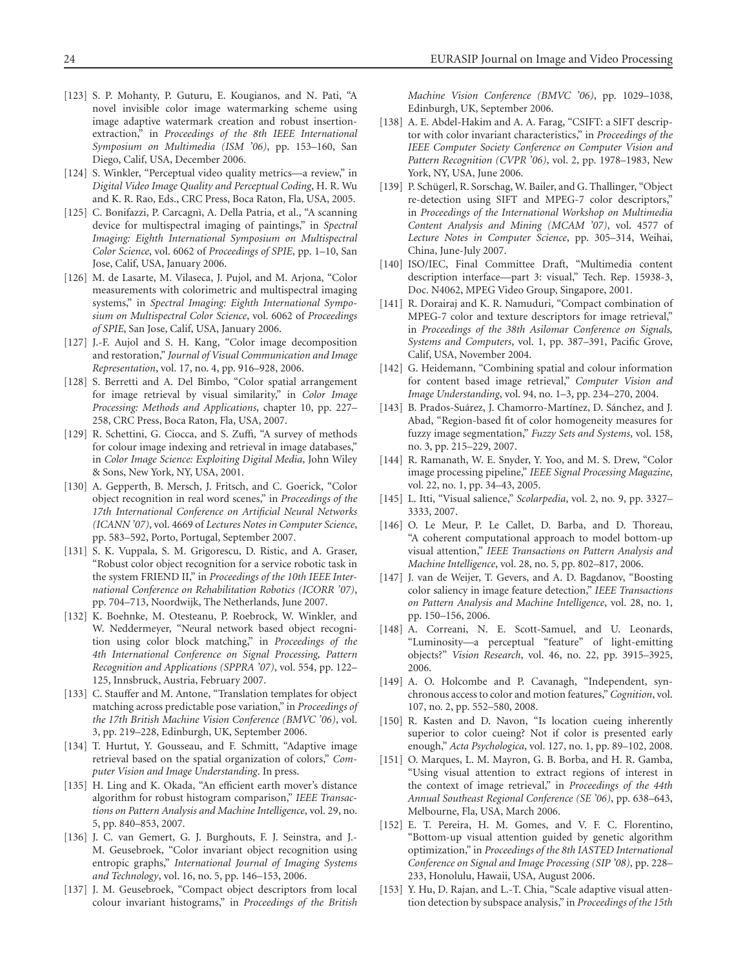- <span id="page-23-0"></span>[123] S. P. Mohanty, P. Guturu, E. Kougianos, and N. Pati, "A novel invisible color image watermarking scheme using image adaptive watermark creation and robust insertionextraction," in *Proceedings of the 8th IEEE International Symposium on Multimedia (ISM '06)*, pp. 153–160, San Diego, Calif, USA, December 2006.
- <span id="page-23-1"></span>[124] S. Winkler, "Perceptual video quality metrics—a review," in *Digital Video Image Quality and Perceptual Coding*, H. R. Wu and K. R. Rao, Eds., CRC Press, Boca Raton, Fla, USA, 2005.
- <span id="page-23-2"></span>[125] C. Bonifazzi, P. Carcagnì, A. Della Patria, et al., "A scanning device for multispectral imaging of paintings," in *Spectral Imaging: Eighth International Symposium on Multispectral Color Science*, vol. 6062 of *Proceedings of SPIE*, pp. 1–10, San Jose, Calif, USA, January 2006.
- <span id="page-23-3"></span>[126] M. de Lasarte, M. Vilaseca, J. Pujol, and M. Arjona, "Color measurements with colorimetric and multispectral imaging systems," in *Spectral Imaging: Eighth International Symposium on Multispectral Color Science*, vol. 6062 of *Proceedings of SPIE*, San Jose, Calif, USA, January 2006.
- <span id="page-23-4"></span>[127] J.-F. Aujol and S. H. Kang, "Color image decomposition and restoration," *Journal of Visual Communication and Image Representation*, vol. 17, no. 4, pp. 916–928, 2006.
- <span id="page-23-5"></span>[128] S. Berretti and A. Del Bimbo, "Color spatial arrangement for image retrieval by visual similarity," in *Color Image Processing: Methods and Applications*, chapter 10, pp. 227– 258, CRC Press, Boca Raton, Fla, USA, 2007.
- <span id="page-23-6"></span>[129] R. Schettini, G. Ciocca, and S. Zuffi, "A survey of methods for colour image indexing and retrieval in image databases," in *Color Image Science: Exploiting Digital Media*, John Wiley & Sons, New York, NY, USA, 2001.
- <span id="page-23-7"></span>[130] A. Gepperth, B. Mersch, J. Fritsch, and C. Goerick, "Color object recognition in real word scenes," in *Proceedings of the 17th International Conference on Artificial Neural Networks (ICANN '07)*, vol. 4669 of *Lectures Notes in Computer Science*, pp. 583–592, Porto, Portugal, September 2007.
- [131] S. K. Vuppala, S. M. Grigorescu, D. Ristic, and A. Graser, "Robust color object recognition for a service robotic task in the system FRIEND II," in *Proceedings of the 10th IEEE International Conference on Rehabilitation Robotics (ICORR '07)*, pp. 704–713, Noordwijk, The Netherlands, June 2007.
- <span id="page-23-8"></span>[132] K. Boehnke, M. Otesteanu, P. Roebrock, W. Winkler, and W. Neddermeyer, "Neural network based object recognition using color block matching," in *Proceedings of the 4th International Conference on Signal Processing, Pattern Recognition and Applications (SPPRA '07)*, vol. 554, pp. 122– 125, Innsbruck, Austria, February 2007.
- <span id="page-23-9"></span>[133] C. Stauffer and M. Antone, "Translation templates for object matching across predictable pose variation," in *Proceedings of the 17th British Machine Vision Conference (BMVC '06)*, vol. 3, pp. 219–228, Edinburgh, UK, September 2006.
- <span id="page-23-10"></span>[134] T. Hurtut, Y. Gousseau, and F. Schmitt, "Adaptive image retrieval based on the spatial organization of colors," *Computer Vision and Image Understanding*. In press.
- <span id="page-23-11"></span>[135] H. Ling and K. Okada, "An efficient earth mover's distance algorithm for robust histogram comparison," *IEEE Transactions on Pattern Analysis and Machine Intelligence*, vol. 29, no. 5, pp. 840–853, 2007.
- <span id="page-23-12"></span>[136] J. C. van Gemert, G. J. Burghouts, F. J. Seinstra, and J.-M. Geusebroek, "Color invariant object recognition using entropic graphs," *International Journal of Imaging Systems and Technology*, vol. 16, no. 5, pp. 146–153, 2006.
- <span id="page-23-13"></span>[137] J. M. Geusebroek, "Compact object descriptors from local colour invariant histograms," in *Proceedings of the British*

*Machine Vision Conference (BMVC '06)*, pp. 1029–1038, Edinburgh, UK, September 2006.

- <span id="page-23-14"></span>[138] A. E. Abdel-Hakim and A. A. Farag, "CSIFT: a SIFT descriptor with color invariant characteristics," in *Proceedings of the IEEE Computer Society Conference on Computer Vision and Pattern Recognition (CVPR '06)*, vol. 2, pp. 1978–1983, New York, NY, USA, June 2006.
- <span id="page-23-15"></span>[139] P. Schügerl, R. Sorschag, W. Bailer, and G. Thallinger, "Object re-detection using SIFT and MPEG-7 color descriptors," in *Proceedings of the International Workshop on Multimedia Content Analysis and Mining (MCAM '07)*, vol. 4577 of *Lecture Notes in Computer Science*, pp. 305–314, Weihai, China, June-July 2007.
- <span id="page-23-16"></span>[140] ISO/IEC, Final Committee Draft, "Multimedia content description interface—part 3: visual," Tech. Rep. 15938-3, Doc. N4062, MPEG Video Group, Singapore, 2001.
- <span id="page-23-17"></span>[141] R. Dorairaj and K. R. Namuduri, "Compact combination of MPEG-7 color and texture descriptors for image retrieval," in *Proceedings of the 38th Asilomar Conference on Signals, Systems and Computers*, vol. 1, pp. 387–391, Pacific Grove, Calif, USA, November 2004.
- <span id="page-23-18"></span>[142] G. Heidemann, "Combining spatial and colour information for content based image retrieval," *Computer Vision and Image Understanding*, vol. 94, no. 1–3, pp. 234–270, 2004.
- <span id="page-23-19"></span>[143] B. Prados-Suárez, J. Chamorro-Martínez, D. Sánchez, and J. Abad, "Region-based fit of color homogeneity measures for fuzzy image segmentation," *Fuzzy Sets and Systems*, vol. 158, no. 3, pp. 215–229, 2007.
- <span id="page-23-20"></span>[144] R. Ramanath, W. E. Snyder, Y. Yoo, and M. S. Drew, "Color image processing pipeline," *IEEE Signal Processing Magazine*, vol. 22, no. 1, pp. 34–43, 2005.
- <span id="page-23-21"></span>[145] L. Itti, "Visual salience," *Scolarpedia*, vol. 2, no. 9, pp. 3327– 3333, 2007.
- <span id="page-23-22"></span>[146] O. Le Meur, P. Le Callet, D. Barba, and D. Thoreau, "A coherent computational approach to model bottom-up visual attention," *IEEE Transactions on Pattern Analysis and Machine Intelligence*, vol. 28, no. 5, pp. 802–817, 2006.
- <span id="page-23-23"></span>[147] J. van de Weijer, T. Gevers, and A. D. Bagdanov, "Boosting color saliency in image feature detection," *IEEE Transactions on Pattern Analysis and Machine Intelligence*, vol. 28, no. 1, pp. 150–156, 2006.
- <span id="page-23-24"></span>[148] A. Correani, N. E. Scott-Samuel, and U. Leonards, "Luminosity—a perceptual "feature" of light-emitting objects?" *Vision Research*, vol. 46, no. 22, pp. 3915–3925, 2006.
- <span id="page-23-27"></span>[149] A. O. Holcombe and P. Cavanagh, "Independent, synchronous access to color and motion features," *Cognition*, vol. 107, no. 2, pp. 552–580, 2008.
- <span id="page-23-25"></span>[150] R. Kasten and D. Navon, "Is location cueing inherently superior to color cueing? Not if color is presented early enough," *Acta Psychologica*, vol. 127, no. 1, pp. 89–102, 2008.
- <span id="page-23-26"></span>[151] O. Marques, L. M. Mayron, G. B. Borba, and H. R. Gamba, "Using visual attention to extract regions of interest in the context of image retrieval," in *Proceedings of the 44th Annual Southeast Regional Conference (SE '06)*, pp. 638–643, Melbourne, Fla, USA, March 2006.
- [152] E. T. Pereira, H. M. Gomes, and V. F. C. Florentino, "Bottom-up visual attention guided by genetic algorithm optimization," in *Proceedings of the 8th IASTED International Conference on Signal and Image Processing (SIP '08)*, pp. 228– 233, Honolulu, Hawaii, USA, August 2006.
- [153] Y. Hu, D. Rajan, and L.-T. Chia, "Scale adaptive visual attention detection by subspace analysis," in *Proceedings of the 15th*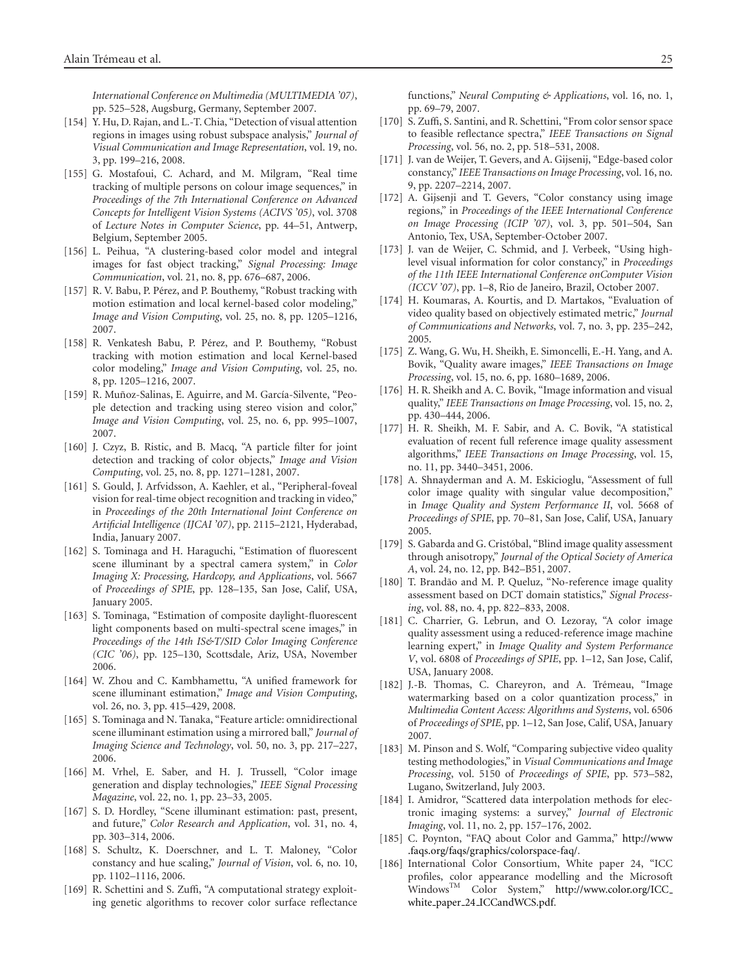*International Conference on Multimedia (MULTIMEDIA '07)*, pp. 525–528, Augsburg, Germany, September 2007.

- <span id="page-24-0"></span>[154] Y. Hu, D. Rajan, and L.-T. Chia, "Detection of visual attention regions in images using robust subspace analysis," *Journal of Visual Communication and Image Representation*, vol. 19, no. 3, pp. 199–216, 2008.
- <span id="page-24-1"></span>[155] G. Mostafoui, C. Achard, and M. Milgram, "Real time tracking of multiple persons on colour image sequences," in *Proceedings of the 7th International Conference on Advanced Concepts for Intelligent Vision Systems (ACIVS '05)*, vol. 3708 of *Lecture Notes in Computer Science*, pp. 44–51, Antwerp, Belgium, September 2005.
- <span id="page-24-2"></span>[156] L. Peihua, "A clustering-based color model and integral images for fast object tracking," *Signal Processing: Image Communication*, vol. 21, no. 8, pp. 676–687, 2006.
- <span id="page-24-3"></span>[157] R. V. Babu, P. Pérez, and P. Bouthemy, "Robust tracking with motion estimation and local kernel-based color modeling," *Image and Vision Computing*, vol. 25, no. 8, pp. 1205–1216, 2007.
- <span id="page-24-4"></span>[158] R. Venkatesh Babu, P. Pérez, and P. Bouthemy, "Robust tracking with motion estimation and local Kernel-based color modeling," *Image and Vision Computing*, vol. 25, no. 8, pp. 1205–1216, 2007.
- <span id="page-24-5"></span>[159] R. Muñoz-Salinas, E. Aguirre, and M. García-Silvente, "People detection and tracking using stereo vision and color," *Image and Vision Computing*, vol. 25, no. 6, pp. 995–1007, 2007.
- <span id="page-24-6"></span>[160] J. Czyz, B. Ristic, and B. Macq, "A particle filter for joint detection and tracking of color objects," *Image and Vision Computing*, vol. 25, no. 8, pp. 1271–1281, 2007.
- <span id="page-24-7"></span>[161] S. Gould, J. Arfvidsson, A. Kaehler, et al., "Peripheral-foveal vision for real-time object recognition and tracking in video," in *Proceedings of the 20th International Joint Conference on Artificial Intelligence (IJCAI '07)*, pp. 2115–2121, Hyderabad, India, January 2007.
- <span id="page-24-8"></span>[162] S. Tominaga and H. Haraguchi, "Estimation of fluorescent scene illuminant by a spectral camera system," in *Color Imaging X: Processing, Hardcopy, and Applications*, vol. 5667 of *Proceedings of SPIE*, pp. 128–135, San Jose, Calif, USA, January 2005.
- <span id="page-24-9"></span>[163] S. Tominaga, "Estimation of composite daylight-fluorescent light components based on multi-spectral scene images," in *Proceedings of the 14th IS&T/SID Color Imaging Conference (CIC '06)*, pp. 125–130, Scottsdale, Ariz, USA, November 2006.
- <span id="page-24-10"></span>[164] W. Zhou and C. Kambhamettu, "A unified framework for scene illuminant estimation," *Image and Vision Computing*, vol. 26, no. 3, pp. 415–429, 2008.
- <span id="page-24-11"></span>[165] S. Tominaga and N. Tanaka, "Feature article: omnidirectional scene illuminant estimation using a mirrored ball," *Journal of Imaging Science and Technology*, vol. 50, no. 3, pp. 217–227, 2006.
- <span id="page-24-12"></span>[166] M. Vrhel, E. Saber, and H. J. Trussell, "Color image generation and display technologies," *IEEE Signal Processing Magazine*, vol. 22, no. 1, pp. 23–33, 2005.
- <span id="page-24-14"></span>[167] S. D. Hordley, "Scene illuminant estimation: past, present, and future," *Color Research and Application*, vol. 31, no. 4, pp. 303–314, 2006.
- [168] S. Schultz, K. Doerschner, and L. T. Maloney, "Color constancy and hue scaling," *Journal of Vision*, vol. 6, no. 10, pp. 1102–1116, 2006.
- [169] R. Schettini and S. Zuffi, "A computational strategy exploiting genetic algorithms to recover color surface reflectance
- <span id="page-24-13"></span>[170] S. Zuffi, S. Santini, and R. Schettini, "From color sensor space to feasible reflectance spectra," *IEEE Transactions on Signal Processing*, vol. 56, no. 2, pp. 518–531, 2008.
- <span id="page-24-15"></span>[171] J. van de Weijer, T. Gevers, and A. Gijsenij, "Edge-based color constancy," *IEEE Transactions on Image Processing*, vol. 16, no. 9, pp. 2207–2214, 2007.
- <span id="page-24-16"></span>[172] A. Gijsenji and T. Gevers, "Color constancy using image regions," in *Proceedings of the IEEE International Conference on Image Processing (ICIP '07)*, vol. 3, pp. 501–504, San Antonio, Tex, USA, September-October 2007.
- <span id="page-24-17"></span>[173] J. van de Weijer, C. Schmid, and J. Verbeek, "Using highlevel visual information for color constancy," in *Proceedings of the 11th IEEE International Conference onComputer Vision (ICCV '07)*, pp. 1–8, Rio de Janeiro, Brazil, October 2007.
- <span id="page-24-18"></span>[174] H. Koumaras, A. Kourtis, and D. Martakos, "Evaluation of video quality based on objectively estimated metric," *Journal of Communications and Networks*, vol. 7, no. 3, pp. 235–242, 2005.
- [175] Z. Wang, G. Wu, H. Sheikh, E. Simoncelli, E.-H. Yang, and A. Bovik, "Quality aware images," *IEEE Transactions on Image Processing*, vol. 15, no. 6, pp. 1680–1689, 2006.
- [176] H. R. Sheikh and A. C. Bovik, "Image information and visual quality," *IEEE Transactions on Image Processing*, vol. 15, no. 2, pp. 430–444, 2006.
- <span id="page-24-19"></span>[177] H. R. Sheikh, M. F. Sabir, and A. C. Bovik, "A statistical evaluation of recent full reference image quality assessment algorithms," *IEEE Transactions on Image Processing*, vol. 15, no. 11, pp. 3440–3451, 2006.
- <span id="page-24-20"></span>[178] A. Shnayderman and A. M. Eskicioglu, "Assessment of full color image quality with singular value decomposition," in *Image Quality and System Performance II*, vol. 5668 of *Proceedings of SPIE*, pp. 70–81, San Jose, Calif, USA, January 2005.
- [179] S. Gabarda and G. Cristóbal, "Blind image quality assessment through anisotropy," *Journal of the Optical Society of America A*, vol. 24, no. 12, pp. B42–B51, 2007.
- <span id="page-24-21"></span>[180] T. Brandão and M. P. Queluz, "No-reference image quality assessment based on DCT domain statistics," *Signal Processing*, vol. 88, no. 4, pp. 822–833, 2008.
- <span id="page-24-22"></span>[181] C. Charrier, G. Lebrun, and O. Lezoray, "A color image quality assessment using a reduced-reference image machine learning expert," in *Image Quality and System Performance V*, vol. 6808 of *Proceedings of SPIE*, pp. 1–12, San Jose, Calif, USA, January 2008.
- <span id="page-24-23"></span>[182] J.-B. Thomas, C. Chareyron, and A. Trémeau, "Image watermarking based on a color quantization process," in *Multimedia Content Access: Algorithms and Systems*, vol. 6506 of *Proceedings of SPIE*, pp. 1–12, San Jose, Calif, USA, January 2007.
- <span id="page-24-24"></span>[183] M. Pinson and S. Wolf, "Comparing subjective video quality testing methodologies," in *Visual Communications and Image Processing*, vol. 5150 of *Proceedings of SPIE*, pp. 573–582, Lugano, Switzerland, July 2003.
- <span id="page-24-25"></span>[184] I. Amidror, "Scattered data interpolation methods for electronic imaging systems: a survey," *Journal of Electronic Imaging*, vol. 11, no. 2, pp. 157–176, 2002.
- <span id="page-24-26"></span>[185] C. Poynton, "FAQ about Color and Gamma," [http://www](http://www.faqs.org/faqs/graphics/colorspace-faq/) [.faqs.org/faqs/graphics/colorspace-faq/.](http://www.faqs.org/faqs/graphics/colorspace-faq/)
- <span id="page-24-27"></span>[186] International Color Consortium, White paper 24, "ICC profiles, color appearance modelling and the Microsoft Windows<sup>TM</sup> Color System," [http://www.color.org/ICC](http://www.color.org/ICC_white_paper_24_ICCandWCS.pdf)\_ white paper 24 [ICCandWCS.pdf.](http://www.color.org/ICC_white_paper_24_ICCandWCS.pdf)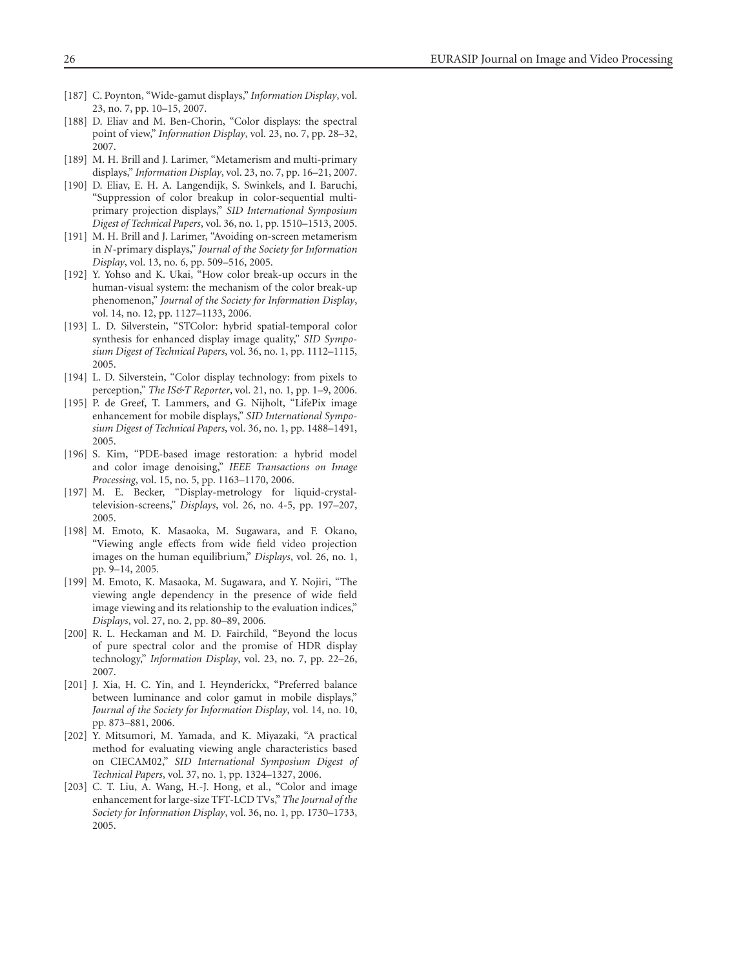- <span id="page-25-0"></span>[187] C. Poynton, "Wide-gamut displays," *Information Display*, vol. 23, no. 7, pp. 10–15, 2007.
- <span id="page-25-1"></span>[188] D. Eliav and M. Ben-Chorin, "Color displays: the spectral point of view," *Information Display*, vol. 23, no. 7, pp. 28–32, 2007.
- <span id="page-25-2"></span>[189] M. H. Brill and J. Larimer, "Metamerism and multi-primary displays," *Information Display*, vol. 23, no. 7, pp. 16–21, 2007.
- <span id="page-25-3"></span>[190] D. Eliav, E. H. A. Langendijk, S. Swinkels, and I. Baruchi, "Suppression of color breakup in color-sequential multiprimary projection displays," *SID International Symposium Digest of Technical Papers*, vol. 36, no. 1, pp. 1510–1513, 2005.
- [191] M. H. Brill and J. Larimer, "Avoiding on-screen metamerism in *N*-primary displays," *Journal of the Society for Information Display*, vol. 13, no. 6, pp. 509–516, 2005.
- <span id="page-25-4"></span>[192] Y. Yohso and K. Ukai, "How color break-up occurs in the human-visual system: the mechanism of the color break-up phenomenon," *Journal of the Society for Information Display*, vol. 14, no. 12, pp. 1127–1133, 2006.
- <span id="page-25-5"></span>[193] L. D. Silverstein, "STColor: hybrid spatial-temporal color synthesis for enhanced display image quality," *SID Symposium Digest of Technical Papers*, vol. 36, no. 1, pp. 1112–1115, 2005.
- <span id="page-25-6"></span>[194] L. D. Silverstein, "Color display technology: from pixels to perception," *The IS&T Reporter*, vol. 21, no. 1, pp. 1–9, 2006.
- <span id="page-25-7"></span>[195] P. de Greef, T. Lammers, and G. Nijholt, "LifePix image enhancement for mobile displays," *SID International Symposium Digest of Technical Papers*, vol. 36, no. 1, pp. 1488–1491, 2005.
- <span id="page-25-8"></span>[196] S. Kim, "PDE-based image restoration: a hybrid model and color image denoising," *IEEE Transactions on Image Processing*, vol. 15, no. 5, pp. 1163–1170, 2006.
- <span id="page-25-9"></span>[197] M. E. Becker, "Display-metrology for liquid-crystaltelevision-screens," *Displays*, vol. 26, no. 4-5, pp. 197–207, 2005.
- <span id="page-25-12"></span>[198] M. Emoto, K. Masaoka, M. Sugawara, and F. Okano, "Viewing angle effects from wide field video projection images on the human equilibrium," *Displays*, vol. 26, no. 1, pp. 9–14, 2005.
- <span id="page-25-10"></span>[199] M. Emoto, K. Masaoka, M. Sugawara, and Y. Nojiri, "The viewing angle dependency in the presence of wide field image viewing and its relationship to the evaluation indices," *Displays*, vol. 27, no. 2, pp. 80–89, 2006.
- <span id="page-25-11"></span>[200] R. L. Heckaman and M. D. Fairchild, "Beyond the locus of pure spectral color and the promise of HDR display technology," *Information Display*, vol. 23, no. 7, pp. 22–26, 2007.
- <span id="page-25-13"></span>[201] J. Xia, H. C. Yin, and I. Heynderickx, "Preferred balance between luminance and color gamut in mobile displays," *Journal of the Society for Information Display*, vol. 14, no. 10, pp. 873–881, 2006.
- <span id="page-25-14"></span>[202] Y. Mitsumori, M. Yamada, and K. Miyazaki, "A practical method for evaluating viewing angle characteristics based on CIECAM02," *SID International Symposium Digest of Technical Papers*, vol. 37, no. 1, pp. 1324–1327, 2006.
- <span id="page-25-15"></span>[203] C. T. Liu, A. Wang, H.-J. Hong, et al., "Color and image enhancement for large-size TFT-LCD TVs," *The Journal of the Society for Information Display*, vol. 36, no. 1, pp. 1730–1733, 2005.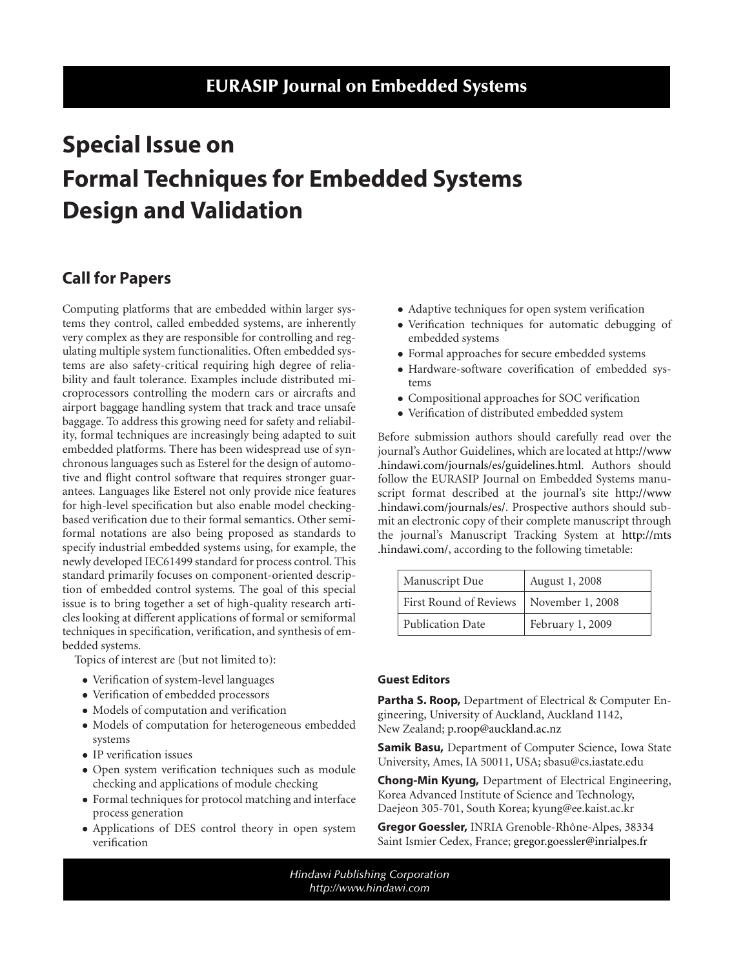# **Special Issue on Formal Techniques for Embedded Systems Design and Validation**

### **Call for Papers**

Computing platforms that are embedded within larger systems they control, called embedded systems, are inherently very complex as they are responsible for controlling and regulating multiple system functionalities. Often embedded systems are also safety-critical requiring high degree of reliability and fault tolerance. Examples include distributed microprocessors controlling the modern cars or aircrafts and airport baggage handling system that track and trace unsafe baggage. To address this growing need for safety and reliability, formal techniques are increasingly being adapted to suit embedded platforms. There has been widespread use of synchronous languages such as Esterel for the design of automotive and flight control software that requires stronger guarantees. Languages like Esterel not only provide nice features for high-level specification but also enable model checkingbased verification due to their formal semantics. Other semiformal notations are also being proposed as standards to specify industrial embedded systems using, for example, the newly developed IEC61499 standard for process control. This standard primarily focuses on component-oriented description of embedded control systems. The goal of this special issue is to bring together a set of high-quality research articles looking at different applications of formal or semiformal techniques in specification, verification, and synthesis of embedded systems.

Topics of interest are (but not limited to):

- Verification of system-level languages
- Verification of embedded processors
- Models of computation and verification
- Models of computation for heterogeneous embedded systems
- IP verification issues
- Open system verification techniques such as module checking and applications of module checking
- Formal techniques for protocol matching and interface process generation
- Applications of DES control theory in open system verification
- Adaptive techniques for open system verification
- Verification techniques for automatic debugging of embedded systems
- Formal approaches for secure embedded systems
- Hardware-software coverification of embedded systems
- Compositional approaches for SOC verification
- Verification of distributed embedded system

Before submission authors should carefully read over the journal's Author Guidelines, which are located at [http://www](http://www.hindawi.com/journals/es/guidelines.html) [.hindawi.com/journals/es/guidelines.html.](http://www.hindawi.com/journals/es/guidelines.html) Authors should follow the EURASIP Journal on Embedded Systems manuscript format described at the journal's site [http://www](http://www.hindawi.com/journals/es/) [.hindawi.com/journals/es/.](http://www.hindawi.com/journals/es/) Prospective authors should submit an electronic copy of their complete manuscript through the journal's Manuscript Tracking System at [http://mts](http://mts.hindawi.com/) [.hindawi.com/,](http://mts.hindawi.com/) according to the following timetable:

| Manuscript Due                            | August 1, 2008   |
|-------------------------------------------|------------------|
| First Round of Reviews   November 1, 2008 |                  |
| <b>Publication Date</b>                   | February 1, 2009 |

#### **Guest Editors**

**Partha S. Roop,** Department of Electrical & Computer Engineering, University of Auckland, Auckland 1142, New Zealand; [p.roop@auckland.ac.nz](mailto:p.roop@auckland.ac.nz)

**Samik Basu,** Department of Computer Science, Iowa State University, Ames, IA 50011, USA; sbasu@cs.iastate.edu

**Chong-Min Kyung,** Department of Electrical Engineering, Korea Advanced Institute of Science and Technology, Daejeon 305-701, South Korea; kyung@ee.kaist.ac.kr

**Gregor Goessler,** INRIA Grenoble-Rhône-Alpes, 38334 Saint Ismier Cedex, France; [gregor.goessler@inrialpes.fr](mailto:gregor.goessler@inrialpes.fr)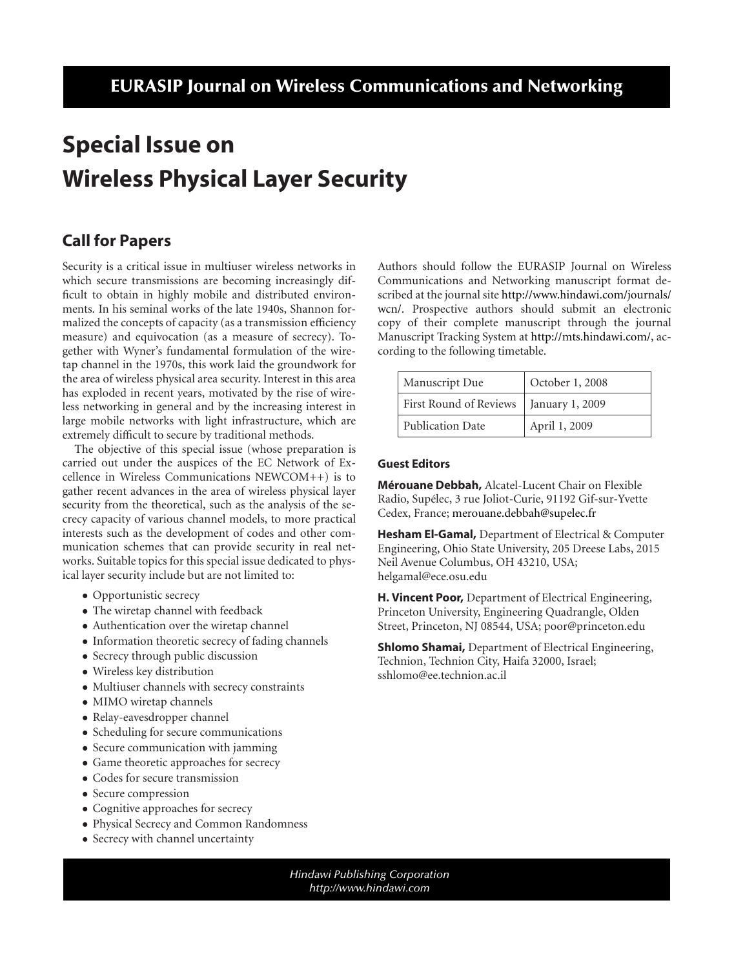# **Special Issue on Wireless Physical Layer Security**

### **Call for Papers**

Security is a critical issue in multiuser wireless networks in which secure transmissions are becoming increasingly difficult to obtain in highly mobile and distributed environments. In his seminal works of the late 1940s, Shannon formalized the concepts of capacity (as a transmission efficiency measure) and equivocation (as a measure of secrecy). Together with Wyner's fundamental formulation of the wiretap channel in the 1970s, this work laid the groundwork for the area of wireless physical area security. Interest in this area has exploded in recent years, motivated by the rise of wireless networking in general and by the increasing interest in large mobile networks with light infrastructure, which are extremely difficult to secure by traditional methods.

The objective of this special issue (whose preparation is carried out under the auspices of the EC Network of Excellence in Wireless Communications NEWCOM++) is to gather recent advances in the area of wireless physical layer security from the theoretical, such as the analysis of the secrecy capacity of various channel models, to more practical interests such as the development of codes and other communication schemes that can provide security in real networks. Suitable topics for this special issue dedicated to physical layer security include but are not limited to:

- Opportunistic secrecy
- The wiretap channel with feedback
- Authentication over the wiretap channel
- Information theoretic secrecy of fading channels
- Secrecy through public discussion
- Wireless key distribution
- Multiuser channels with secrecy constraints
- MIMO wiretap channels
- Relay-eavesdropper channel
- Scheduling for secure communications
- Secure communication with jamming
- Game theoretic approaches for secrecy
- Codes for secure transmission
- Secure compression
- Cognitive approaches for secrecy
- Physical Secrecy and Common Randomness
- Secrecy with channel uncertainty

Authors should follow the EURASIP Journal on Wireless Communications and Networking manuscript format described at the journal site [http://www.hindawi.com/journals/](http://www.hindawi.com/journals/wcn/) [wcn/.](http://www.hindawi.com/journals/wcn/) Prospective authors should submit an electronic copy of their complete manuscript through the journal Manuscript Tracking System at [http://mts.hindawi.com/,](http://mts.hindawi.com/) according to the following timetable.

| Manuscript Due                           | October 1, 2008 |
|------------------------------------------|-----------------|
| First Round of Reviews   January 1, 2009 |                 |
| <b>Publication Date</b>                  | April 1, 2009   |

#### **Guest Editors**

**Mérouane Debbah,** Alcatel-Lucent Chair on Flexible Radio, Supélec, 3 rue Joliot-Curie, 91192 Gif-sur-Yvette Cedex, France; [merouane.debbah@supelec.fr](mailto:merouane.debbah@supelec.fr)

**Hesham El-Gamal,** Department of Electrical & Computer Engineering, Ohio State University, 205 Dreese Labs, 2015 Neil Avenue Columbus, OH 43210, USA; helgamal@ece.osu.edu

**H. Vincent Poor,** Department of Electrical Engineering, Princeton University, Engineering Quadrangle, Olden Street, Princeton, NJ 08544, USA; poor@princeton.edu

**Shlomo Shamai,** Department of Electrical Engineering, Technion, Technion City, Haifa 32000, Israel; sshlomo@ee.technion.ac.il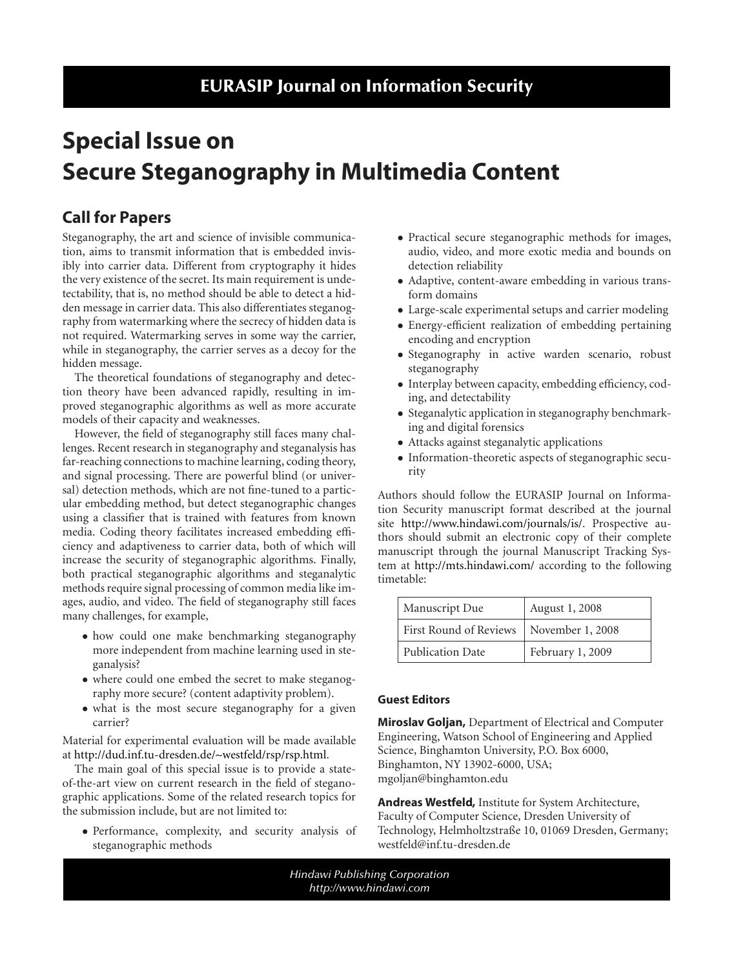## **Special Issue on Secure Steganography in Multimedia Content**

### **Call for Papers**

Steganography, the art and science of invisible communication, aims to transmit information that is embedded invisibly into carrier data. Different from cryptography it hides the very existence of the secret. Its main requirement is undetectability, that is, no method should be able to detect a hidden message in carrier data. This also differentiates steganography from watermarking where the secrecy of hidden data is not required. Watermarking serves in some way the carrier, while in steganography, the carrier serves as a decoy for the hidden message.

The theoretical foundations of steganography and detection theory have been advanced rapidly, resulting in improved steganographic algorithms as well as more accurate models of their capacity and weaknesses.

However, the field of steganography still faces many challenges. Recent research in steganography and steganalysis has far-reaching connections to machine learning, coding theory, and signal processing. There are powerful blind (or universal) detection methods, which are not fine-tuned to a particular embedding method, but detect steganographic changes using a classifier that is trained with features from known media. Coding theory facilitates increased embedding efficiency and adaptiveness to carrier data, both of which will increase the security of steganographic algorithms. Finally, both practical steganographic algorithms and steganalytic methods require signal processing of common media like images, audio, and video. The field of steganography still faces many challenges, for example,

- how could one make benchmarking steganography more independent from machine learning used in steganalysis?
- where could one embed the secret to make steganography more secure? (content adaptivity problem).
- what is the most secure steganography for a given carrier?

Material for experimental evaluation will be made available at [http://dud.inf.tu-dresden.de/](http://dud.inf.tu-dresden.de/~westfeld/rsp/rsp.html)∼westfeld/rsp/rsp.html.

The main goal of this special issue is to provide a stateof-the-art view on current research in the field of steganographic applications. Some of the related research topics for the submission include, but are not limited to:

• Performance, complexity, and security analysis of steganographic methods

- Practical secure steganographic methods for images, audio, video, and more exotic media and bounds on detection reliability
- Adaptive, content-aware embedding in various transform domains
- Large-scale experimental setups and carrier modeling
- Energy-efficient realization of embedding pertaining encoding and encryption
- Steganography in active warden scenario, robust steganography
- Interplay between capacity, embedding efficiency, coding, and detectability
- Steganalytic application in steganography benchmarking and digital forensics
- Attacks against steganalytic applications
- Information-theoretic aspects of steganographic security

Authors should follow the EURASIP Journal on Information Security manuscript format described at the journal site [http://www.hindawi.com/journals/is/.](http://www.hindawi.com/journals/is/) Prospective authors should submit an electronic copy of their complete manuscript through the journal Manuscript Tracking System at <http://mts.hindawi.com/> according to the following timetable:

| Manuscript Due         | August 1, 2008   |
|------------------------|------------------|
| First Round of Reviews | November 1, 2008 |
| Publication Date       | February 1, 2009 |

#### **Guest Editors**

**Miroslav Goljan,** Department of Electrical and Computer Engineering, Watson School of Engineering and Applied Science, Binghamton University, P.O. Box 6000, Binghamton, NY 13902-6000, USA; mgoljan@binghamton.edu

**Andreas Westfeld,** Institute for System Architecture, Faculty of Computer Science, Dresden University of Technology, Helmholtzstraße 10, 01069 Dresden, Germany; westfeld@inf.tu-dresden.de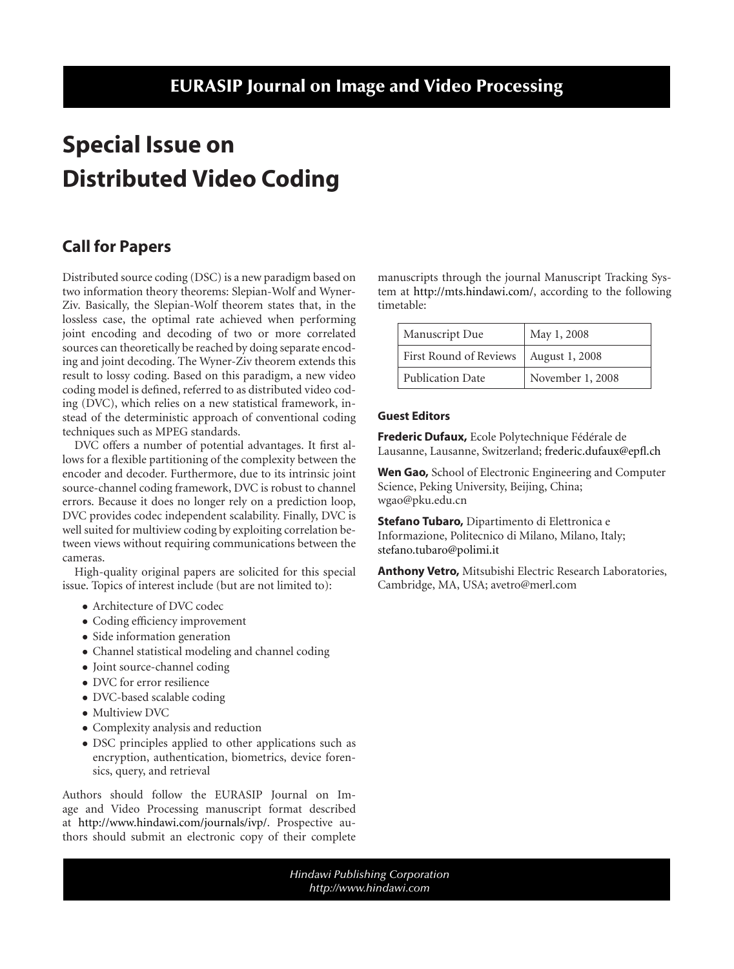# **Special Issue on Distributed Video Coding**

### **Call for Papers**

Distributed source coding (DSC) is a new paradigm based on two information theory theorems: Slepian-Wolf and Wyner-Ziv. Basically, the Slepian-Wolf theorem states that, in the lossless case, the optimal rate achieved when performing joint encoding and decoding of two or more correlated sources can theoretically be reached by doing separate encoding and joint decoding. The Wyner-Ziv theorem extends this result to lossy coding. Based on this paradigm, a new video coding model is defined, referred to as distributed video coding (DVC), which relies on a new statistical framework, instead of the deterministic approach of conventional coding techniques such as MPEG standards.

DVC offers a number of potential advantages. It first allows for a flexible partitioning of the complexity between the encoder and decoder. Furthermore, due to its intrinsic joint source-channel coding framework, DVC is robust to channel errors. Because it does no longer rely on a prediction loop, DVC provides codec independent scalability. Finally, DVC is well suited for multiview coding by exploiting correlation between views without requiring communications between the cameras.

High-quality original papers are solicited for this special issue. Topics of interest include (but are not limited to):

- Architecture of DVC codec
- Coding efficiency improvement
- Side information generation
- Channel statistical modeling and channel coding
- Joint source-channel coding
- DVC for error resilience
- DVC-based scalable coding
- Multiview DVC
- Complexity analysis and reduction
- DSC principles applied to other applications such as encryption, authentication, biometrics, device forensics, query, and retrieval

Authors should follow the EURASIP Journal on Image and Video Processing manuscript format described at [http://www.hindawi.com/journals/ivp/.](http://www.hindawi.com/journals/ivp/) Prospective authors should submit an electronic copy of their complete manuscripts through the journal Manuscript Tracking System at [http://mts.hindawi.com/,](http://mts.hindawi.com/) according to the following timetable:

| Manuscript Due                          | May 1, 2008      |
|-----------------------------------------|------------------|
| First Round of Reviews   August 1, 2008 |                  |
| <b>Publication Date</b>                 | November 1, 2008 |

#### **Guest Editors**

**Frederic Dufaux,** Ecole Polytechnique Fédérale de Lausanne, Lausanne, Switzerland; [frederic.dufaux@epfl.ch](mailto:frederic.dufaux@epfl.ch)

**Wen Gao,** School of Electronic Engineering and Computer Science, Peking University, Beijing, China; wgao@pku.edu.cn

**Stefano Tubaro,** Dipartimento di Elettronica e Informazione, Politecnico di Milano, Milano, Italy; [stefano.tubaro@polimi.it](mailto:stefano.tubaro@polimi.it)

**Anthony Vetro,** Mitsubishi Electric Research Laboratories, Cambridge, MA, USA; avetro@merl.com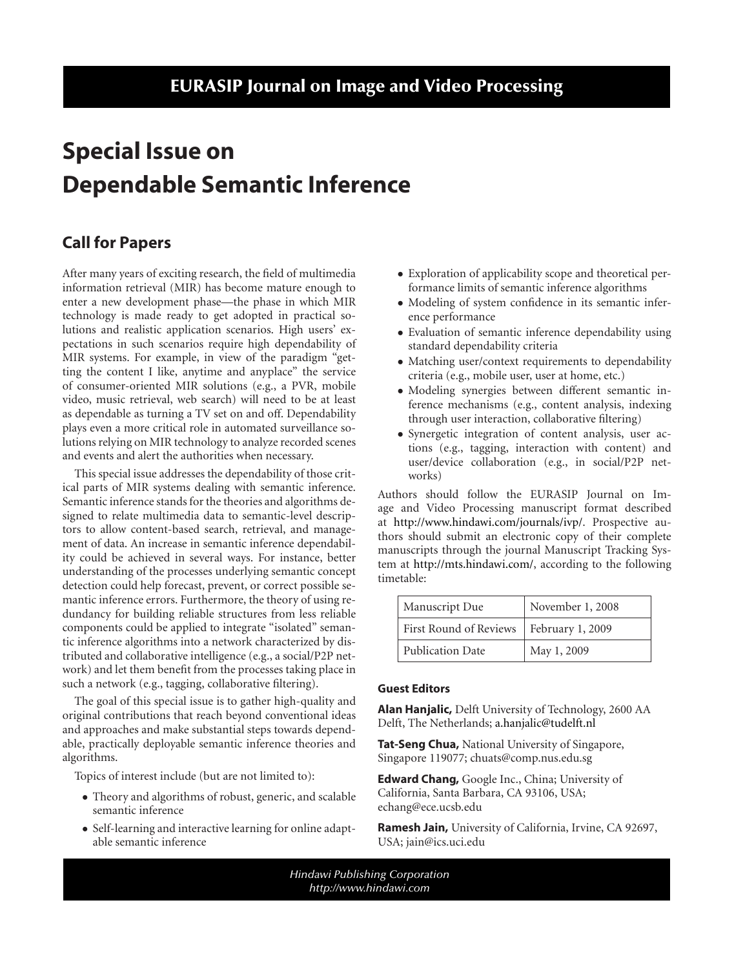# **Special Issue on Dependable Semantic Inference**

### **Call for Papers**

After many years of exciting research, the field of multimedia information retrieval (MIR) has become mature enough to enter a new development phase—the phase in which MIR technology is made ready to get adopted in practical solutions and realistic application scenarios. High users' expectations in such scenarios require high dependability of MIR systems. For example, in view of the paradigm "getting the content I like, anytime and anyplace" the service of consumer-oriented MIR solutions (e.g., a PVR, mobile video, music retrieval, web search) will need to be at least as dependable as turning a TV set on and off. Dependability plays even a more critical role in automated surveillance solutions relying on MIR technology to analyze recorded scenes and events and alert the authorities when necessary.

This special issue addresses the dependability of those critical parts of MIR systems dealing with semantic inference. Semantic inference stands for the theories and algorithms designed to relate multimedia data to semantic-level descriptors to allow content-based search, retrieval, and management of data. An increase in semantic inference dependability could be achieved in several ways. For instance, better understanding of the processes underlying semantic concept detection could help forecast, prevent, or correct possible semantic inference errors. Furthermore, the theory of using redundancy for building reliable structures from less reliable components could be applied to integrate "isolated" semantic inference algorithms into a network characterized by distributed and collaborative intelligence (e.g., a social/P2P network) and let them benefit from the processes taking place in such a network (e.g., tagging, collaborative filtering).

The goal of this special issue is to gather high-quality and original contributions that reach beyond conventional ideas and approaches and make substantial steps towards dependable, practically deployable semantic inference theories and algorithms.

Topics of interest include (but are not limited to):

- Theory and algorithms of robust, generic, and scalable semantic inference
- Self-learning and interactive learning for online adaptable semantic inference
- Exploration of applicability scope and theoretical performance limits of semantic inference algorithms
- Modeling of system confidence in its semantic inference performance
- Evaluation of semantic inference dependability using standard dependability criteria
- Matching user/context requirements to dependability criteria (e.g., mobile user, user at home, etc.)
- Modeling synergies between different semantic inference mechanisms (e.g., content analysis, indexing through user interaction, collaborative filtering)
- Synergetic integration of content analysis, user actions (e.g., tagging, interaction with content) and user/device collaboration (e.g., in social/P2P networks)

Authors should follow the EURASIP Journal on Image and Video Processing manuscript format described at [http://www.hindawi.com/journals/ivp/.](http://www.hindawi.com/journals/ivp/) Prospective authors should submit an electronic copy of their complete manuscripts through the journal Manuscript Tracking System at [http://mts.hindawi.com/,](http://mts.hindawi.com/) according to the following timetable:

| Manuscript Due                            | November 1, 2008 |
|-------------------------------------------|------------------|
| First Round of Reviews   February 1, 2009 |                  |
| <b>Publication Date</b>                   | May 1, 2009      |

#### **Guest Editors**

**Alan Hanjalic,** Delft University of Technology, 2600 AA Delft, The Netherlands; [a.hanjalic@tudelft.nl](mailto:a.hanjalic@tudelft.nl)

**Tat-Seng Chua,** National University of Singapore, Singapore 119077; chuats@comp.nus.edu.sg

**Edward Chang,** Google Inc., China; University of California, Santa Barbara, CA 93106, USA; echang@ece.ucsb.edu

**Ramesh Jain,** University of California, Irvine, CA 92697, USA; jain@ics.uci.edu